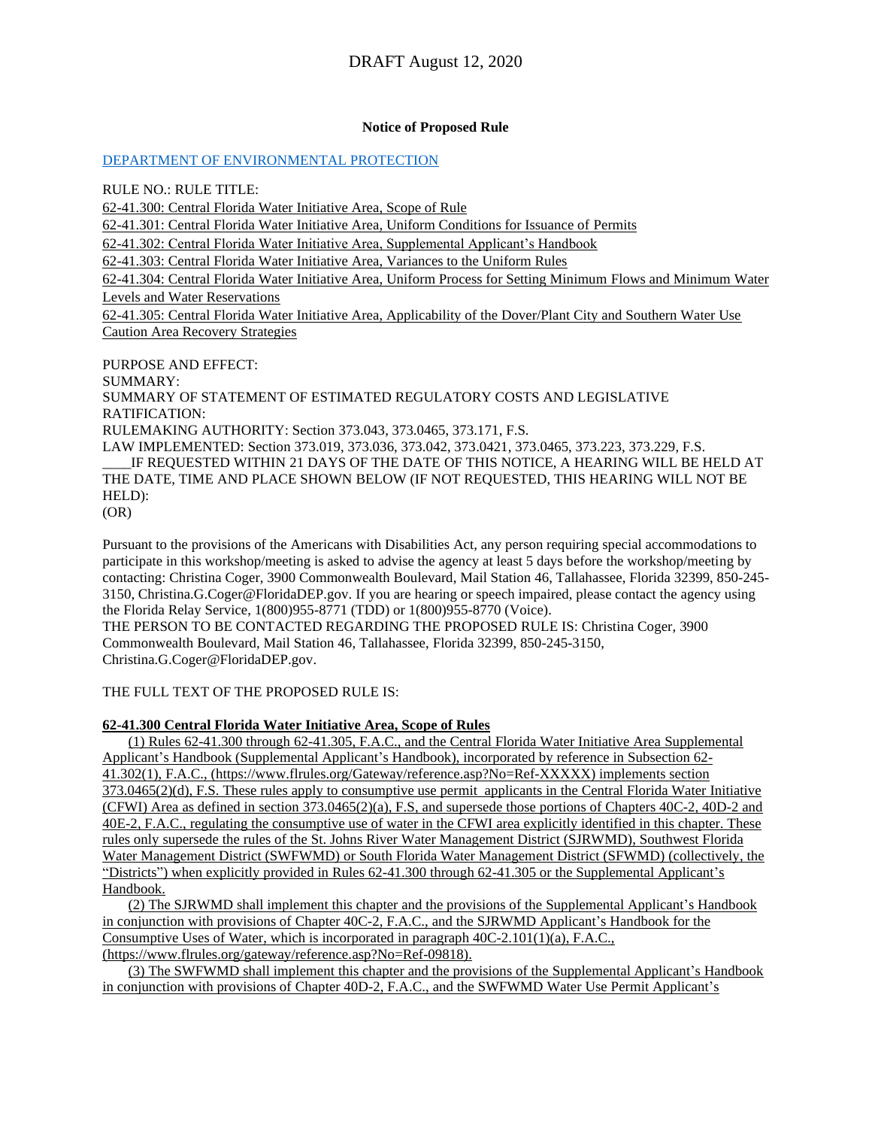#### **Notice of Proposed Rule**

[DEPARTMENT OF ENVIRONMENTAL PROTECTION](https://flrules.org/gateway/department.asp?id=62)

RULE NO.: RULE TITLE:

[62-41.300:](https://www.flrules.org/gateway/ruleNo.asp?id=62-41.300) Central Florida Water Initiative Area, Scope of Rule

[62-41.301:](https://www.flrules.org/gateway/ruleNo.asp?id=62-41.301) Central Florida Water Initiative Area, Uniform Conditions for Issuance of Permits

[62-41.302:](https://www.flrules.org/gateway/ruleNo.asp?id=62-41.302) Central Florida Water Initiative Area, Supplemental Applicant's Handbook

[62-41.303:](https://www.flrules.org/gateway/ruleNo.asp?id=62-41.303) Central Florida Water Initiative Area, Variances to the Uniform Rules

[62-41.304:](https://www.flrules.org/gateway/ruleNo.asp?id=62-41.304) Central Florida Water Initiative Area, Uniform Process for Setting Minimum Flows and Minimum Water Levels and Water Reservations

[62-41.305:](https://www.flrules.org/gateway/ruleNo.asp?id=62-41.305) Central Florida Water Initiative Area, Applicability of the Dover/Plant City and Southern Water Use Caution Area Recovery Strategies

PURPOSE AND EFFECT: SUMMARY: SUMMARY OF STATEMENT OF ESTIMATED REGULATORY COSTS AND LEGISLATIVE RATIFICATION: RULEMAKING AUTHORITY: Section 373.043, 373.0465, 373.171, F.S. LAW IMPLEMENTED: Section 373.019, 373.036, 373.042, 373.0421, 373.0465, 373.223, 373.229, F.S. IF REQUESTED WITHIN 21 DAYS OF THE DATE OF THIS NOTICE, A HEARING WILL BE HELD AT THE DATE, TIME AND PLACE SHOWN BELOW (IF NOT REQUESTED, THIS HEARING WILL NOT BE HELD): (OR)

Pursuant to the provisions of the Americans with Disabilities Act, any person requiring special accommodations to participate in this workshop/meeting is asked to advise the agency at least 5 days before the workshop/meeting by contacting: Christina Coger, 3900 Commonwealth Boulevard, Mail Station 46, Tallahassee, Florida 32399, 850-245- 3150, Christina.G.Coger@FloridaDEP.gov. If you are hearing or speech impaired, please contact the agency using the Florida Relay Service, 1(800)955-8771 (TDD) or 1(800)955-8770 (Voice).

THE PERSON TO BE CONTACTED REGARDING THE PROPOSED RULE IS: Christina Coger, 3900 Commonwealth Boulevard, Mail Station 46, Tallahassee, Florida 32399, 850-245-3150, Christina.G.Coger@FloridaDEP.gov.

#### THE FULL TEXT OF THE PROPOSED RULE IS:

#### **62-41.300 Central Florida Water Initiative Area, Scope of Rules**

(1) Rules 62-41.300 through 62-41.305, F.A.C., and the Central Florida Water Initiative Area Supplemental Applicant's Handbook (Supplemental Applicant's Handbook), incorporated by reference in Subsection 62- 41.302(1), F.A.C., (https://www.flrules.org/Gateway/reference.asp?No=Ref-XXXXX) implements section  $373.0465(2)(d)$ , F.S. These rules apply to consumptive use permit applicants in the Central Florida Water Initiative (CFWI) Area as defined in section 373.0465(2)(a), F.S, and supersede those portions of Chapters 40C-2, 40D-2 and 40E-2, F.A.C., regulating the consumptive use of water in the CFWI area explicitly identified in this chapter. These rules only supersede the rules of the St. Johns River Water Management District (SJRWMD), Southwest Florida Water Management District (SWFWMD) or South Florida Water Management District (SFWMD) (collectively, the "Districts") when explicitly provided in Rules 62-41.300 through 62-41.305 or the Supplemental Applicant's Handbook.

(2) The SJRWMD shall implement this chapter and the provisions of the Supplemental Applicant's Handbook in conjunction with provisions of Chapter 40C-2, F.A.C., and the SJRWMD Applicant's Handbook for the Consumptive Uses of Water, which is incorporated in paragraph 40C-2.101(1)(a), F.A.C., (https://www.flrules.org/gateway/reference.asp?No=Ref-09818).

(3) The SWFWMD shall implement this chapter and the provisions of the Supplemental Applicant's Handbook in conjunction with provisions of Chapter 40D-2, F.A.C., and the SWFWMD Water Use Permit Applicant's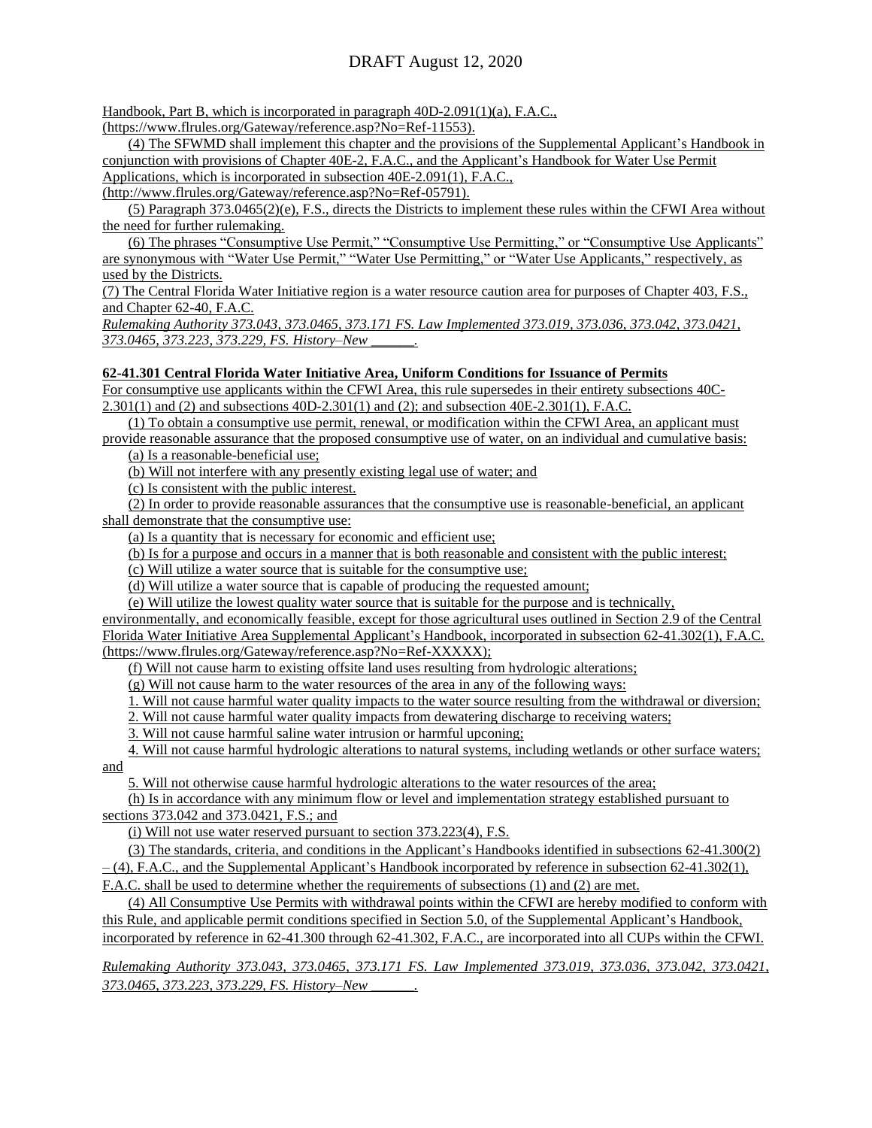Handbook, Part B, which is incorporated in paragraph 40D-2.091(1)(a), F.A.C.,

(https://www.flrules.org/Gateway/reference.asp?No=Ref-11553).

(4) The SFWMD shall implement this chapter and the provisions of the Supplemental Applicant's Handbook in conjunction with provisions of Chapter 40E-2, F.A.C., and the Applicant's Handbook for Water Use Permit Applications, which is incorporated in subsection 40E-2.091(1), F.A.C.,

(http://www.flrules.org/Gateway/reference.asp?No=Ref-05791).

(5) Paragraph 373.0465(2)(e), F.S., directs the Districts to implement these rules within the CFWI Area without the need for further rulemaking.

(6) The phrases "Consumptive Use Permit," "Consumptive Use Permitting," or "Consumptive Use Applicants" are synonymous with "Water Use Permit," "Water Use Permitting," or "Water Use Applicants," respectively, as used by the Districts.

(7) The Central Florida Water Initiative region is a water resource caution area for purposes of Chapter 403, F.S., and Chapter 62-40, F.A.C.

*Rulemaking Authority 373.043, 373.0465, 373.171 FS. Law Implemented 373.019, 373.036, 373.042, 373.0421, 373.0465, 373.223, 373.229, FS. History–New \_\_\_\_\_\_.*

#### **62-41.301 Central Florida Water Initiative Area, Uniform Conditions for Issuance of Permits**

For consumptive use applicants within the CFWI Area, this rule supersedes in their entirety subsections 40C-2.301(1) and (2) and subsections 40D-2.301(1) and (2); and subsection 40E-2.301(1), F.A.C.

(1) To obtain a consumptive use permit, renewal, or modification within the CFWI Area, an applicant must

provide reasonable assurance that the proposed consumptive use of water, on an individual and cumulative basis: (a) Is a reasonable-beneficial use;

(b) Will not interfere with any presently existing legal use of water; and

(c) Is consistent with the public interest.

(2) In order to provide reasonable assurances that the consumptive use is reasonable-beneficial, an applicant shall demonstrate that the consumptive use:

(a) Is a quantity that is necessary for economic and efficient use;

(b) Is for a purpose and occurs in a manner that is both reasonable and consistent with the public interest;

(c) Will utilize a water source that is suitable for the consumptive use;

(d) Will utilize a water source that is capable of producing the requested amount;

(e) Will utilize the lowest quality water source that is suitable for the purpose and is technically, environmentally, and economically feasible, except for those agricultural uses outlined in Section 2.9 of the Central Florida Water Initiative Area Supplemental Applicant's Handbook, incorporated in subsection 62-41.302(1), F.A.C. (https://www.flrules.org/Gateway/reference.asp?No=Ref-XXXXX);

(f) Will not cause harm to existing offsite land uses resulting from hydrologic alterations;

(g) Will not cause harm to the water resources of the area in any of the following ways:

1. Will not cause harmful water quality impacts to the water source resulting from the withdrawal or diversion;

2. Will not cause harmful water quality impacts from dewatering discharge to receiving waters;

3. Will not cause harmful saline water intrusion or harmful upconing;

4. Will not cause harmful hydrologic alterations to natural systems, including wetlands or other surface waters; and

5. Will not otherwise cause harmful hydrologic alterations to the water resources of the area;

(h) Is in accordance with any minimum flow or level and implementation strategy established pursuant to sections 373.042 and 373.0421, F.S.; and

(i) Will not use water reserved pursuant to section 373.223(4), F.S.

(3) The standards, criteria, and conditions in the Applicant's Handbooks identified in subsections 62-41.300(2)  $-$  (4), F.A.C., and the Supplemental Applicant's Handbook incorporated by reference in subsection 62-41.302(1), F.A.C. shall be used to determine whether the requirements of subsections (1) and (2) are met.

(4) All Consumptive Use Permits with withdrawal points within the CFWI are hereby modified to conform with this Rule, and applicable permit conditions specified in Section 5.0, of the Supplemental Applicant's Handbook, incorporated by reference in 62-41.300 through 62-41.302, F.A.C., are incorporated into all CUPs within the CFWI.

*Rulemaking Authority 373.043, 373.0465, 373.171 FS. Law Implemented 373.019, 373.036, 373.042, 373.0421, 373.0465, 373.223, 373.229, FS. History–New \_\_\_\_\_\_.*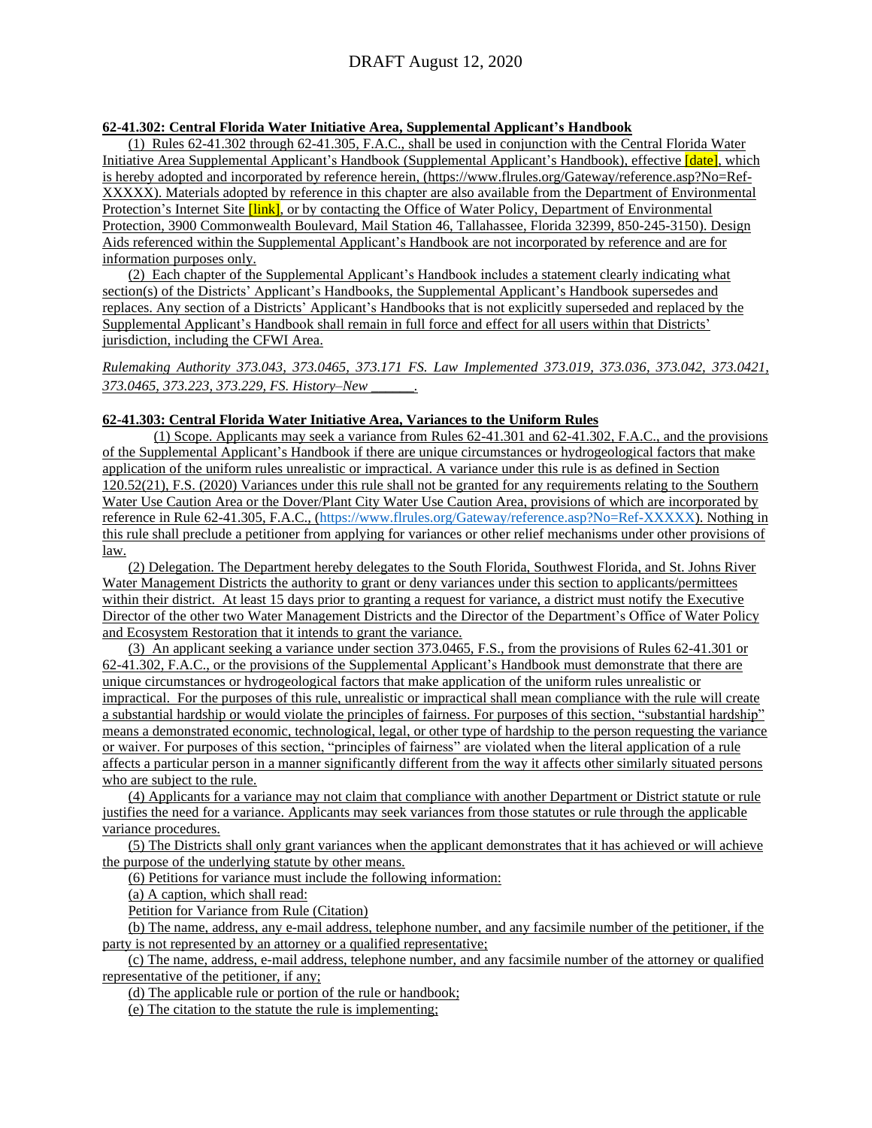#### **62-41.302: Central Florida Water Initiative Area, Supplemental Applicant's Handbook**

(1) Rules 62-41.302 through 62-41.305, F.A.C., shall be used in conjunction with the Central Florida Water Initiative Area Supplemental Applicant's Handbook (Supplemental Applicant's Handbook), effective *[date]*, which is hereby adopted and incorporated by reference herein, (https://www.flrules.org/Gateway/reference.asp?No=Ref-XXXXX). Materials adopted by reference in this chapter are also available from the Department of Environmental Protection's Internet Site *[link]*, or by contacting the Office of Water Policy, Department of Environmental Protection, 3900 Commonwealth Boulevard, Mail Station 46, Tallahassee, Florida 32399, 850-245-3150). Design Aids referenced within the Supplemental Applicant's Handbook are not incorporated by reference and are for information purposes only.

(2) Each chapter of the Supplemental Applicant's Handbook includes a statement clearly indicating what section(s) of the Districts' Applicant's Handbooks, the Supplemental Applicant's Handbook supersedes and replaces. Any section of a Districts' Applicant's Handbooks that is not explicitly superseded and replaced by the Supplemental Applicant's Handbook shall remain in full force and effect for all users within that Districts' jurisdiction, including the CFWI Area.

*Rulemaking Authority 373.043, 373.0465, 373.171 FS. Law Implemented 373.019, 373.036, 373.042, 373.0421, 373.0465, 373.223, 373.229, FS. History–New \_\_\_\_\_\_.*

#### **62-41.303: Central Florida Water Initiative Area, Variances to the Uniform Rules**

(1) Scope. Applicants may seek a variance from Rules 62-41.301 and 62-41.302, F.A.C., and the provisions of the Supplemental Applicant's Handbook if there are unique circumstances or hydrogeological factors that make application of the uniform rules unrealistic or impractical. A variance under this rule is as defined in Section 120.52(21), F.S. (2020) Variances under this rule shall not be granted for any requirements relating to the Southern Water Use Caution Area or the Dover/Plant City Water Use Caution Area, provisions of which are incorporated by reference in Rule 62-41.305, F.A.C., [\(https://www.flrules.org/Gateway/reference.asp?No=Ref-XXXXX\)](https://www.flrules.org/Gateway/reference.asp?No=Ref-XXXXX). Nothing in this rule shall preclude a petitioner from applying for variances or other relief mechanisms under other provisions of law.

(2) Delegation. The Department hereby delegates to the South Florida, Southwest Florida, and St. Johns River Water Management Districts the authority to grant or deny variances under this section to applicants/permittees within their district. At least 15 days prior to granting a request for variance, a district must notify the Executive Director of the other two Water Management Districts and the Director of the Department's Office of Water Policy and Ecosystem Restoration that it intends to grant the variance.

(3) An applicant seeking a variance under section 373.0465, F.S., from the provisions of Rules 62-41.301 or 62-41.302, F.A.C., or the provisions of the Supplemental Applicant's Handbook must demonstrate that there are unique circumstances or hydrogeological factors that make application of the uniform rules unrealistic or impractical. For the purposes of this rule, unrealistic or impractical shall mean compliance with the rule will create a substantial hardship or would violate the principles of fairness. For purposes of this section, "substantial hardship" means a demonstrated economic, technological, legal, or other type of hardship to the person requesting the variance or waiver. For purposes of this section, "principles of fairness" are violated when the literal application of a rule affects a particular person in a manner significantly different from the way it affects other similarly situated persons who are subject to the rule.

(4) Applicants for a variance may not claim that compliance with another Department or District statute or rule justifies the need for a variance. Applicants may seek variances from those statutes or rule through the applicable variance procedures.

(5) The Districts shall only grant variances when the applicant demonstrates that it has achieved or will achieve the purpose of the underlying statute by other means.

(6) Petitions for variance must include the following information:

(a) A caption, which shall read:

Petition for Variance from Rule (Citation)

(b) The name, address, any e-mail address, telephone number, and any facsimile number of the petitioner, if the party is not represented by an attorney or a qualified representative;

(c) The name, address, e-mail address, telephone number, and any facsimile number of the attorney or qualified representative of the petitioner, if any;

(d) The applicable rule or portion of the rule or handbook;

(e) The citation to the statute the rule is implementing;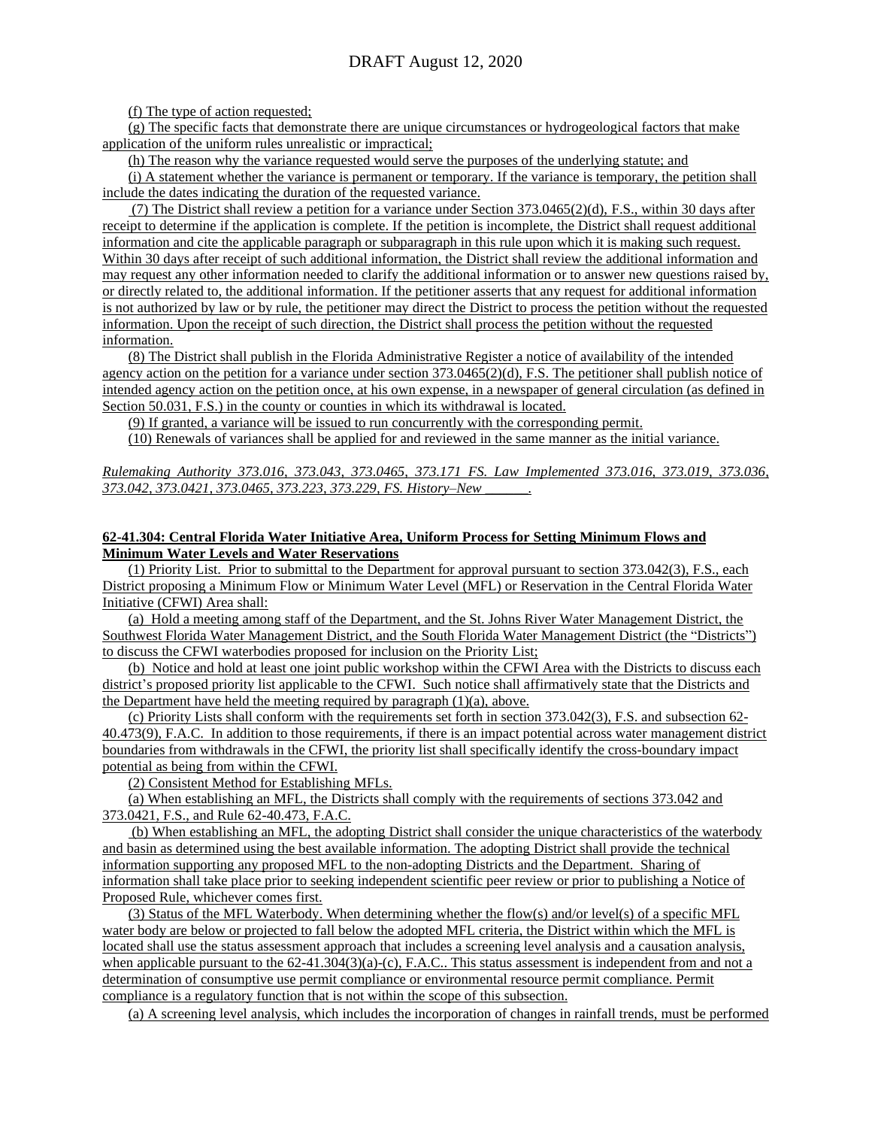(f) The type of action requested;

(g) The specific facts that demonstrate there are unique circumstances or hydrogeological factors that make application of the uniform rules unrealistic or impractical;

(h) The reason why the variance requested would serve the purposes of the underlying statute; and

(i) A statement whether the variance is permanent or temporary. If the variance is temporary, the petition shall include the dates indicating the duration of the requested variance.

(7) The District shall review a petition for a variance under Section 373.0465(2)(d), F.S., within 30 days after receipt to determine if the application is complete. If the petition is incomplete, the District shall request additional information and cite the applicable paragraph or subparagraph in this rule upon which it is making such request. Within 30 days after receipt of such additional information, the District shall review the additional information and may request any other information needed to clarify the additional information or to answer new questions raised by, or directly related to, the additional information. If the petitioner asserts that any request for additional information is not authorized by law or by rule, the petitioner may direct the District to process the petition without the requested information. Upon the receipt of such direction, the District shall process the petition without the requested information.

(8) The District shall publish in the Florida Administrative Register a notice of availability of the intended agency action on the petition for a variance under section  $373.0465(2)(d)$ , F.S. The petitioner shall publish notice of intended agency action on the petition once, at his own expense, in a newspaper of general circulation (as defined in Section 50.031, F.S.) in the county or counties in which its withdrawal is located.

(9) If granted, a variance will be issued to run concurrently with the corresponding permit.

(10) Renewals of variances shall be applied for and reviewed in the same manner as the initial variance.

*Rulemaking Authority 373.016, 373.043, 373.0465, 373.171 FS. Law Implemented 373.016, 373.019, 373.036, 373.042, 373.0421, 373.0465, 373.223, 373.229, FS. History–New \_\_\_\_\_\_.*

#### **62-41.304: Central Florida Water Initiative Area, Uniform Process for Setting Minimum Flows and Minimum Water Levels and Water Reservations**

(1) Priority List. Prior to submittal to the Department for approval pursuant to section 373.042(3), F.S., each District proposing a Minimum Flow or Minimum Water Level (MFL) or Reservation in the Central Florida Water Initiative (CFWI) Area shall:

(a) Hold a meeting among staff of the Department, and the St. Johns River Water Management District, the Southwest Florida Water Management District, and the South Florida Water Management District (the "Districts") to discuss the CFWI waterbodies proposed for inclusion on the Priority List;

(b) Notice and hold at least one joint public workshop within the CFWI Area with the Districts to discuss each district's proposed priority list applicable to the CFWI. Such notice shall affirmatively state that the Districts and the Department have held the meeting required by paragraph (1)(a), above.

(c) Priority Lists shall conform with the requirements set forth in section 373.042(3), F.S. and subsection 62- 40.473(9), F.A.C. In addition to those requirements, if there is an impact potential across water management district boundaries from withdrawals in the CFWI, the priority list shall specifically identify the cross-boundary impact potential as being from within the CFWI.

(2) Consistent Method for Establishing MFLs.

(a) When establishing an MFL, the Districts shall comply with the requirements of sections 373.042 and 373.0421, F.S., and Rule 62-40.473, F.A.C.

(b) When establishing an MFL, the adopting District shall consider the unique characteristics of the waterbody and basin as determined using the best available information. The adopting District shall provide the technical information supporting any proposed MFL to the non-adopting Districts and the Department. Sharing of information shall take place prior to seeking independent scientific peer review or prior to publishing a Notice of Proposed Rule, whichever comes first.

(3) Status of the MFL Waterbody. When determining whether the flow(s) and/or level(s) of a specific MFL water body are below or projected to fall below the adopted MFL criteria, the District within which the MFL is located shall use the status assessment approach that includes a screening level analysis and a causation analysis, when applicable pursuant to the 62-41.304(3)(a)-(c), F.A.C.. This status assessment is independent from and not a determination of consumptive use permit compliance or environmental resource permit compliance. Permit compliance is a regulatory function that is not within the scope of this subsection.

(a) A screening level analysis, which includes the incorporation of changes in rainfall trends, must be performed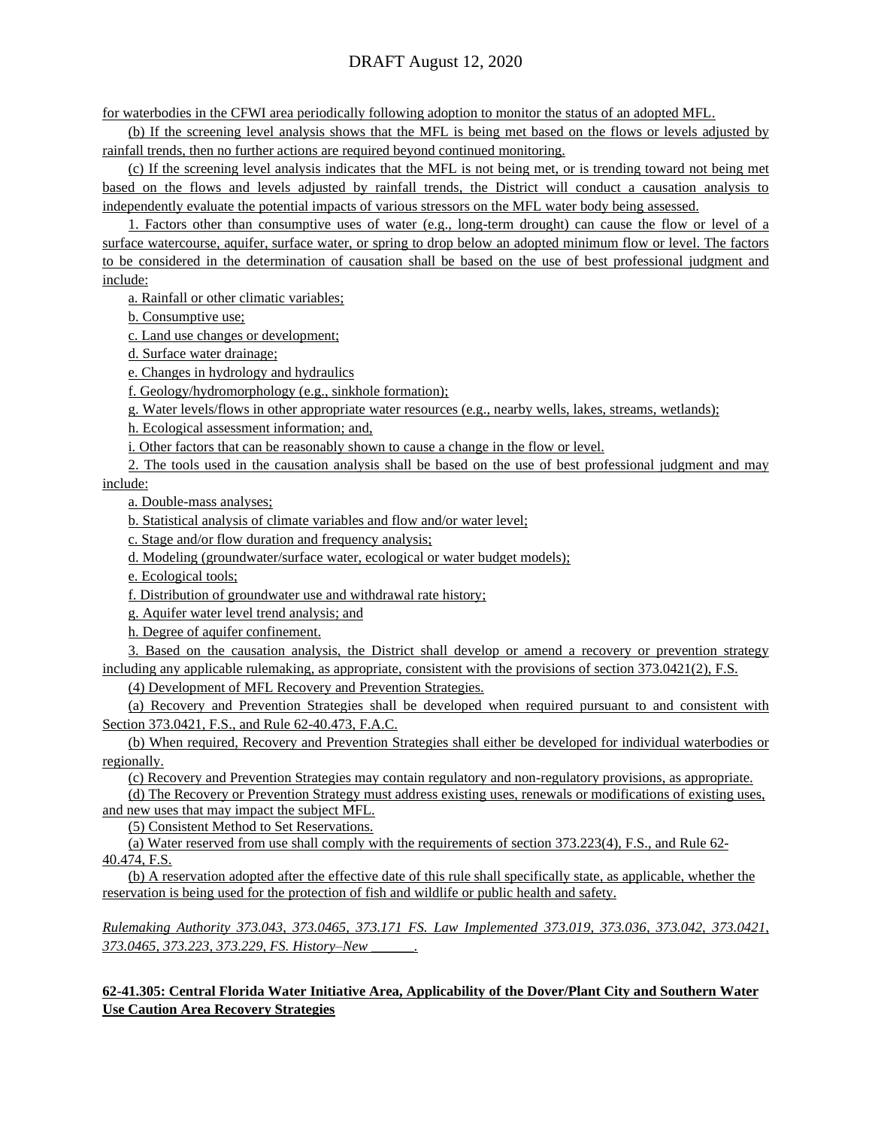for waterbodies in the CFWI area periodically following adoption to monitor the status of an adopted MFL.

(b) If the screening level analysis shows that the MFL is being met based on the flows or levels adjusted by rainfall trends, then no further actions are required beyond continued monitoring.

(c) If the screening level analysis indicates that the MFL is not being met, or is trending toward not being met based on the flows and levels adjusted by rainfall trends, the District will conduct a causation analysis to independently evaluate the potential impacts of various stressors on the MFL water body being assessed.

1. Factors other than consumptive uses of water (e.g., long-term drought) can cause the flow or level of a surface watercourse, aquifer, surface water, or spring to drop below an adopted minimum flow or level. The factors to be considered in the determination of causation shall be based on the use of best professional judgment and include:

a. Rainfall or other climatic variables;

b. Consumptive use;

c. Land use changes or development;

d. Surface water drainage;

e. Changes in hydrology and hydraulics

f. Geology/hydromorphology (e.g., sinkhole formation);

g. Water levels/flows in other appropriate water resources (e.g., nearby wells, lakes, streams, wetlands);

h. Ecological assessment information; and,

i. Other factors that can be reasonably shown to cause a change in the flow or level.

2. The tools used in the causation analysis shall be based on the use of best professional judgment and may

include:

a. Double-mass analyses;

b. Statistical analysis of climate variables and flow and/or water level;

c. Stage and/or flow duration and frequency analysis;

d. Modeling (groundwater/surface water, ecological or water budget models);

e. Ecological tools;

f. Distribution of groundwater use and withdrawal rate history;

g. Aquifer water level trend analysis; and

h. Degree of aquifer confinement.

3. Based on the causation analysis, the District shall develop or amend a recovery or prevention strategy including any applicable rulemaking, as appropriate, consistent with the provisions of section 373.0421(2), F.S.

(4) Development of MFL Recovery and Prevention Strategies.

(a) Recovery and Prevention Strategies shall be developed when required pursuant to and consistent with Section 373.0421, F.S., and Rule 62-40.473, F.A.C.

(b) When required, Recovery and Prevention Strategies shall either be developed for individual waterbodies or regionally.

(c) Recovery and Prevention Strategies may contain regulatory and non-regulatory provisions, as appropriate.

(d) The Recovery or Prevention Strategy must address existing uses, renewals or modifications of existing uses, and new uses that may impact the subject MFL.

(5) Consistent Method to Set Reservations.

(a) Water reserved from use shall comply with the requirements of section 373.223(4), F.S., and Rule 62- 40.474, F.S.

(b) A reservation adopted after the effective date of this rule shall specifically state, as applicable, whether the reservation is being used for the protection of fish and wildlife or public health and safety.

*Rulemaking Authority 373.043, 373.0465, 373.171 FS. Law Implemented 373.019, 373.036, 373.042, 373.0421, 373.0465, 373.223, 373.229, FS. History–New \_\_\_\_\_\_.*

**62-41.305: Central Florida Water Initiative Area, Applicability of the Dover/Plant City and Southern Water Use Caution Area Recovery Strategies**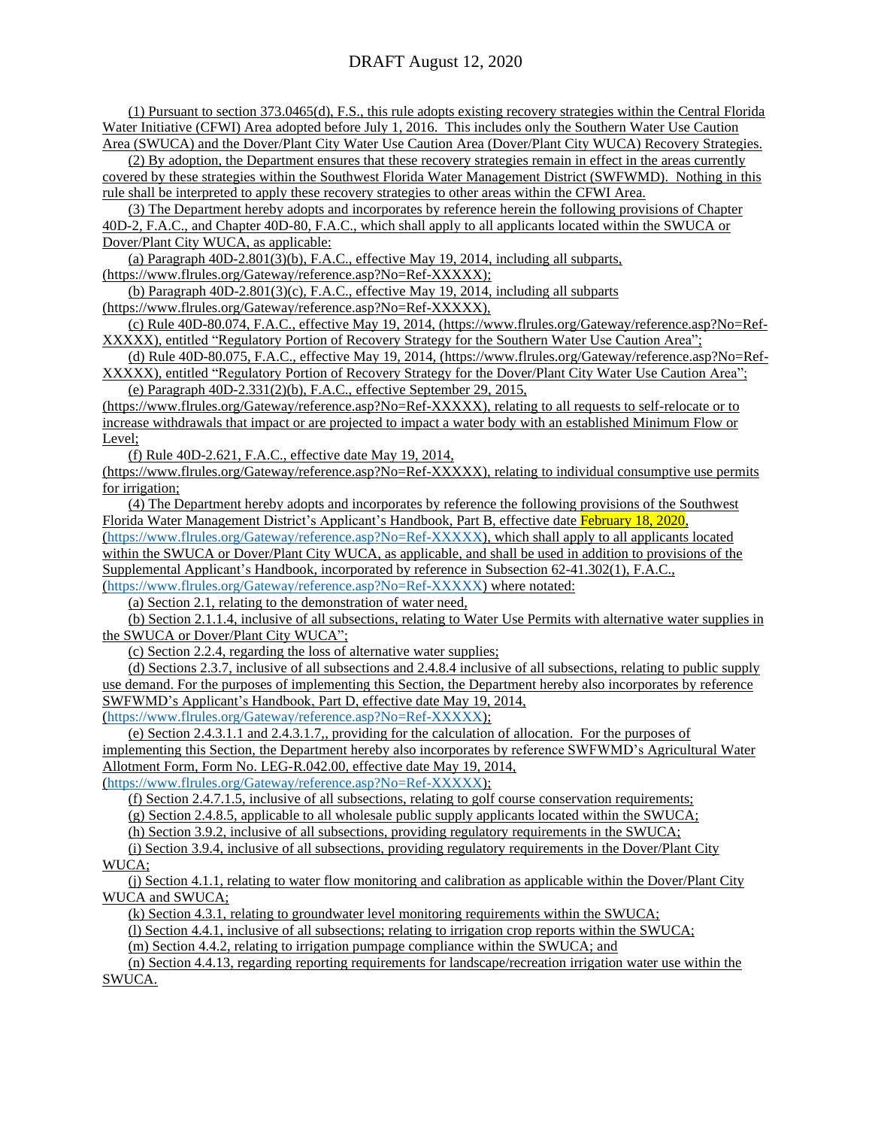(1) Pursuant to section 373.0465(d), F.S., this rule adopts existing recovery strategies within the Central Florida Water Initiative (CFWI) Area adopted before July 1, 2016. This includes only the Southern Water Use Caution Area (SWUCA) and the Dover/Plant City Water Use Caution Area (Dover/Plant City WUCA) Recovery Strategies.

(2) By adoption, the Department ensures that these recovery strategies remain in effect in the areas currently covered by these strategies within the Southwest Florida Water Management District (SWFWMD). Nothing in this

rule shall be interpreted to apply these recovery strategies to other areas within the CFWI Area. (3) The Department hereby adopts and incorporates by reference herein the following provisions of Chapter

40D-2, F.A.C., and Chapter 40D-80, F.A.C., which shall apply to all applicants located within the SWUCA or Dover/Plant City WUCA, as applicable:

(a) Paragraph 40D-2.801(3)(b), F.A.C., effective May 19, 2014, including all subparts,

(https://www.flrules.org/Gateway/reference.asp?No=Ref-XXXXX);

(b) Paragraph 40D-2.801(3)(c), F.A.C., effective May 19, 2014, including all subparts

(https://www.flrules.org/Gateway/reference.asp?No=Ref-XXXXX),

(c) Rule 40D-80.074, F.A.C., effective May 19, 2014, (https://www.flrules.org/Gateway/reference.asp?No=Ref-XXXXX), entitled "Regulatory Portion of Recovery Strategy for the Southern Water Use Caution Area";

(d) Rule 40D-80.075, F.A.C., effective May 19, 2014, (https://www.flrules.org/Gateway/reference.asp?No=Ref-XXXXX), entitled "Regulatory Portion of Recovery Strategy for the Dover/Plant City Water Use Caution Area";

(e) Paragraph 40D-2.331(2)(b), F.A.C., effective September 29, 2015,

(https://www.flrules.org/Gateway/reference.asp?No=Ref-XXXXX), relating to all requests to self-relocate or to increase withdrawals that impact or are projected to impact a water body with an established Minimum Flow or Level;

(f) Rule 40D-2.621, F.A.C., effective date May 19, 2014,

(https://www.flrules.org/Gateway/reference.asp?No=Ref-XXXXX), relating to individual consumptive use permits for irrigation;

(4) The Department hereby adopts and incorporates by reference the following provisions of the Southwest Florida Water Management District's Applicant's Handbook, Part B, effective date February 18, 2020, [\(https://www.flrules.org/Gateway/reference.asp?No=Ref-XXXXX\)](https://www.flrules.org/Gateway/reference.asp?No=Ref-XXXXX), which shall apply to all applicants located within the SWUCA or Dover/Plant City WUCA, as applicable, and shall be used in addition to provisions of the Supplemental Applicant's Handbook, incorporated by reference in Subsection 62-41.302(1), F.A.C., [\(https://www.flrules.org/Gateway/reference.asp?No=Ref-XXXXX\)](https://www.flrules.org/Gateway/reference.asp?No=Ref-XXXXX) where notated:

(a) Section 2.1, relating to the demonstration of water need,

(b) Section 2.1.1.4, inclusive of all subsections, relating to Water Use Permits with alternative water supplies in the SWUCA or Dover/Plant City WUCA";

(c) Section 2.2.4, regarding the loss of alternative water supplies;

(d) Sections 2.3.7, inclusive of all subsections and 2.4.8.4 inclusive of all subsections, relating to public supply use demand. For the purposes of implementing this Section, the Department hereby also incorporates by reference SWFWMD's Applicant's Handbook, Part D, effective date May 19, 2014, [\(https://www.flrules.org/Gateway/reference.asp?No=Ref-XXXXX\)](https://www.flrules.org/Gateway/reference.asp?No=Ref-XXXXX);

(e) Section 2.4.3.1.1 and 2.4.3.1.7,, providing for the calculation of allocation. For the purposes of implementing this Section, the Department hereby also incorporates by reference SWFWMD's Agricultural Water Allotment Form, Form No. LEG-R.042.00, effective date May 19, 2014, [\(https://www.flrules.org/Gateway/reference.asp?No=Ref-XXXXX\)](https://www.flrules.org/Gateway/reference.asp?No=Ref-XXXXX);

(f) Section 2.4.7.1.5, inclusive of all subsections, relating to golf course conservation requirements;

(g) Section 2.4.8.5, applicable to all wholesale public supply applicants located within the SWUCA;

(h) Section 3.9.2, inclusive of all subsections, providing regulatory requirements in the SWUCA;

(i) Section 3.9.4, inclusive of all subsections, providing regulatory requirements in the Dover/Plant City WUCA;

(j) Section 4.1.1, relating to water flow monitoring and calibration as applicable within the Dover/Plant City WUCA and SWUCA;

(k) Section 4.3.1, relating to groundwater level monitoring requirements within the SWUCA;

(l) Section 4.4.1, inclusive of all subsections; relating to irrigation crop reports within the SWUCA;

(m) Section 4.4.2, relating to irrigation pumpage compliance within the SWUCA; and

(n) Section 4.4.13, regarding reporting requirements for landscape/recreation irrigation water use within the SWUCA.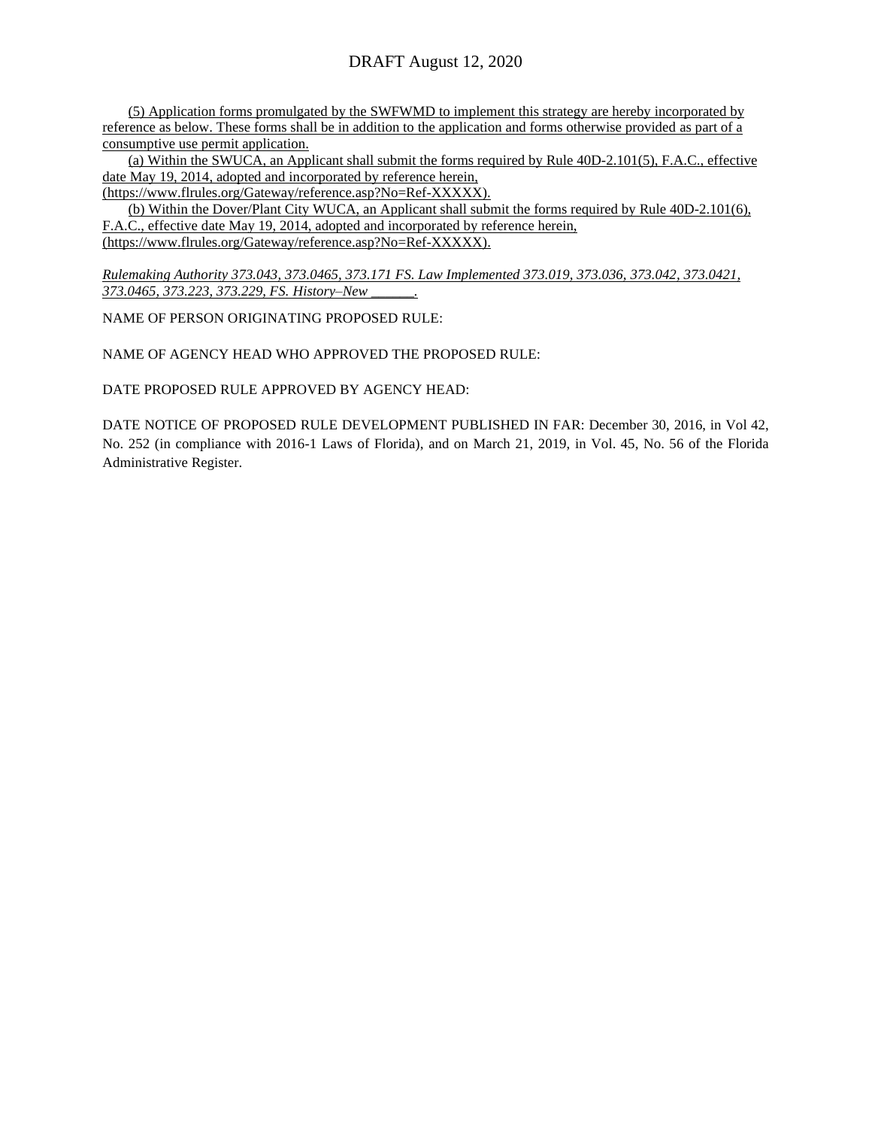(5) Application forms promulgated by the SWFWMD to implement this strategy are hereby incorporated by reference as below. These forms shall be in addition to the application and forms otherwise provided as part of a consumptive use permit application.

(a) Within the SWUCA, an Applicant shall submit the forms required by Rule 40D-2.101(5), F.A.C., effective date May 19, 2014, adopted and incorporated by reference herein,

(https://www.flrules.org/Gateway/reference.asp?No=Ref-XXXXX).

(b) Within the Dover/Plant City WUCA, an Applicant shall submit the forms required by Rule 40D-2.101(6), F.A.C., effective date May 19, 2014, adopted and incorporated by reference herein, (https://www.flrules.org/Gateway/reference.asp?No=Ref-XXXXX).

*Rulemaking Authority 373.043, 373.0465, 373.171 FS. Law Implemented 373.019, 373.036, 373.042, 373.0421, 373.0465, 373.223, 373.229, FS. History–New \_\_\_\_\_\_.*

NAME OF PERSON ORIGINATING PROPOSED RULE:

NAME OF AGENCY HEAD WHO APPROVED THE PROPOSED RULE:

DATE PROPOSED RULE APPROVED BY AGENCY HEAD:

DATE NOTICE OF PROPOSED RULE DEVELOPMENT PUBLISHED IN FAR: December 30, 2016, in Vol 42, No. 252 (in compliance with 2016-1 Laws of Florida), and on March 21, 2019, in Vol. 45, No. 56 of the Florida Administrative Register.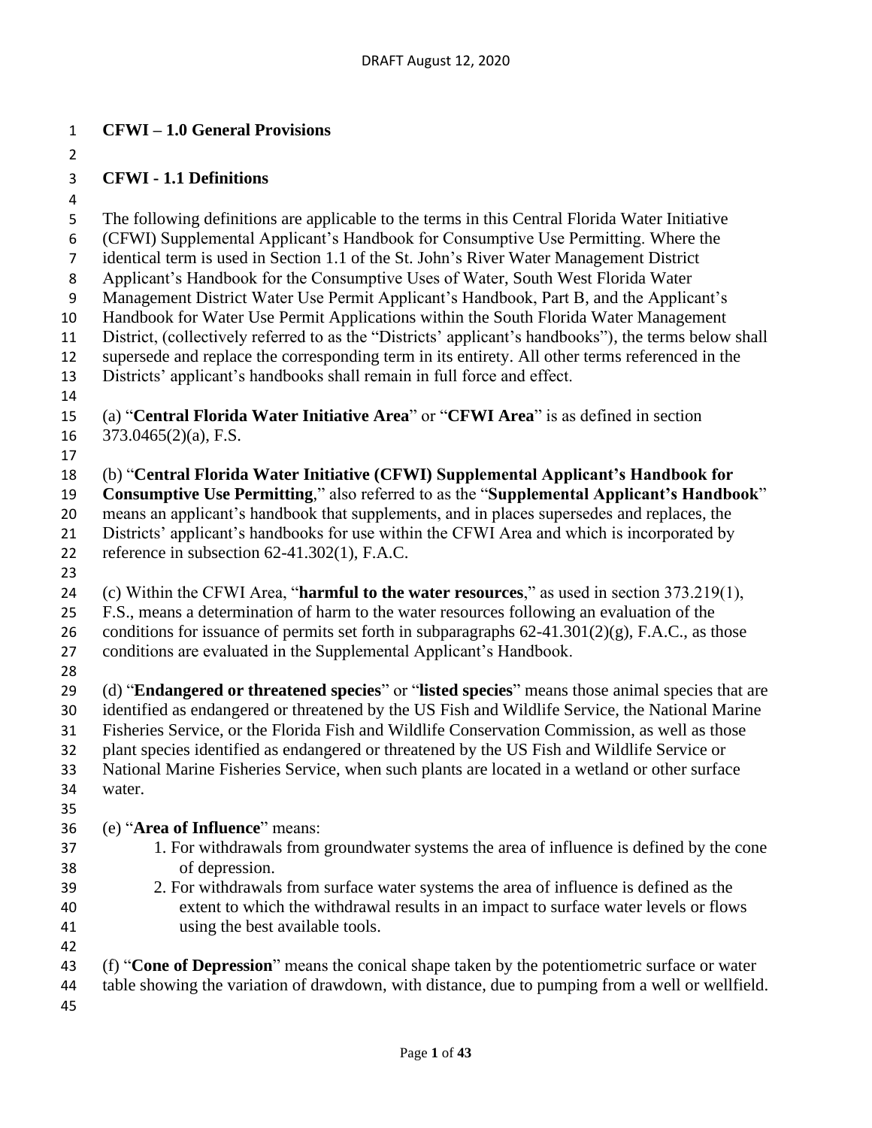#### **CFWI – 1.0 General Provisions**

#### **CFWI - 1.1 Definitions**

 The following definitions are applicable to the terms in this Central Florida Water Initiative (CFWI) Supplemental Applicant's Handbook for Consumptive Use Permitting. Where the identical term is used in Section 1.1 of the St. John's River Water Management District Applicant's Handbook for the Consumptive Uses of Water, South West Florida Water Management District Water Use Permit Applicant's Handbook, Part B, and the Applicant's Handbook for Water Use Permit Applications within the South Florida Water Management District, (collectively referred to as the "Districts' applicant's handbooks"), the terms below shall supersede and replace the corresponding term in its entirety. All other terms referenced in the Districts' applicant's handbooks shall remain in full force and effect. (a) "**Central Florida Water Initiative Area**" or "**CFWI Area**" is as defined in section 373.0465(2)(a), F.S. (b) "**Central Florida Water Initiative (CFWI) Supplemental Applicant's Handbook for Consumptive Use Permitting**," also referred to as the "**Supplemental Applicant's Handbook**" means an applicant's handbook that supplements, and in places supersedes and replaces, the Districts' applicant's handbooks for use within the CFWI Area and which is incorporated by reference in subsection 62-41.302(1), F.A.C. (c) Within the CFWI Area, "**harmful to the water resources**," as used in section 373.219(1), F.S., means a determination of harm to the water resources following an evaluation of the 26 conditions for issuance of permits set forth in subparagraphs  $62-41.301(2)(g)$ , F.A.C., as those conditions are evaluated in the Supplemental Applicant's Handbook. (d) "**Endangered or threatened species**" or "**listed species**" means those animal species that are identified as endangered or threatened by the US Fish and Wildlife Service, the National Marine Fisheries Service, or the Florida Fish and Wildlife Conservation Commission, as well as those plant species identified as endangered or threatened by the US Fish and Wildlife Service or National Marine Fisheries Service, when such plants are located in a wetland or other surface water. (e) "**Area of Influence**" means: 1. For withdrawals from groundwater systems the area of influence is defined by the cone of depression. 2. For withdrawals from surface water systems the area of influence is defined as the extent to which the withdrawal results in an impact to surface water levels or flows using the best available tools. (f) "**Cone of Depression**" means the conical shape taken by the potentiometric surface or water table showing the variation of drawdown, with distance, due to pumping from a well or wellfield.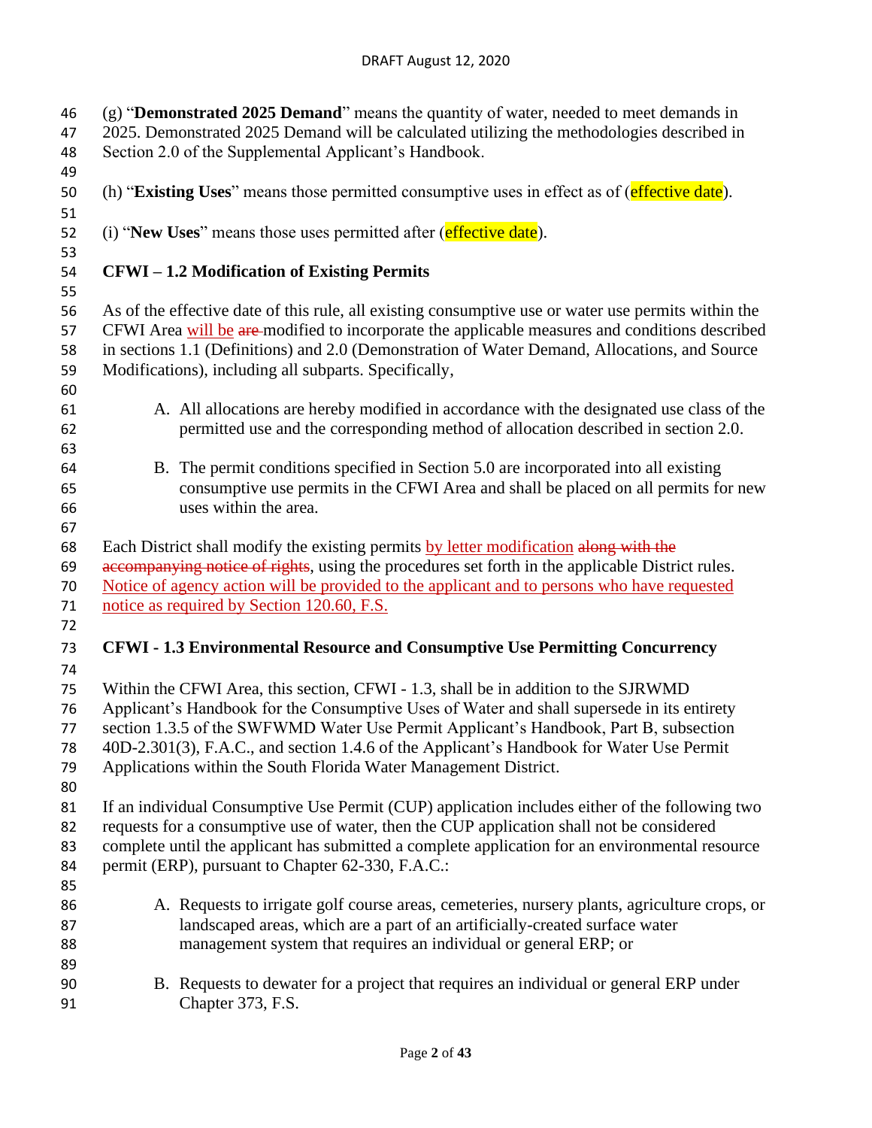(g) "**Demonstrated 2025 Demand**" means the quantity of water, needed to meet demands in 2025. Demonstrated 2025 Demand will be calculated utilizing the methodologies described in Section 2.0 of the Supplemental Applicant's Handbook. (h) "**Existing Uses**" means those permitted consumptive uses in effect as of (effective date). (i) "**New Uses**" means those uses permitted after (effective date). **CFWI – 1.2 Modification of Existing Permits** As of the effective date of this rule, all existing consumptive use or water use permits within the 57 CFWI Area will be are-modified to incorporate the applicable measures and conditions described in sections 1.1 (Definitions) and 2.0 (Demonstration of Water Demand, Allocations, and Source Modifications), including all subparts. Specifically, A. All allocations are hereby modified in accordance with the designated use class of the permitted use and the corresponding method of allocation described in section 2.0. B. The permit conditions specified in Section 5.0 are incorporated into all existing consumptive use permits in the CFWI Area and shall be placed on all permits for new uses within the area. 68 Each District shall modify the existing permits by letter modification along with the 69 accompanying notice of rights, using the procedures set forth in the applicable District rules. Notice of agency action will be provided to the applicant and to persons who have requested notice as required by Section 120.60, F.S. **CFWI - 1.3 Environmental Resource and Consumptive Use Permitting Concurrency** Within the CFWI Area, this section, CFWI - 1.3, shall be in addition to the SJRWMD Applicant's Handbook for the Consumptive Uses of Water and shall supersede in its entirety section 1.3.5 of the SWFWMD Water Use Permit Applicant's Handbook, Part B, subsection 40D-2.301(3), F.A.C., and section 1.4.6 of the Applicant's Handbook for Water Use Permit Applications within the South Florida Water Management District. If an individual Consumptive Use Permit (CUP) application includes either of the following two requests for a consumptive use of water, then the CUP application shall not be considered complete until the applicant has submitted a complete application for an environmental resource 84 permit (ERP), pursuant to Chapter 62-330, F.A.C.: A. Requests to irrigate golf course areas, cemeteries, nursery plants, agriculture crops, or landscaped areas, which are a part of an artificially-created surface water management system that requires an individual or general ERP; or B. Requests to dewater for a project that requires an individual or general ERP under Chapter 373, F.S.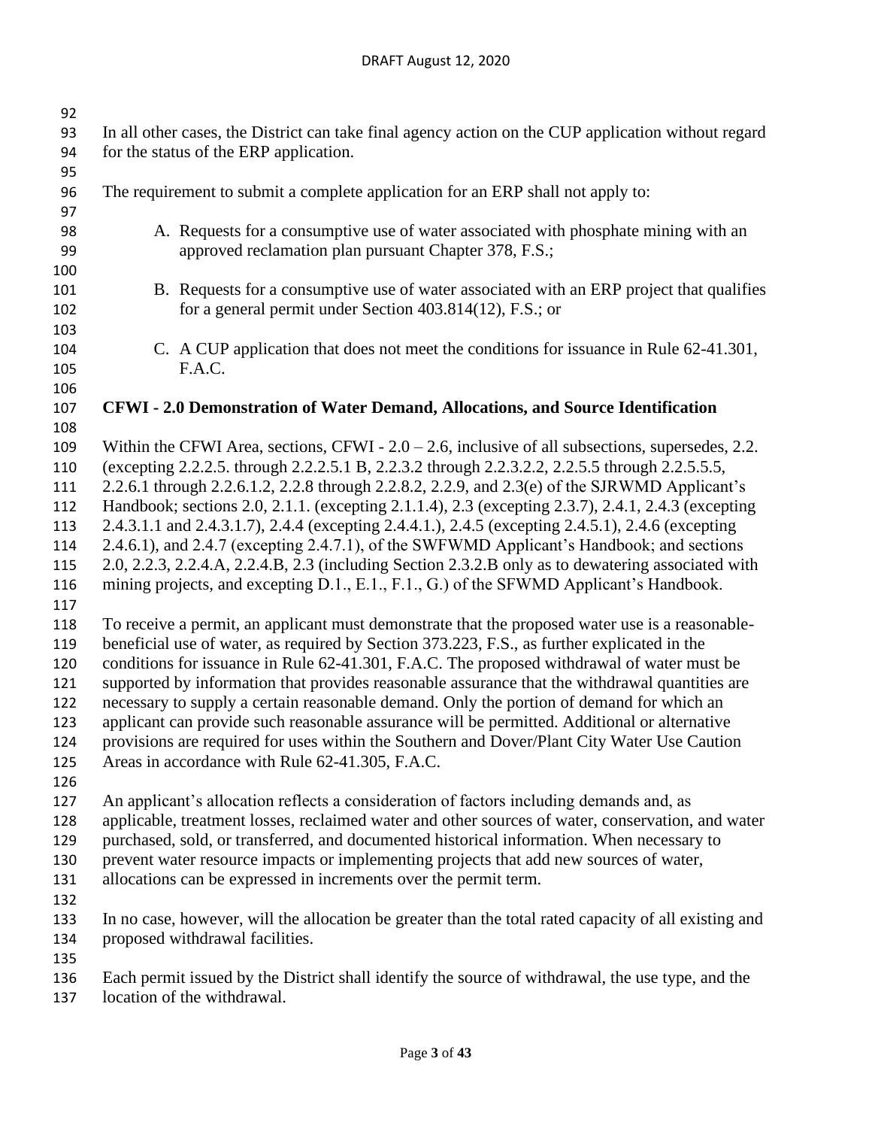| 92  |                                                                                                       |  |  |  |
|-----|-------------------------------------------------------------------------------------------------------|--|--|--|
| 93  | In all other cases, the District can take final agency action on the CUP application without regard   |  |  |  |
| 94  | for the status of the ERP application.                                                                |  |  |  |
| 95  |                                                                                                       |  |  |  |
| 96  | The requirement to submit a complete application for an ERP shall not apply to:                       |  |  |  |
| 97  |                                                                                                       |  |  |  |
| 98  | A. Requests for a consumptive use of water associated with phosphate mining with an                   |  |  |  |
| 99  | approved reclamation plan pursuant Chapter 378, F.S.;                                                 |  |  |  |
| 100 |                                                                                                       |  |  |  |
| 101 | B. Requests for a consumptive use of water associated with an ERP project that qualifies              |  |  |  |
| 102 | for a general permit under Section 403.814(12), F.S.; or                                              |  |  |  |
| 103 |                                                                                                       |  |  |  |
| 104 | C. A CUP application that does not meet the conditions for issuance in Rule 62-41.301,                |  |  |  |
| 105 | F.A.C.                                                                                                |  |  |  |
| 106 |                                                                                                       |  |  |  |
| 107 | CFWI - 2.0 Demonstration of Water Demand, Allocations, and Source Identification                      |  |  |  |
| 108 |                                                                                                       |  |  |  |
| 109 | Within the CFWI Area, sections, CFWI - $2.0 - 2.6$ , inclusive of all subsections, supersedes, 2.2.   |  |  |  |
| 110 | (excepting 2.2.2.5. through 2.2.2.5.1 B, 2.2.3.2 through 2.2.3.2.2, 2.2.5.5 through 2.2.5.5.5,        |  |  |  |
| 111 | 2.2.6.1 through 2.2.6.1.2, 2.2.8 through 2.2.8.2, 2.2.9, and 2.3(e) of the SJRWMD Applicant's         |  |  |  |
| 112 | Handbook; sections 2.0, 2.1.1. (excepting 2.1.1.4), 2.3 (excepting 2.3.7), 2.4.1, 2.4.3 (excepting    |  |  |  |
| 113 | 2.4.3.1.1 and 2.4.3.1.7), 2.4.4 (excepting 2.4.4.1.), 2.4.5 (excepting 2.4.5.1), 2.4.6 (excepting     |  |  |  |
| 114 | 2.4.6.1), and 2.4.7 (excepting 2.4.7.1), of the SWFWMD Applicant's Handbook; and sections             |  |  |  |
| 115 | 2.0, 2.2.3, 2.2.4.A, 2.2.4.B, 2.3 (including Section 2.3.2.B only as to dewatering associated with    |  |  |  |
| 116 | mining projects, and excepting D.1., E.1., F.1., G.) of the SFWMD Applicant's Handbook.               |  |  |  |
| 117 |                                                                                                       |  |  |  |
| 118 | To receive a permit, an applicant must demonstrate that the proposed water use is a reasonable-       |  |  |  |
| 119 | beneficial use of water, as required by Section 373.223, F.S., as further explicated in the           |  |  |  |
| 120 | conditions for issuance in Rule 62-41.301, F.A.C. The proposed withdrawal of water must be            |  |  |  |
| 121 | supported by information that provides reasonable assurance that the withdrawal quantities are        |  |  |  |
| 122 | necessary to supply a certain reasonable demand. Only the portion of demand for which an              |  |  |  |
| 123 | applicant can provide such reasonable assurance will be permitted. Additional or alternative          |  |  |  |
| 124 | provisions are required for uses within the Southern and Dover/Plant City Water Use Caution           |  |  |  |
| 125 | Areas in accordance with Rule 62-41.305, F.A.C.                                                       |  |  |  |
| 126 |                                                                                                       |  |  |  |
| 127 | An applicant's allocation reflects a consideration of factors including demands and, as               |  |  |  |
| 128 | applicable, treatment losses, reclaimed water and other sources of water, conservation, and water     |  |  |  |
| 129 | purchased, sold, or transferred, and documented historical information. When necessary to             |  |  |  |
| 130 | prevent water resource impacts or implementing projects that add new sources of water,                |  |  |  |
| 131 | allocations can be expressed in increments over the permit term.                                      |  |  |  |
| 132 |                                                                                                       |  |  |  |
| 133 | In no case, however, will the allocation be greater than the total rated capacity of all existing and |  |  |  |
| 134 | proposed withdrawal facilities.                                                                       |  |  |  |
| 135 |                                                                                                       |  |  |  |
| 136 | Each permit issued by the District shall identify the source of withdrawal, the use type, and the     |  |  |  |
| 137 | location of the withdrawal.                                                                           |  |  |  |
|     |                                                                                                       |  |  |  |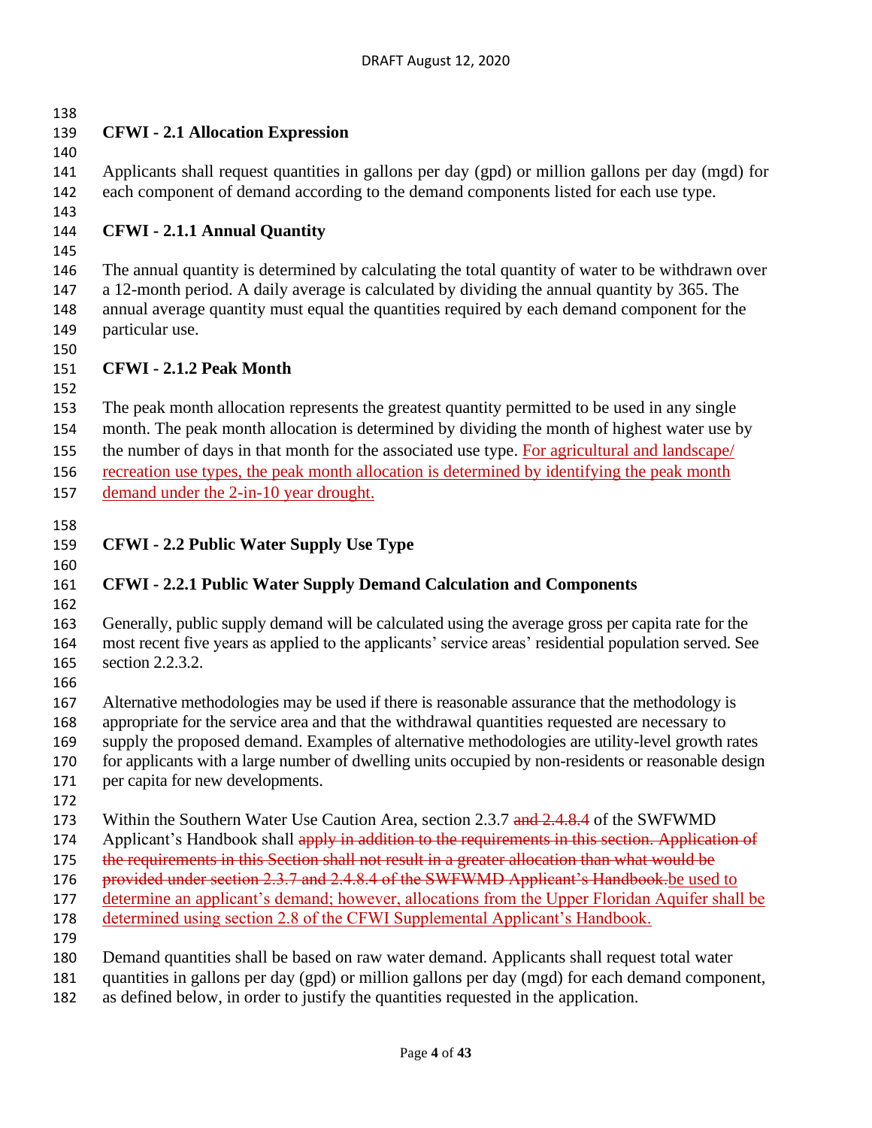**CFWI - 2.1 Allocation Expression** Applicants shall request quantities in gallons per day (gpd) or million gallons per day (mgd) for each component of demand according to the demand components listed for each use type. **CFWI - 2.1.1 Annual Quantity** The annual quantity is determined by calculating the total quantity of water to be withdrawn over a 12-month period. A daily average is calculated by dividing the annual quantity by 365. The annual average quantity must equal the quantities required by each demand component for the particular use. **CFWI - 2.1.2 Peak Month**  The peak month allocation represents the greatest quantity permitted to be used in any single month. The peak month allocation is determined by dividing the month of highest water use by the number of days in that month for the associated use type. For agricultural and landscape/ recreation use types, the peak month allocation is determined by identifying the peak month demand under the 2-in-10 year drought. **CFWI - 2.2 Public Water Supply Use Type CFWI - 2.2.1 Public Water Supply Demand Calculation and Components** Generally, public supply demand will be calculated using the average gross per capita rate for the most recent five years as applied to the applicants' service areas' residential population served. See section 2.2.3.2. Alternative methodologies may be used if there is reasonable assurance that the methodology is appropriate for the service area and that the withdrawal quantities requested are necessary to supply the proposed demand. Examples of alternative methodologies are utility-level growth rates for applicants with a large number of dwelling units occupied by non-residents or reasonable design per capita for new developments. 173 Within the Southern Water Use Caution Area, section 2.3.7 and 2.4.8.4 of the SWFWMD 174 Applicant's Handbook shall apply in addition to the requirements in this section. Application of 175 the requirements in this Section shall not result in a greater allocation than what would be 176 provided under section 2.3.7 and 2.4.8.4 of the SWFWMD Applicant's Handbook.be used to determine an applicant's demand; however, allocations from the Upper Floridan Aquifer shall be 178 determined using section 2.8 of the CFWI Supplemental Applicant's Handbook. Demand quantities shall be based on raw water demand. Applicants shall request total water quantities in gallons per day (gpd) or million gallons per day (mgd) for each demand component,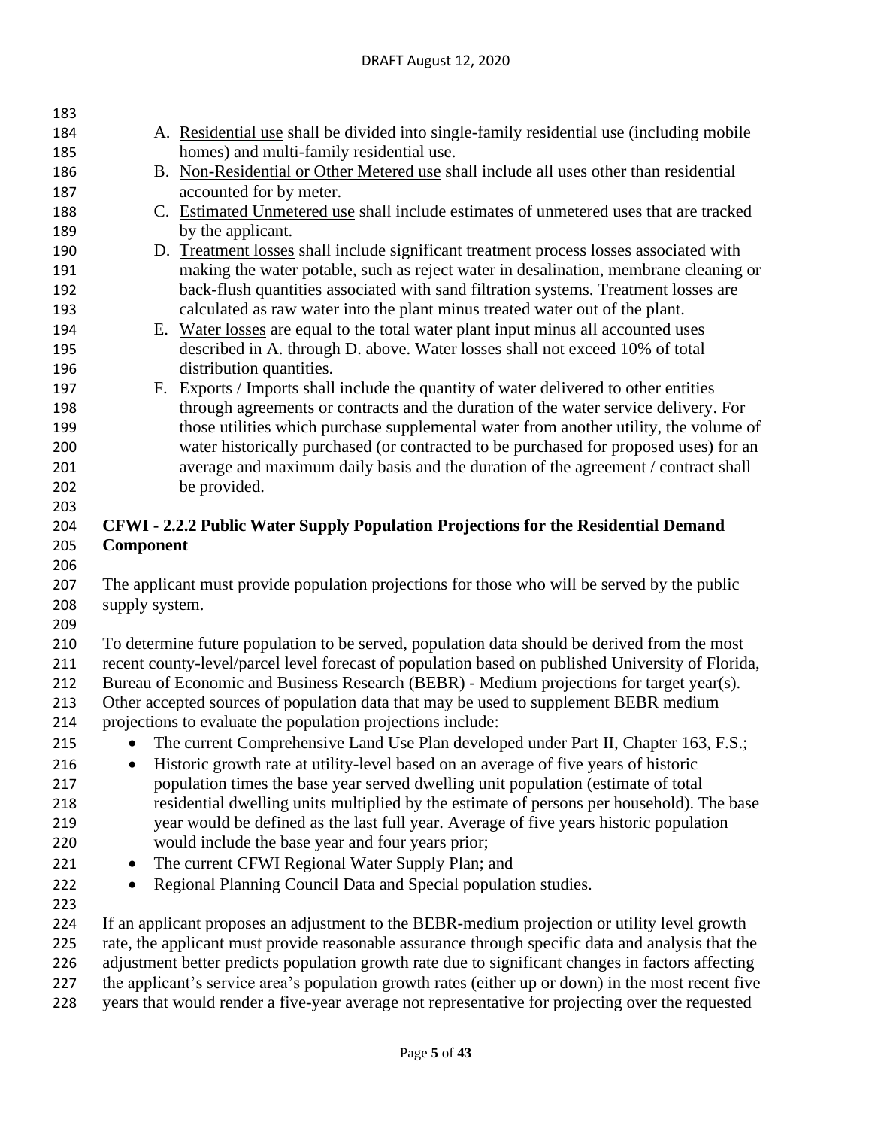| 183        |                                                                                                   |                                                                                                                                                                                                   |  |  |  |
|------------|---------------------------------------------------------------------------------------------------|---------------------------------------------------------------------------------------------------------------------------------------------------------------------------------------------------|--|--|--|
| 184        |                                                                                                   | A. Residential use shall be divided into single-family residential use (including mobile                                                                                                          |  |  |  |
| 185        |                                                                                                   | homes) and multi-family residential use.                                                                                                                                                          |  |  |  |
| 186        |                                                                                                   | B. Non-Residential or Other Metered use shall include all uses other than residential                                                                                                             |  |  |  |
| 187        |                                                                                                   | accounted for by meter.                                                                                                                                                                           |  |  |  |
| 188        |                                                                                                   | C. Estimated Unmetered use shall include estimates of unmetered uses that are tracked                                                                                                             |  |  |  |
| 189        |                                                                                                   | by the applicant.                                                                                                                                                                                 |  |  |  |
| 190        |                                                                                                   | D. Treatment losses shall include significant treatment process losses associated with                                                                                                            |  |  |  |
| 191        |                                                                                                   | making the water potable, such as reject water in desalination, membrane cleaning or                                                                                                              |  |  |  |
| 192        |                                                                                                   | back-flush quantities associated with sand filtration systems. Treatment losses are                                                                                                               |  |  |  |
| 193        |                                                                                                   | calculated as raw water into the plant minus treated water out of the plant.                                                                                                                      |  |  |  |
| 194        |                                                                                                   | E. Water losses are equal to the total water plant input minus all accounted uses                                                                                                                 |  |  |  |
| 195        |                                                                                                   | described in A. through D. above. Water losses shall not exceed 10% of total                                                                                                                      |  |  |  |
| 196        |                                                                                                   | distribution quantities.                                                                                                                                                                          |  |  |  |
| 197        |                                                                                                   | F. Exports / Imports shall include the quantity of water delivered to other entities                                                                                                              |  |  |  |
| 198        |                                                                                                   | through agreements or contracts and the duration of the water service delivery. For                                                                                                               |  |  |  |
| 199        |                                                                                                   | those utilities which purchase supplemental water from another utility, the volume of                                                                                                             |  |  |  |
| 200        |                                                                                                   | water historically purchased (or contracted to be purchased for proposed uses) for an                                                                                                             |  |  |  |
| 201        |                                                                                                   | average and maximum daily basis and the duration of the agreement / contract shall                                                                                                                |  |  |  |
| 202        |                                                                                                   | be provided.                                                                                                                                                                                      |  |  |  |
| 203        |                                                                                                   |                                                                                                                                                                                                   |  |  |  |
| 204        |                                                                                                   | CFWI - 2.2.2 Public Water Supply Population Projections for the Residential Demand                                                                                                                |  |  |  |
| 205        | Component                                                                                         |                                                                                                                                                                                                   |  |  |  |
| 206        |                                                                                                   |                                                                                                                                                                                                   |  |  |  |
| 207        | The applicant must provide population projections for those who will be served by the public      |                                                                                                                                                                                                   |  |  |  |
| 208        | supply system.                                                                                    |                                                                                                                                                                                                   |  |  |  |
| 209        |                                                                                                   |                                                                                                                                                                                                   |  |  |  |
| 210<br>211 |                                                                                                   | To determine future population to be served, population data should be derived from the most<br>recent county-level/parcel level forecast of population based on published University of Florida, |  |  |  |
| 212        |                                                                                                   | Bureau of Economic and Business Research (BEBR) - Medium projections for target year(s).                                                                                                          |  |  |  |
| 213        | Other accepted sources of population data that may be used to supplement BEBR medium              |                                                                                                                                                                                                   |  |  |  |
| 214        |                                                                                                   | projections to evaluate the population projections include:                                                                                                                                       |  |  |  |
| 215        |                                                                                                   | The current Comprehensive Land Use Plan developed under Part II, Chapter 163, F.S.;                                                                                                               |  |  |  |
| 216        | $\bullet$                                                                                         | Historic growth rate at utility-level based on an average of five years of historic                                                                                                               |  |  |  |
| 217        | population times the base year served dwelling unit population (estimate of total                 |                                                                                                                                                                                                   |  |  |  |
| 218        |                                                                                                   | residential dwelling units multiplied by the estimate of persons per household). The base                                                                                                         |  |  |  |
| 219        |                                                                                                   | year would be defined as the last full year. Average of five years historic population                                                                                                            |  |  |  |
| 220        |                                                                                                   | would include the base year and four years prior;                                                                                                                                                 |  |  |  |
| 221        | $\bullet$                                                                                         | The current CFWI Regional Water Supply Plan; and                                                                                                                                                  |  |  |  |
| 222        | $\bullet$                                                                                         | Regional Planning Council Data and Special population studies.                                                                                                                                    |  |  |  |
| 223        |                                                                                                   |                                                                                                                                                                                                   |  |  |  |
| 224        |                                                                                                   |                                                                                                                                                                                                   |  |  |  |
| 225        |                                                                                                   | If an applicant proposes an adjustment to the BEBR-medium projection or utility level growth<br>rate, the applicant must provide reasonable assurance through specific data and analysis that the |  |  |  |
| 226        | adjustment better predicts population growth rate due to significant changes in factors affecting |                                                                                                                                                                                                   |  |  |  |
| 227        |                                                                                                   | the applicant's service area's population growth rates (either up or down) in the most recent five                                                                                                |  |  |  |
| 228        | years that would render a five-year average not representative for projecting over the requested  |                                                                                                                                                                                                   |  |  |  |
|            |                                                                                                   |                                                                                                                                                                                                   |  |  |  |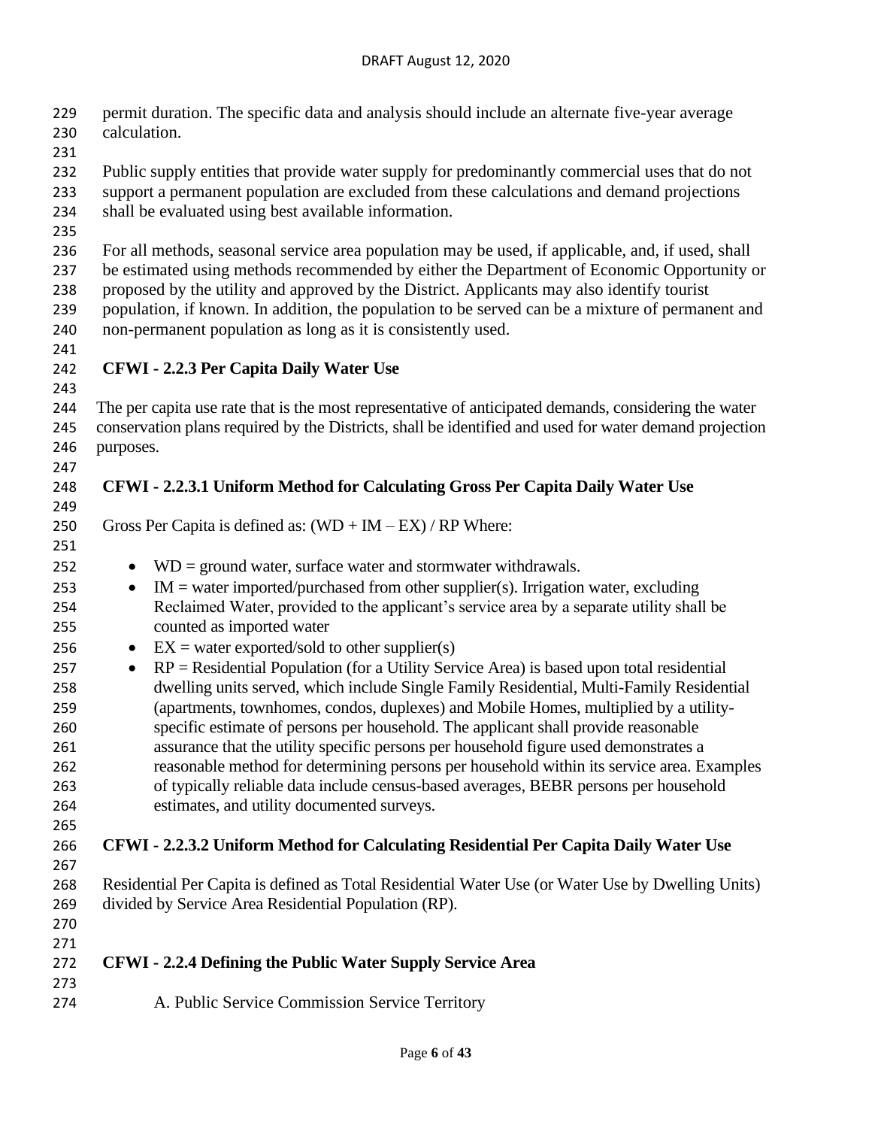permit duration. The specific data and analysis should include an alternate five-year average calculation.

 Public supply entities that provide water supply for predominantly commercial uses that do not support a permanent population are excluded from these calculations and demand projections

- shall be evaluated using best available information.
- 

For all methods, seasonal service area population may be used, if applicable, and, if used, shall

 be estimated using methods recommended by either the Department of Economic Opportunity or proposed by the utility and approved by the District. Applicants may also identify tourist

 population, if known. In addition, the population to be served can be a mixture of permanent and non-permanent population as long as it is consistently used.

# **CFWI - 2.2.3 Per Capita Daily Water Use**

 The per capita use rate that is the most representative of anticipated demands, considering the water conservation plans required by the Districts, shall be identified and used for water demand projection purposes.

### **CFWI - 2.2.3.1 Uniform Method for Calculating Gross Per Capita Daily Water Use**

250 Gross Per Capita is defined as:  $(WD + IM - EX) / RP$  Where:

- 
- 252 WD = ground water, surface water and stormwater withdrawals.
- 253 IM = water imported/purchased from other supplier(s). Irrigation water, excluding Reclaimed Water, provided to the applicant's service area by a separate utility shall be counted as imported water
- 256 EX = water exported/sold to other supplier(s)
- RP = Residential Population (for a Utility Service Area) is based upon total residential dwelling units served, which include Single Family Residential, Multi-Family Residential (apartments, townhomes, condos, duplexes) and Mobile Homes, multiplied by a utility- specific estimate of persons per household. The applicant shall provide reasonable assurance that the utility specific persons per household figure used demonstrates a reasonable method for determining persons per household within its service area. Examples of typically reliable data include census-based averages, BEBR persons per household estimates, and utility documented surveys.
- 

- **CFWI - 2.2.3.2 Uniform Method for Calculating Residential Per Capita Daily Water Use**
- Residential Per Capita is defined as Total Residential Water Use (or Water Use by Dwelling Units) divided by Service Area Residential Population (RP).
- 

- **CFWI - 2.2.4 Defining the Public Water Supply Service Area**
- A. Public Service Commission Service Territory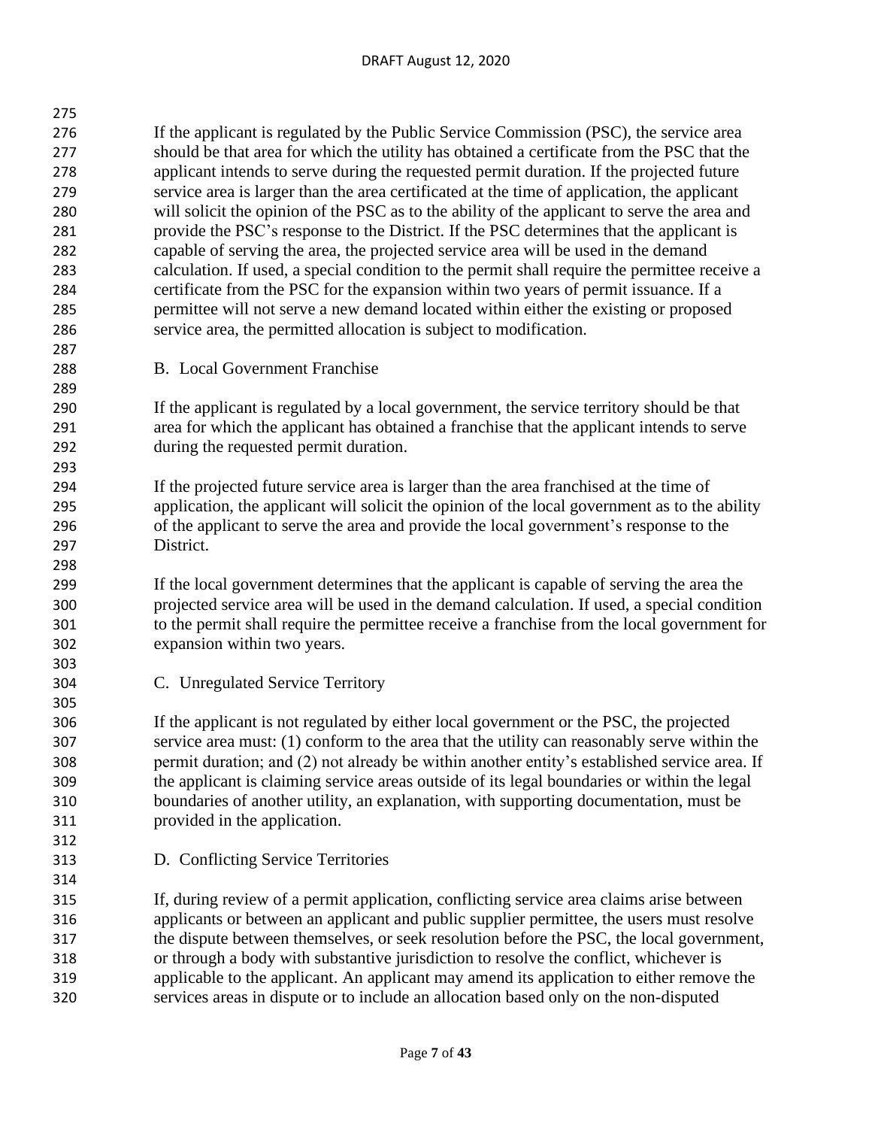| 275 |                                                                                               |
|-----|-----------------------------------------------------------------------------------------------|
| 276 | If the applicant is regulated by the Public Service Commission (PSC), the service area        |
| 277 | should be that area for which the utility has obtained a certificate from the PSC that the    |
| 278 | applicant intends to serve during the requested permit duration. If the projected future      |
| 279 | service area is larger than the area certificated at the time of application, the applicant   |
| 280 | will solicit the opinion of the PSC as to the ability of the applicant to serve the area and  |
| 281 | provide the PSC's response to the District. If the PSC determines that the applicant is       |
| 282 | capable of serving the area, the projected service area will be used in the demand            |
| 283 | calculation. If used, a special condition to the permit shall require the permittee receive a |
| 284 | certificate from the PSC for the expansion within two years of permit issuance. If a          |
| 285 | permittee will not serve a new demand located within either the existing or proposed          |
| 286 | service area, the permitted allocation is subject to modification.                            |
| 287 |                                                                                               |

B. Local Government Franchise

 If the applicant is regulated by a local government, the service territory should be that area for which the applicant has obtained a franchise that the applicant intends to serve during the requested permit duration.

 If the projected future service area is larger than the area franchised at the time of application, the applicant will solicit the opinion of the local government as to the ability of the applicant to serve the area and provide the local government's response to the District.

 If the local government determines that the applicant is capable of serving the area the projected service area will be used in the demand calculation. If used, a special condition to the permit shall require the permittee receive a franchise from the local government for expansion within two years.

C. Unregulated Service Territory

 If the applicant is not regulated by either local government or the PSC, the projected service area must: (1) conform to the area that the utility can reasonably serve within the permit duration; and (2) not already be within another entity's established service area. If the applicant is claiming service areas outside of its legal boundaries or within the legal boundaries of another utility, an explanation, with supporting documentation, must be provided in the application.

D. Conflicting Service Territories

 If, during review of a permit application, conflicting service area claims arise between applicants or between an applicant and public supplier permittee, the users must resolve the dispute between themselves, or seek resolution before the PSC, the local government, or through a body with substantive jurisdiction to resolve the conflict, whichever is applicable to the applicant. An applicant may amend its application to either remove the services areas in dispute or to include an allocation based only on the non-disputed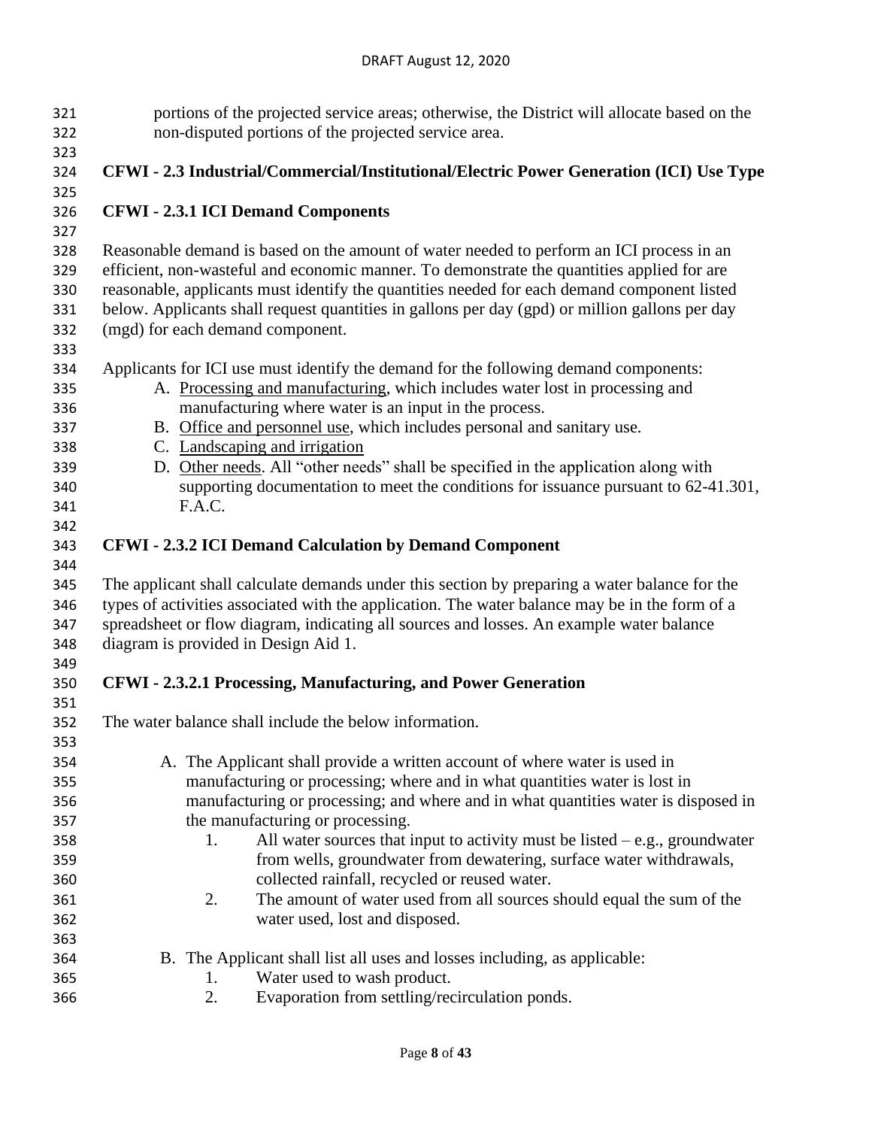| 321 | portions of the projected service areas; otherwise, the District will allocate based on the    |  |  |  |  |
|-----|------------------------------------------------------------------------------------------------|--|--|--|--|
| 322 | non-disputed portions of the projected service area.                                           |  |  |  |  |
| 323 |                                                                                                |  |  |  |  |
| 324 | CFWI - 2.3 Industrial/Commercial/Institutional/Electric Power Generation (ICI) Use Type        |  |  |  |  |
| 325 |                                                                                                |  |  |  |  |
| 326 | <b>CFWI - 2.3.1 ICI Demand Components</b>                                                      |  |  |  |  |
| 327 |                                                                                                |  |  |  |  |
| 328 | Reasonable demand is based on the amount of water needed to perform an ICI process in an       |  |  |  |  |
| 329 | efficient, non-wasteful and economic manner. To demonstrate the quantities applied for are     |  |  |  |  |
| 330 | reasonable, applicants must identify the quantities needed for each demand component listed    |  |  |  |  |
|     |                                                                                                |  |  |  |  |
| 331 | below. Applicants shall request quantities in gallons per day (gpd) or million gallons per day |  |  |  |  |
| 332 | (mgd) for each demand component.                                                               |  |  |  |  |
| 333 |                                                                                                |  |  |  |  |
| 334 | Applicants for ICI use must identify the demand for the following demand components:           |  |  |  |  |
| 335 | A. Processing and manufacturing, which includes water lost in processing and                   |  |  |  |  |
| 336 | manufacturing where water is an input in the process.                                          |  |  |  |  |
| 337 | B. Office and personnel use, which includes personal and sanitary use.                         |  |  |  |  |
| 338 | C. Landscaping and irrigation                                                                  |  |  |  |  |
| 339 | D. Other needs. All "other needs" shall be specified in the application along with             |  |  |  |  |
| 340 | supporting documentation to meet the conditions for issuance pursuant to 62-41.301,            |  |  |  |  |
| 341 | F.A.C.                                                                                         |  |  |  |  |
| 342 |                                                                                                |  |  |  |  |
| 343 | <b>CFWI - 2.3.2 ICI Demand Calculation by Demand Component</b>                                 |  |  |  |  |
| 344 |                                                                                                |  |  |  |  |
| 345 | The applicant shall calculate demands under this section by preparing a water balance for the  |  |  |  |  |
|     |                                                                                                |  |  |  |  |
| 346 | types of activities associated with the application. The water balance may be in the form of a |  |  |  |  |
| 347 | spreadsheet or flow diagram, indicating all sources and losses. An example water balance       |  |  |  |  |
| 348 | diagram is provided in Design Aid 1.                                                           |  |  |  |  |
| 349 |                                                                                                |  |  |  |  |
| 350 | CFWI - 2.3.2.1 Processing, Manufacturing, and Power Generation                                 |  |  |  |  |
| 351 |                                                                                                |  |  |  |  |
| 352 | The water balance shall include the below information.                                         |  |  |  |  |
| 353 |                                                                                                |  |  |  |  |
| 354 | A. The Applicant shall provide a written account of where water is used in                     |  |  |  |  |
| 355 | manufacturing or processing; where and in what quantities water is lost in                     |  |  |  |  |
| 356 | manufacturing or processing; and where and in what quantities water is disposed in             |  |  |  |  |
| 357 | the manufacturing or processing.                                                               |  |  |  |  |
| 358 | All water sources that input to activity must be listed $-e.g.,$ groundwater<br>1.             |  |  |  |  |
| 359 | from wells, groundwater from dewatering, surface water withdrawals,                            |  |  |  |  |
| 360 | collected rainfall, recycled or reused water.                                                  |  |  |  |  |
| 361 | The amount of water used from all sources should equal the sum of the<br>2.                    |  |  |  |  |
| 362 | water used, lost and disposed.                                                                 |  |  |  |  |
| 363 |                                                                                                |  |  |  |  |
| 364 | B. The Applicant shall list all uses and losses including, as applicable:                      |  |  |  |  |
| 365 | Water used to wash product.<br>1.                                                              |  |  |  |  |
|     | 2.<br>Evaporation from settling/recirculation ponds.                                           |  |  |  |  |
| 366 |                                                                                                |  |  |  |  |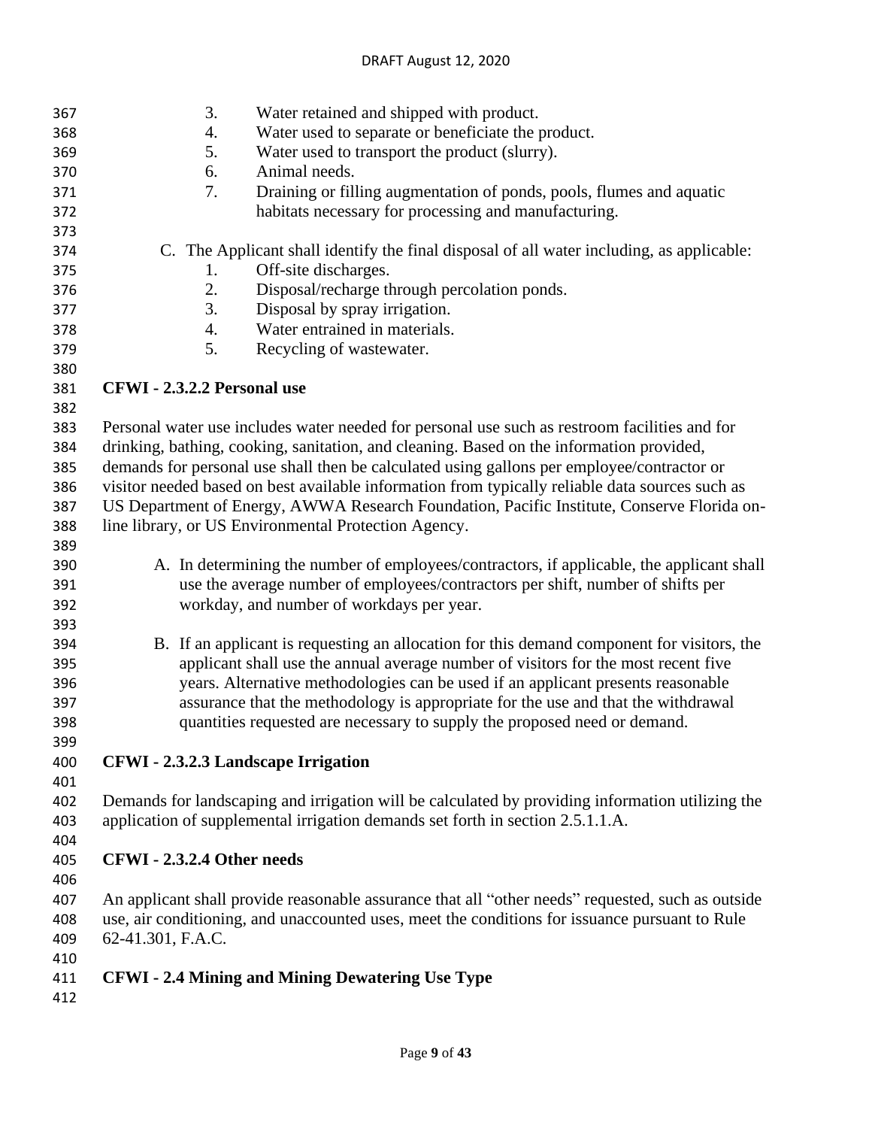| 367 | 3.                                                                                             | Water retained and shipped with product.                                                          |  |  |  |
|-----|------------------------------------------------------------------------------------------------|---------------------------------------------------------------------------------------------------|--|--|--|
| 368 | 4.                                                                                             | Water used to separate or beneficiate the product.                                                |  |  |  |
| 369 | 5.                                                                                             | Water used to transport the product (slurry).                                                     |  |  |  |
| 370 | 6.                                                                                             | Animal needs.                                                                                     |  |  |  |
| 371 | 7.                                                                                             | Draining or filling augmentation of ponds, pools, flumes and aquatic                              |  |  |  |
| 372 |                                                                                                | habitats necessary for processing and manufacturing.                                              |  |  |  |
| 373 |                                                                                                |                                                                                                   |  |  |  |
| 374 |                                                                                                | C. The Applicant shall identify the final disposal of all water including, as applicable:         |  |  |  |
| 375 | 1.                                                                                             | Off-site discharges.                                                                              |  |  |  |
| 376 | 2.                                                                                             | Disposal/recharge through percolation ponds.                                                      |  |  |  |
| 377 | 3.                                                                                             | Disposal by spray irrigation.                                                                     |  |  |  |
| 378 | 4.                                                                                             | Water entrained in materials.                                                                     |  |  |  |
| 379 | 5.                                                                                             | Recycling of wastewater.                                                                          |  |  |  |
| 380 |                                                                                                |                                                                                                   |  |  |  |
| 381 | CFWI - 2.3.2.2 Personal use                                                                    |                                                                                                   |  |  |  |
| 382 |                                                                                                |                                                                                                   |  |  |  |
| 383 |                                                                                                | Personal water use includes water needed for personal use such as restroom facilities and for     |  |  |  |
| 384 |                                                                                                | drinking, bathing, cooking, sanitation, and cleaning. Based on the information provided,          |  |  |  |
| 385 |                                                                                                | demands for personal use shall then be calculated using gallons per employee/contractor or        |  |  |  |
| 386 |                                                                                                | visitor needed based on best available information from typically reliable data sources such as   |  |  |  |
| 387 |                                                                                                | US Department of Energy, AWWA Research Foundation, Pacific Institute, Conserve Florida on-        |  |  |  |
| 388 |                                                                                                | line library, or US Environmental Protection Agency.                                              |  |  |  |
| 389 |                                                                                                |                                                                                                   |  |  |  |
| 390 |                                                                                                | A. In determining the number of employees/contractors, if applicable, the applicant shall         |  |  |  |
| 391 |                                                                                                | use the average number of employees/contractors per shift, number of shifts per                   |  |  |  |
| 392 |                                                                                                | workday, and number of workdays per year.                                                         |  |  |  |
| 393 |                                                                                                |                                                                                                   |  |  |  |
| 394 |                                                                                                | B. If an applicant is requesting an allocation for this demand component for visitors, the        |  |  |  |
| 395 |                                                                                                | applicant shall use the annual average number of visitors for the most recent five                |  |  |  |
| 396 |                                                                                                | years. Alternative methodologies can be used if an applicant presents reasonable                  |  |  |  |
| 397 | assurance that the methodology is appropriate for the use and that the withdrawal              |                                                                                                   |  |  |  |
| 398 | quantities requested are necessary to supply the proposed need or demand.                      |                                                                                                   |  |  |  |
| 399 |                                                                                                |                                                                                                   |  |  |  |
| 400 | <b>CFWI</b> - 2.3.2.3 Landscape Irrigation                                                     |                                                                                                   |  |  |  |
| 401 |                                                                                                |                                                                                                   |  |  |  |
| 402 |                                                                                                | Demands for landscaping and irrigation will be calculated by providing information utilizing the  |  |  |  |
| 403 | application of supplemental irrigation demands set forth in section 2.5.1.1.A.                 |                                                                                                   |  |  |  |
| 404 |                                                                                                |                                                                                                   |  |  |  |
| 405 | CFWI - 2.3.2.4 Other needs                                                                     |                                                                                                   |  |  |  |
| 406 |                                                                                                |                                                                                                   |  |  |  |
| 407 |                                                                                                | An applicant shall provide reasonable assurance that all "other needs" requested, such as outside |  |  |  |
| 408 | use, air conditioning, and unaccounted uses, meet the conditions for issuance pursuant to Rule |                                                                                                   |  |  |  |
| 409 | 62-41.301, F.A.C.                                                                              |                                                                                                   |  |  |  |
| 410 |                                                                                                |                                                                                                   |  |  |  |
| 411 |                                                                                                | <b>CFWI</b> - 2.4 Mining and Mining Dewatering Use Type                                           |  |  |  |
| 412 |                                                                                                |                                                                                                   |  |  |  |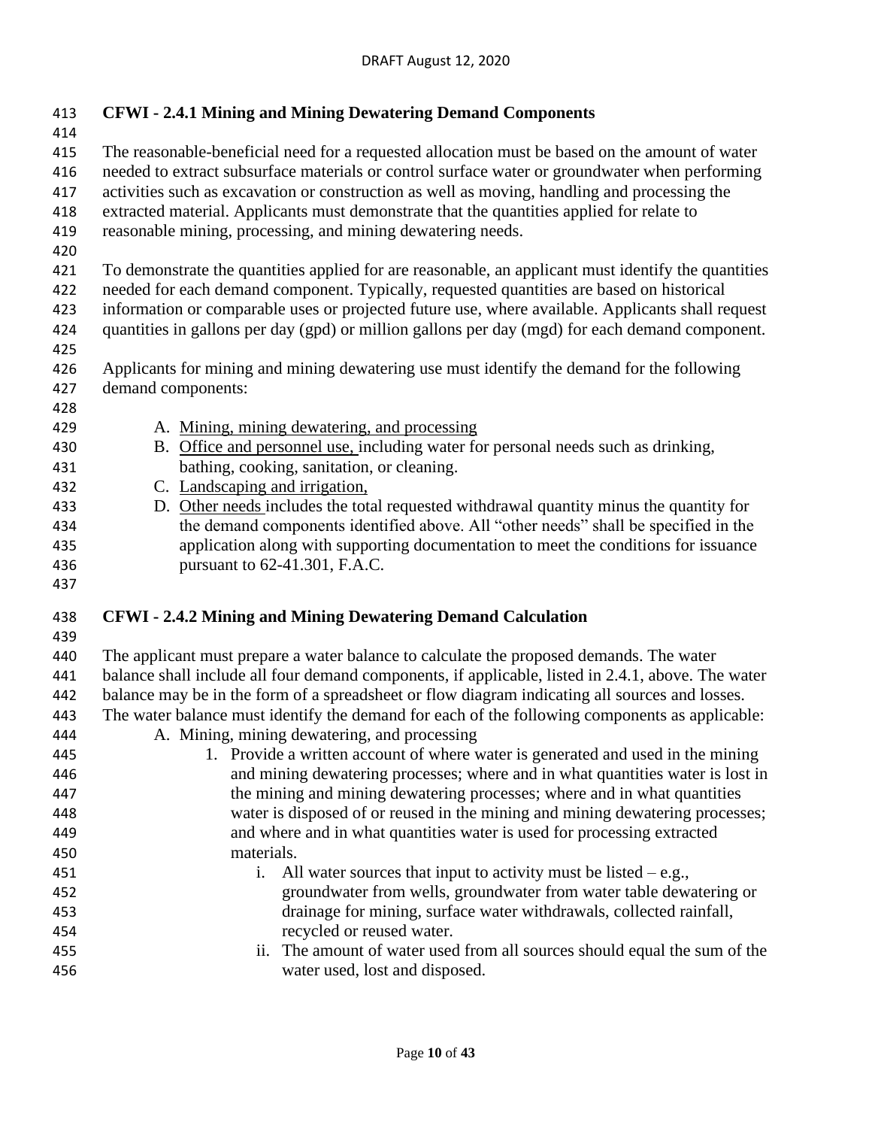| 413<br>414                                                         | <b>CFWI - 2.4.1 Mining and Mining Dewatering Demand Components</b>                                                                                                                                                                                                                                                                                                                                                                                                                                                                                                                                                                                                                                                                                                                                                                                             |  |  |  |
|--------------------------------------------------------------------|----------------------------------------------------------------------------------------------------------------------------------------------------------------------------------------------------------------------------------------------------------------------------------------------------------------------------------------------------------------------------------------------------------------------------------------------------------------------------------------------------------------------------------------------------------------------------------------------------------------------------------------------------------------------------------------------------------------------------------------------------------------------------------------------------------------------------------------------------------------|--|--|--|
| 415<br>416<br>417<br>418<br>419<br>420                             | The reasonable-beneficial need for a requested allocation must be based on the amount of water<br>needed to extract subsurface materials or control surface water or groundwater when performing<br>activities such as excavation or construction as well as moving, handling and processing the<br>extracted material. Applicants must demonstrate that the quantities applied for relate to<br>reasonable mining, processing, and mining dewatering needs.                                                                                                                                                                                                                                                                                                                                                                                                   |  |  |  |
| 421<br>422<br>423<br>424<br>425<br>426<br>427<br>428               | To demonstrate the quantities applied for are reasonable, an applicant must identify the quantities<br>needed for each demand component. Typically, requested quantities are based on historical<br>information or comparable uses or projected future use, where available. Applicants shall request<br>quantities in gallons per day (gpd) or million gallons per day (mgd) for each demand component.<br>Applicants for mining and mining dewatering use must identify the demand for the following<br>demand components:                                                                                                                                                                                                                                                                                                                                   |  |  |  |
| 429<br>430<br>431<br>432<br>433<br>434<br>435<br>436<br>437        | A. Mining, mining dewatering, and processing<br>B. Office and personnel use, including water for personal needs such as drinking,<br>bathing, cooking, sanitation, or cleaning.<br>C. Landscaping and irrigation,<br>D. Other needs includes the total requested withdrawal quantity minus the quantity for<br>the demand components identified above. All "other needs" shall be specified in the<br>application along with supporting documentation to meet the conditions for issuance<br>pursuant to 62-41.301, F.A.C.                                                                                                                                                                                                                                                                                                                                     |  |  |  |
| 438<br>439                                                         | <b>CFWI</b> - 2.4.2 Mining and Mining Dewatering Demand Calculation                                                                                                                                                                                                                                                                                                                                                                                                                                                                                                                                                                                                                                                                                                                                                                                            |  |  |  |
| 440<br>441<br>442<br>443<br>444<br>445<br>446<br>447<br>448<br>449 | The applicant must prepare a water balance to calculate the proposed demands. The water<br>balance shall include all four demand components, if applicable, listed in 2.4.1, above. The water<br>balance may be in the form of a spreadsheet or flow diagram indicating all sources and losses.<br>The water balance must identify the demand for each of the following components as applicable:<br>A. Mining, mining dewatering, and processing<br>1. Provide a written account of where water is generated and used in the mining<br>and mining dewatering processes; where and in what quantities water is lost in<br>the mining and mining dewatering processes; where and in what quantities<br>water is disposed of or reused in the mining and mining dewatering processes;<br>and where and in what quantities water is used for processing extracted |  |  |  |
| 450<br>451<br>452<br>453<br>454<br>455<br>456                      | materials.<br>All water sources that input to activity must be listed $-e.g.,$<br>$\mathbf{i}$ .<br>groundwater from wells, groundwater from water table dewatering or<br>drainage for mining, surface water withdrawals, collected rainfall,<br>recycled or reused water.<br>The amount of water used from all sources should equal the sum of the<br>ii.<br>water used, lost and disposed.                                                                                                                                                                                                                                                                                                                                                                                                                                                                   |  |  |  |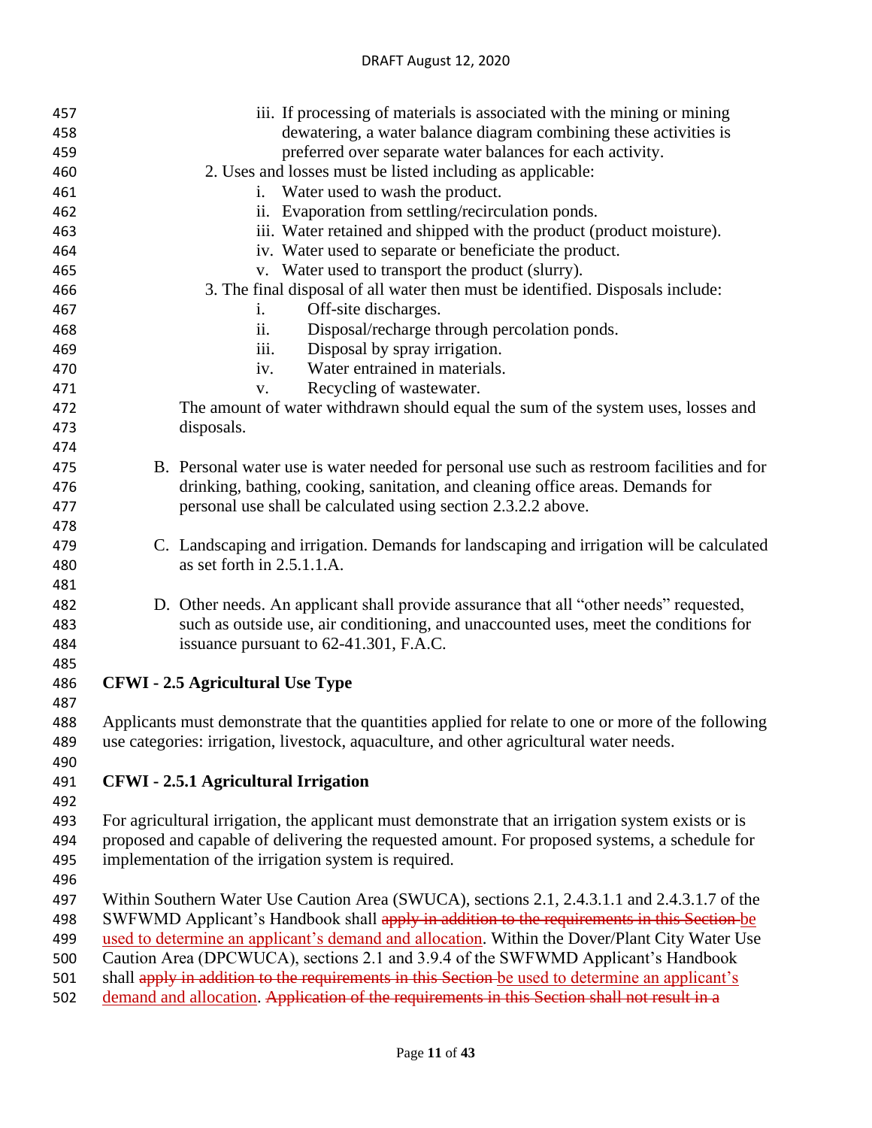#### DRAFT August 12, 2020

| 457 | iii. If processing of materials is associated with the mining or mining                                                                                                            |  |  |
|-----|------------------------------------------------------------------------------------------------------------------------------------------------------------------------------------|--|--|
| 458 | dewatering, a water balance diagram combining these activities is                                                                                                                  |  |  |
| 459 | preferred over separate water balances for each activity.                                                                                                                          |  |  |
| 460 | 2. Uses and losses must be listed including as applicable:                                                                                                                         |  |  |
| 461 | Water used to wash the product.<br>1.                                                                                                                                              |  |  |
| 462 | ii. Evaporation from settling/recirculation ponds.                                                                                                                                 |  |  |
| 463 | iii. Water retained and shipped with the product (product moisture).                                                                                                               |  |  |
| 464 | iv. Water used to separate or beneficiate the product.                                                                                                                             |  |  |
| 465 | v. Water used to transport the product (slurry).                                                                                                                                   |  |  |
| 466 | 3. The final disposal of all water then must be identified. Disposals include:                                                                                                     |  |  |
| 467 | Off-site discharges.<br>$\mathbf{i}$ .                                                                                                                                             |  |  |
| 468 | Disposal/recharge through percolation ponds.<br>$\overline{11}$ .                                                                                                                  |  |  |
| 469 | Disposal by spray irrigation.<br>iii.                                                                                                                                              |  |  |
| 470 | Water entrained in materials.<br>iv.                                                                                                                                               |  |  |
| 471 | Recycling of wastewater.<br>V.                                                                                                                                                     |  |  |
| 472 | The amount of water withdrawn should equal the sum of the system uses, losses and                                                                                                  |  |  |
| 473 | disposals.                                                                                                                                                                         |  |  |
| 474 |                                                                                                                                                                                    |  |  |
| 475 | B. Personal water use is water needed for personal use such as restroom facilities and for                                                                                         |  |  |
| 476 | drinking, bathing, cooking, sanitation, and cleaning office areas. Demands for                                                                                                     |  |  |
| 477 | personal use shall be calculated using section 2.3.2.2 above.                                                                                                                      |  |  |
| 478 |                                                                                                                                                                                    |  |  |
| 479 | C. Landscaping and irrigation. Demands for landscaping and irrigation will be calculated                                                                                           |  |  |
| 480 | as set forth in 2.5.1.1.A.                                                                                                                                                         |  |  |
| 481 |                                                                                                                                                                                    |  |  |
| 482 | D. Other needs. An applicant shall provide assurance that all "other needs" requested,                                                                                             |  |  |
| 483 | such as outside use, air conditioning, and unaccounted uses, meet the conditions for                                                                                               |  |  |
| 484 | issuance pursuant to 62-41.301, F.A.C.                                                                                                                                             |  |  |
| 485 |                                                                                                                                                                                    |  |  |
| 486 | <b>CFWI</b> - 2.5 Agricultural Use Type                                                                                                                                            |  |  |
| 487 |                                                                                                                                                                                    |  |  |
| 488 | Applicants must demonstrate that the quantities applied for relate to one or more of the following                                                                                 |  |  |
| 489 | use categories: irrigation, livestock, aquaculture, and other agricultural water needs.                                                                                            |  |  |
| 490 |                                                                                                                                                                                    |  |  |
| 491 | <b>CFWI</b> - 2.5.1 Agricultural Irrigation                                                                                                                                        |  |  |
| 492 |                                                                                                                                                                                    |  |  |
| 493 | For agricultural irrigation, the applicant must demonstrate that an irrigation system exists or is                                                                                 |  |  |
| 494 | proposed and capable of delivering the requested amount. For proposed systems, a schedule for                                                                                      |  |  |
| 495 | implementation of the irrigation system is required.                                                                                                                               |  |  |
| 496 |                                                                                                                                                                                    |  |  |
| 497 | Within Southern Water Use Caution Area (SWUCA), sections 2.1, 2.4.3.1.1 and 2.4.3.1.7 of the                                                                                       |  |  |
| 498 |                                                                                                                                                                                    |  |  |
| 499 | SWFWMD Applicant's Handbook shall apply in addition to the requirements in this Section be                                                                                         |  |  |
| 500 | used to determine an applicant's demand and allocation. Within the Dover/Plant City Water Use<br>Caution Area (DPCWUCA), sections 2.1 and 3.9.4 of the SWFWMD Applicant's Handbook |  |  |
|     | shall apply in addition to the requirements in this Section be used to determine an applicant's                                                                                    |  |  |
| 501 |                                                                                                                                                                                    |  |  |
| 502 | demand and allocation. Application of the requirements in this Section shall not result in a                                                                                       |  |  |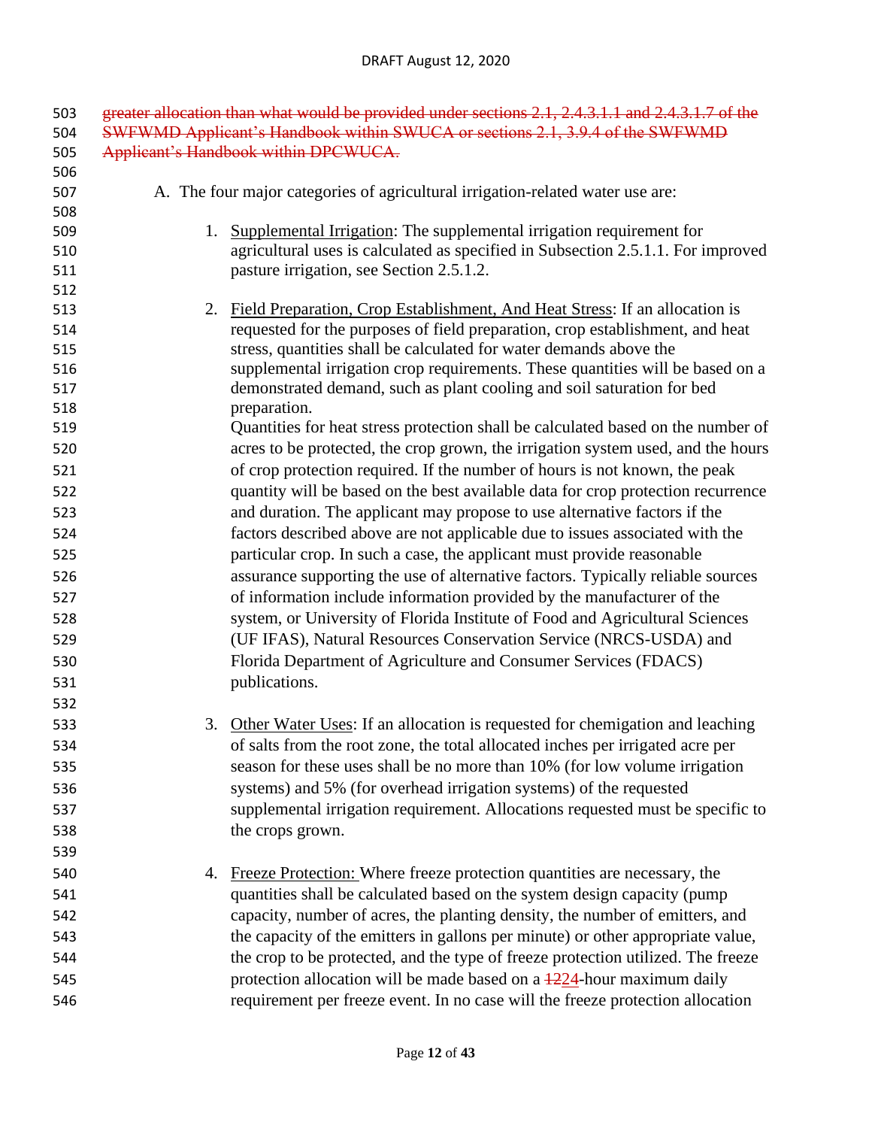| 503        | greater allocation than what would be provided under sections 2.1, 2.4.3.1.1 and 2.4.3.1.7 of the |                                                                                                                                                     |  |  |
|------------|---------------------------------------------------------------------------------------------------|-----------------------------------------------------------------------------------------------------------------------------------------------------|--|--|
| 504        | SWFWMD Applicant's Handbook within SWUCA or sections 2.1, 3.9.4 of the SWFWMD                     |                                                                                                                                                     |  |  |
| 505        | Applicant's Handbook within DPCWUCA.                                                              |                                                                                                                                                     |  |  |
| 506        |                                                                                                   |                                                                                                                                                     |  |  |
| 507        |                                                                                                   | A. The four major categories of agricultural irrigation-related water use are:                                                                      |  |  |
| 508        |                                                                                                   |                                                                                                                                                     |  |  |
| 509        |                                                                                                   | 1. Supplemental Irrigation: The supplemental irrigation requirement for                                                                             |  |  |
| 510        |                                                                                                   | agricultural uses is calculated as specified in Subsection 2.5.1.1. For improved                                                                    |  |  |
| 511        |                                                                                                   | pasture irrigation, see Section 2.5.1.2.                                                                                                            |  |  |
| 512        |                                                                                                   |                                                                                                                                                     |  |  |
| 513        | 2.                                                                                                | Field Preparation, Crop Establishment, And Heat Stress: If an allocation is                                                                         |  |  |
| 514<br>515 |                                                                                                   | requested for the purposes of field preparation, crop establishment, and heat<br>stress, quantities shall be calculated for water demands above the |  |  |
| 516        |                                                                                                   | supplemental irrigation crop requirements. These quantities will be based on a                                                                      |  |  |
| 517        |                                                                                                   | demonstrated demand, such as plant cooling and soil saturation for bed                                                                              |  |  |
| 518        |                                                                                                   | preparation.                                                                                                                                        |  |  |
| 519        |                                                                                                   | Quantities for heat stress protection shall be calculated based on the number of                                                                    |  |  |
| 520        |                                                                                                   | acres to be protected, the crop grown, the irrigation system used, and the hours                                                                    |  |  |
| 521        |                                                                                                   | of crop protection required. If the number of hours is not known, the peak                                                                          |  |  |
| 522        |                                                                                                   | quantity will be based on the best available data for crop protection recurrence                                                                    |  |  |
| 523        |                                                                                                   | and duration. The applicant may propose to use alternative factors if the                                                                           |  |  |
| 524        |                                                                                                   | factors described above are not applicable due to issues associated with the                                                                        |  |  |
| 525        |                                                                                                   | particular crop. In such a case, the applicant must provide reasonable                                                                              |  |  |
| 526        |                                                                                                   | assurance supporting the use of alternative factors. Typically reliable sources                                                                     |  |  |
| 527        |                                                                                                   | of information include information provided by the manufacturer of the                                                                              |  |  |
| 528        |                                                                                                   | system, or University of Florida Institute of Food and Agricultural Sciences                                                                        |  |  |
| 529        |                                                                                                   | (UF IFAS), Natural Resources Conservation Service (NRCS-USDA) and                                                                                   |  |  |
| 530        |                                                                                                   | Florida Department of Agriculture and Consumer Services (FDACS)                                                                                     |  |  |
| 531        |                                                                                                   | publications.                                                                                                                                       |  |  |
| 532        |                                                                                                   |                                                                                                                                                     |  |  |
| 533        | 3.                                                                                                | Other Water Uses: If an allocation is requested for chemigation and leaching                                                                        |  |  |
| 534        |                                                                                                   | of salts from the root zone, the total allocated inches per irrigated acre per                                                                      |  |  |
| 535        |                                                                                                   | season for these uses shall be no more than 10% (for low volume irrigation                                                                          |  |  |
|            |                                                                                                   | systems) and 5% (for overhead irrigation systems) of the requested                                                                                  |  |  |
| 536        |                                                                                                   |                                                                                                                                                     |  |  |
| 537        |                                                                                                   | supplemental irrigation requirement. Allocations requested must be specific to                                                                      |  |  |
| 538        |                                                                                                   | the crops grown.                                                                                                                                    |  |  |
| 539        |                                                                                                   |                                                                                                                                                     |  |  |
| 540        | 4.                                                                                                | Freeze Protection: Where freeze protection quantities are necessary, the                                                                            |  |  |
| 541        |                                                                                                   | quantities shall be calculated based on the system design capacity (pump                                                                            |  |  |
| 542        |                                                                                                   | capacity, number of acres, the planting density, the number of emitters, and                                                                        |  |  |
| 543        |                                                                                                   | the capacity of the emitters in gallons per minute) or other appropriate value,                                                                     |  |  |
| 544        |                                                                                                   | the crop to be protected, and the type of freeze protection utilized. The freeze                                                                    |  |  |
| 545        |                                                                                                   | protection allocation will be made based on a $\frac{1224}{120}$ -hour maximum daily                                                                |  |  |
| 546        |                                                                                                   | requirement per freeze event. In no case will the freeze protection allocation                                                                      |  |  |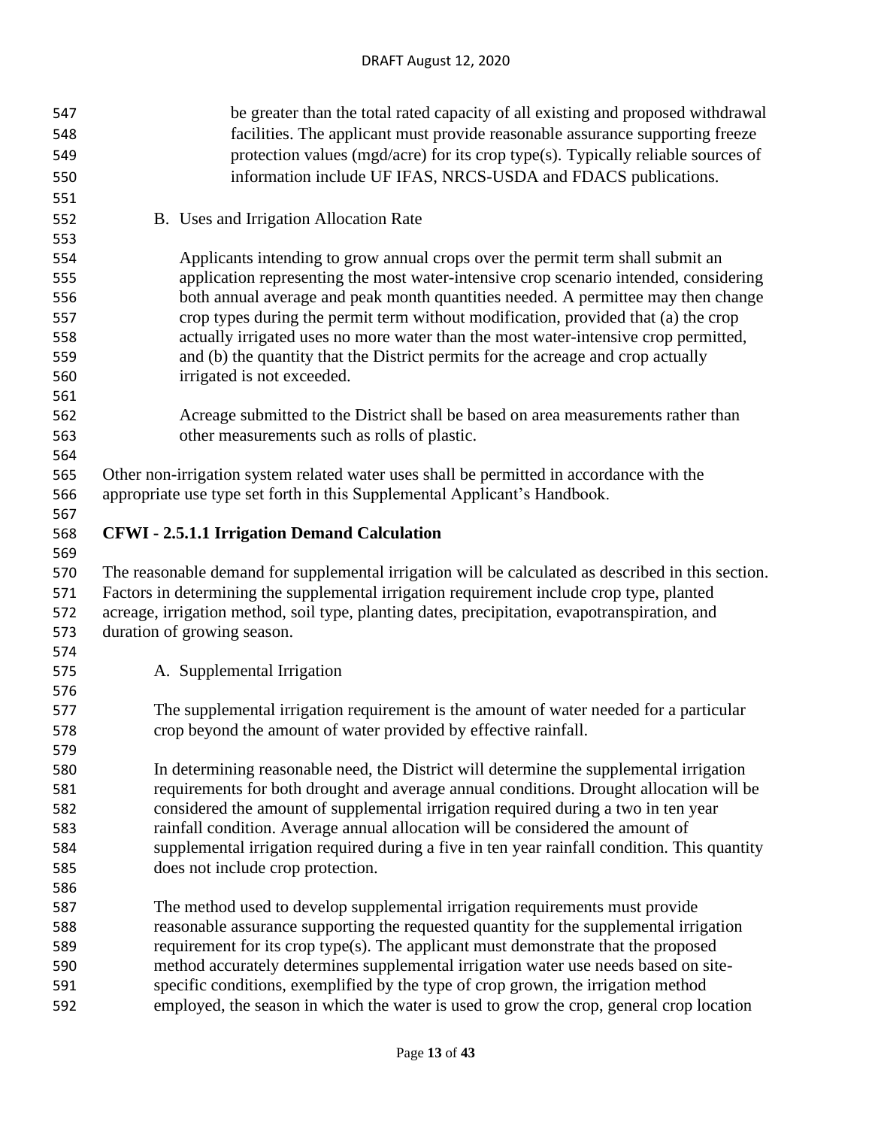| 547        | be greater than the total rated capacity of all existing and proposed withdrawal                                                                                             |  |  |
|------------|------------------------------------------------------------------------------------------------------------------------------------------------------------------------------|--|--|
| 548        | facilities. The applicant must provide reasonable assurance supporting freeze                                                                                                |  |  |
| 549        | protection values (mgd/acre) for its crop type(s). Typically reliable sources of                                                                                             |  |  |
| 550        | information include UF IFAS, NRCS-USDA and FDACS publications.                                                                                                               |  |  |
| 551        |                                                                                                                                                                              |  |  |
| 552        | B. Uses and Irrigation Allocation Rate                                                                                                                                       |  |  |
| 553        |                                                                                                                                                                              |  |  |
| 554        | Applicants intending to grow annual crops over the permit term shall submit an                                                                                               |  |  |
| 555        | application representing the most water-intensive crop scenario intended, considering                                                                                        |  |  |
| 556        | both annual average and peak month quantities needed. A permittee may then change                                                                                            |  |  |
| 557        | crop types during the permit term without modification, provided that (a) the crop                                                                                           |  |  |
| 558        | actually irrigated uses no more water than the most water-intensive crop permitted,                                                                                          |  |  |
| 559        | and (b) the quantity that the District permits for the acreage and crop actually                                                                                             |  |  |
| 560        | irrigated is not exceeded.                                                                                                                                                   |  |  |
| 561        |                                                                                                                                                                              |  |  |
| 562        | Acreage submitted to the District shall be based on area measurements rather than                                                                                            |  |  |
| 563        | other measurements such as rolls of plastic.                                                                                                                                 |  |  |
| 564        |                                                                                                                                                                              |  |  |
| 565        | Other non-irrigation system related water uses shall be permitted in accordance with the                                                                                     |  |  |
| 566        | appropriate use type set forth in this Supplemental Applicant's Handbook.                                                                                                    |  |  |
| 567        |                                                                                                                                                                              |  |  |
| 568        | <b>CFWI</b> - 2.5.1.1 Irrigation Demand Calculation                                                                                                                          |  |  |
| 569        |                                                                                                                                                                              |  |  |
| 570        | The reasonable demand for supplemental irrigation will be calculated as described in this section.                                                                           |  |  |
| 571        | Factors in determining the supplemental irrigation requirement include crop type, planted                                                                                    |  |  |
| 572        | acreage, irrigation method, soil type, planting dates, precipitation, evapotranspiration, and                                                                                |  |  |
| 573        | duration of growing season.                                                                                                                                                  |  |  |
| 574        |                                                                                                                                                                              |  |  |
| 575        | A. Supplemental Irrigation                                                                                                                                                   |  |  |
| 576        |                                                                                                                                                                              |  |  |
| 577        | The supplemental irrigation requirement is the amount of water needed for a particular                                                                                       |  |  |
| 578        | crop beyond the amount of water provided by effective rainfall.                                                                                                              |  |  |
| 579        |                                                                                                                                                                              |  |  |
| 580        | In determining reasonable need, the District will determine the supplemental irrigation                                                                                      |  |  |
| 581        | requirements for both drought and average annual conditions. Drought allocation will be                                                                                      |  |  |
| 582        | considered the amount of supplemental irrigation required during a two in ten year                                                                                           |  |  |
| 583        | rainfall condition. Average annual allocation will be considered the amount of                                                                                               |  |  |
| 584        | supplemental irrigation required during a five in ten year rainfall condition. This quantity                                                                                 |  |  |
| 585        | does not include crop protection.                                                                                                                                            |  |  |
| 586        |                                                                                                                                                                              |  |  |
| 587        | The method used to develop supplemental irrigation requirements must provide                                                                                                 |  |  |
| 588        | reasonable assurance supporting the requested quantity for the supplemental irrigation                                                                                       |  |  |
| 589        | requirement for its crop type(s). The applicant must demonstrate that the proposed                                                                                           |  |  |
| 590        | method accurately determines supplemental irrigation water use needs based on site-                                                                                          |  |  |
|            |                                                                                                                                                                              |  |  |
| 591<br>592 | specific conditions, exemplified by the type of crop grown, the irrigation method<br>employed, the season in which the water is used to grow the crop, general crop location |  |  |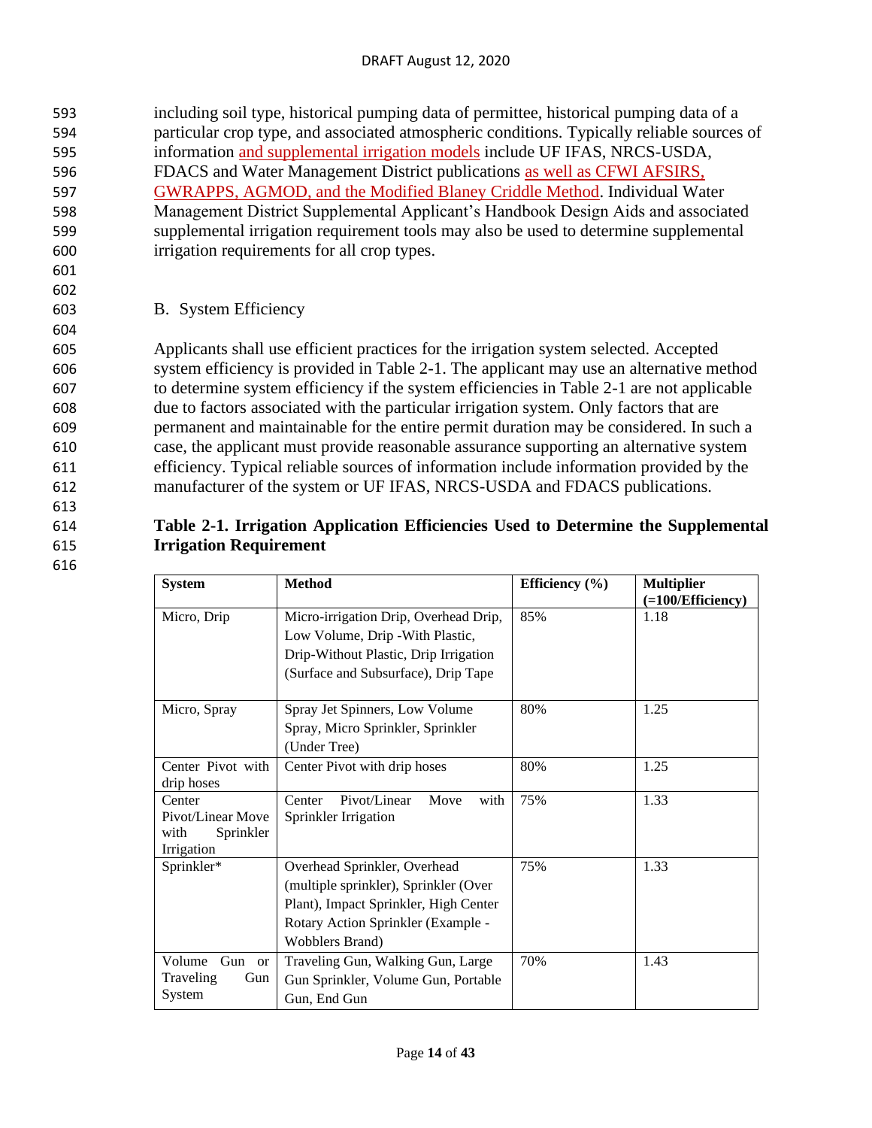#### DRAFT August 12, 2020

 including soil type, historical pumping data of permittee, historical pumping data of a particular crop type, and associated atmospheric conditions. Typically reliable sources of information and supplemental irrigation models include UF IFAS, NRCS-USDA, FDACS and Water Management District publications as well as CFWI AFSIRS, GWRAPPS, AGMOD, and the Modified Blaney Criddle Method. Individual Water Management District Supplemental Applicant's Handbook Design Aids and associated supplemental irrigation requirement tools may also be used to determine supplemental irrigation requirements for all crop types.

601 602

604

613

616

603 B. System Efficiency

 Applicants shall use efficient practices for the irrigation system selected. Accepted system efficiency is provided in Table 2-1. The applicant may use an alternative method to determine system efficiency if the system efficiencies in Table 2-1 are not applicable due to factors associated with the particular irrigation system. Only factors that are permanent and maintainable for the entire permit duration may be considered. In such a case, the applicant must provide reasonable assurance supporting an alternative system efficiency. Typical reliable sources of information include information provided by the manufacturer of the system or UF IFAS, NRCS-USDA and FDACS publications.

#### 614 **Table 2-1. Irrigation Application Efficiencies Used to Determine the Supplemental**  615 **Irrigation Requirement**

| <b>System</b>                                                  | <b>Method</b>                                                                                                                                                                   | Efficiency $(\% )$ | <b>Multiplier</b><br>(=100/Efficiency) |  |
|----------------------------------------------------------------|---------------------------------------------------------------------------------------------------------------------------------------------------------------------------------|--------------------|----------------------------------------|--|
| Micro, Drip                                                    | Micro-irrigation Drip, Overhead Drip,<br>Low Volume, Drip - With Plastic,<br>Drip-Without Plastic, Drip Irrigation                                                              | 85%                | 1.18                                   |  |
|                                                                | (Surface and Subsurface), Drip Tape                                                                                                                                             |                    |                                        |  |
| Micro, Spray                                                   | Spray Jet Spinners, Low Volume<br>Spray, Micro Sprinkler, Sprinkler<br>(Under Tree)                                                                                             | 80%                | 1.25                                   |  |
| Center Pivot with<br>drip hoses                                | Center Pivot with drip hoses                                                                                                                                                    | 80%                | 1.25                                   |  |
| Center<br>Pivot/Linear Move<br>with<br>Sprinkler<br>Irrigation | Pivot/Linear<br>Center<br>Move<br>with<br>Sprinkler Irrigation                                                                                                                  | 75%                | 1.33                                   |  |
| Sprinkler*                                                     | Overhead Sprinkler, Overhead<br>(multiple sprinkler), Sprinkler (Over<br>Plant), Impact Sprinkler, High Center<br>Rotary Action Sprinkler (Example -<br><b>Wobblers Brand</b> ) | 75%                | 1.33                                   |  |
| Volume<br>Gun or<br>Traveling<br>Gun<br>System                 | Traveling Gun, Walking Gun, Large<br>Gun Sprinkler, Volume Gun, Portable<br>Gun, End Gun                                                                                        | 70%                | 1.43                                   |  |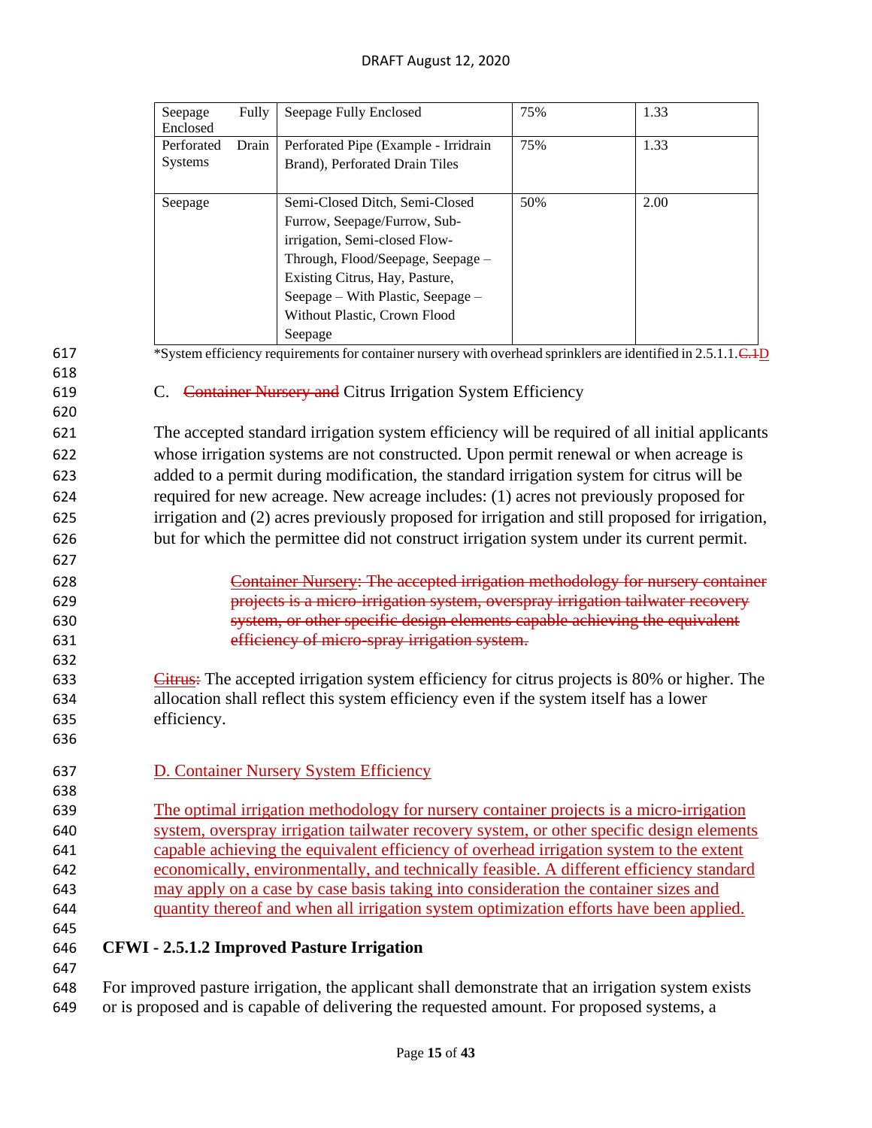|     | Fully<br>Seepage<br>Enclosed                                                            | Seepage Fully Enclosed                                                                                                     | 75% | 1.33 |  |
|-----|-----------------------------------------------------------------------------------------|----------------------------------------------------------------------------------------------------------------------------|-----|------|--|
|     | Perforated<br>Drain                                                                     | Perforated Pipe (Example - Irridrain                                                                                       | 75% | 1.33 |  |
|     | Systems                                                                                 | Brand), Perforated Drain Tiles                                                                                             |     |      |  |
|     |                                                                                         |                                                                                                                            |     |      |  |
|     | Seepage                                                                                 | Semi-Closed Ditch, Semi-Closed                                                                                             | 50% | 2.00 |  |
|     |                                                                                         | Furrow, Seepage/Furrow, Sub-                                                                                               |     |      |  |
|     |                                                                                         | irrigation, Semi-closed Flow-                                                                                              |     |      |  |
|     |                                                                                         | Through, Flood/Seepage, Seepage -                                                                                          |     |      |  |
|     |                                                                                         | Existing Citrus, Hay, Pasture,                                                                                             |     |      |  |
|     |                                                                                         | Seepage – With Plastic, Seepage –                                                                                          |     |      |  |
|     |                                                                                         | Without Plastic, Crown Flood                                                                                               |     |      |  |
|     |                                                                                         | Seepage                                                                                                                    |     |      |  |
| 617 |                                                                                         | *System efficiency requirements for container nursery with overhead sprinklers are identified in 2.5.1.1.C. <sup>1</sup> D |     |      |  |
| 618 |                                                                                         |                                                                                                                            |     |      |  |
| 619 |                                                                                         | C. Container Nursery and Citrus Irrigation System Efficiency                                                               |     |      |  |
| 620 |                                                                                         |                                                                                                                            |     |      |  |
| 621 |                                                                                         | The accepted standard irrigation system efficiency will be required of all initial applicants                              |     |      |  |
| 622 |                                                                                         | whose irrigation systems are not constructed. Upon permit renewal or when acreage is                                       |     |      |  |
| 623 |                                                                                         | added to a permit during modification, the standard irrigation system for citrus will be                                   |     |      |  |
| 624 |                                                                                         | required for new acreage. New acreage includes: (1) acres not previously proposed for                                      |     |      |  |
| 625 |                                                                                         | irrigation and (2) acres previously proposed for irrigation and still proposed for irrigation,                             |     |      |  |
| 626 |                                                                                         | but for which the permittee did not construct irrigation system under its current permit.                                  |     |      |  |
| 627 |                                                                                         |                                                                                                                            |     |      |  |
| 628 |                                                                                         | Container Nursery: The accepted irrigation methodology for nursery container                                               |     |      |  |
| 629 |                                                                                         | projects is a micro-irrigation system, overspray irrigation tailwater recovery                                             |     |      |  |
| 630 |                                                                                         | system, or other specific design elements capable achieving the equivalent                                                 |     |      |  |
| 631 |                                                                                         | efficiency of micro-spray irrigation system.                                                                               |     |      |  |
| 632 |                                                                                         |                                                                                                                            |     |      |  |
| 633 |                                                                                         | <b>Citrus:</b> The accepted irrigation system efficiency for citrus projects is 80% or higher. The                         |     |      |  |
| 634 |                                                                                         | allocation shall reflect this system efficiency even if the system itself has a lower                                      |     |      |  |
| 635 | efficiency.                                                                             |                                                                                                                            |     |      |  |
| 636 |                                                                                         |                                                                                                                            |     |      |  |
| 637 |                                                                                         | D. Container Nursery System Efficiency                                                                                     |     |      |  |
| 638 |                                                                                         |                                                                                                                            |     |      |  |
| 639 |                                                                                         | The optimal irrigation methodology for nursery container projects is a micro-irrigation                                    |     |      |  |
| 640 |                                                                                         | system, overspray irrigation tailwater recovery system, or other specific design elements                                  |     |      |  |
| 641 | capable achieving the equivalent efficiency of overhead irrigation system to the extent |                                                                                                                            |     |      |  |
| 642 |                                                                                         | economically, environmentally, and technically feasible. A different efficiency standard                                   |     |      |  |
| 643 |                                                                                         | may apply on a case by case basis taking into consideration the container sizes and                                        |     |      |  |
| 644 |                                                                                         | quantity thereof and when all irrigation system optimization efforts have been applied.                                    |     |      |  |
| 645 |                                                                                         |                                                                                                                            |     |      |  |
| 646 |                                                                                         | <b>CFWI</b> - 2.5.1.2 Improved Pasture Irrigation                                                                          |     |      |  |
| 647 |                                                                                         |                                                                                                                            |     |      |  |
| 648 |                                                                                         | For improved pasture irrigation, the applicant shall demonstrate that an irrigation system exists                          |     |      |  |

618<br>619

620

627

632<br>633

635 636

638

645

647

649 or is proposed and is capable of delivering the requested amount. For proposed systems, a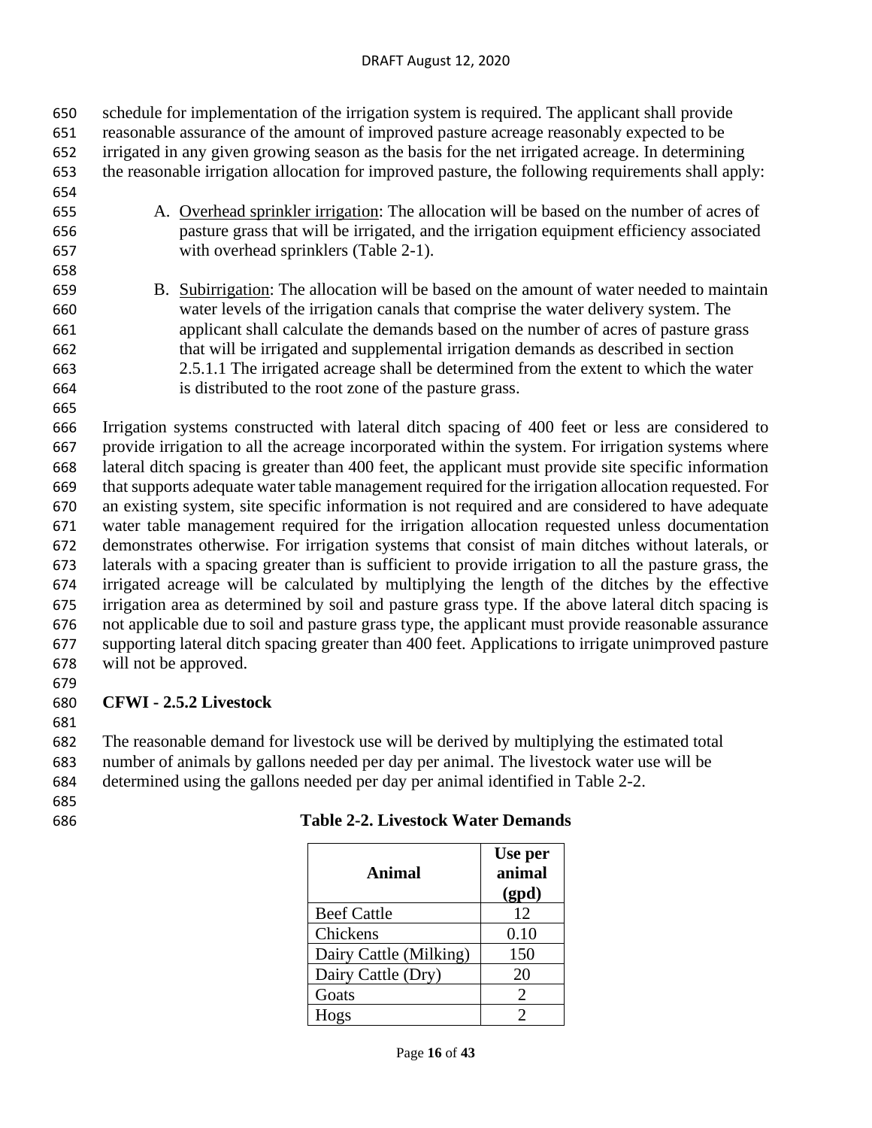reasonable assurance of the amount of improved pasture acreage reasonably expected to be irrigated in any given growing season as the basis for the net irrigated acreage. In determining the reasonable irrigation allocation for improved pasture, the following requirements shall apply: A. Overhead sprinkler irrigation: The allocation will be based on the number of acres of pasture grass that will be irrigated, and the irrigation equipment efficiency associated with overhead sprinklers (Table 2-1). 

schedule for implementation of the irrigation system is required. The applicant shall provide

 B. Subirrigation: The allocation will be based on the amount of water needed to maintain water levels of the irrigation canals that comprise the water delivery system. The applicant shall calculate the demands based on the number of acres of pasture grass that will be irrigated and supplemental irrigation demands as described in section 2.5.1.1 The irrigated acreage shall be determined from the extent to which the water is distributed to the root zone of the pasture grass.

 Irrigation systems constructed with lateral ditch spacing of 400 feet or less are considered to provide irrigation to all the acreage incorporated within the system. For irrigation systems where lateral ditch spacing is greater than 400 feet, the applicant must provide site specific information that supports adequate water table management required for the irrigation allocation requested. For an existing system, site specific information is not required and are considered to have adequate water table management required for the irrigation allocation requested unless documentation demonstrates otherwise. For irrigation systems that consist of main ditches without laterals, or laterals with a spacing greater than is sufficient to provide irrigation to all the pasture grass, the irrigated acreage will be calculated by multiplying the length of the ditches by the effective irrigation area as determined by soil and pasture grass type. If the above lateral ditch spacing is not applicable due to soil and pasture grass type, the applicant must provide reasonable assurance supporting lateral ditch spacing greater than 400 feet. Applications to irrigate unimproved pasture will not be approved.

#### **CFWI - 2.5.2 Livestock**

The reasonable demand for livestock use will be derived by multiplying the estimated total

number of animals by gallons needed per day per animal. The livestock water use will be

determined using the gallons needed per day per animal identified in Table 2-2.

| <b>Animal</b>          | Use per<br>animal<br>(gpd)  |
|------------------------|-----------------------------|
| <b>Beef Cattle</b>     | 12                          |
| Chickens               | 0.10                        |
| Dairy Cattle (Milking) | 150                         |
| Dairy Cattle (Dry)     | 20                          |
| Goats                  | $\mathcal{D}_{\mathcal{L}}$ |
| Hogs                   |                             |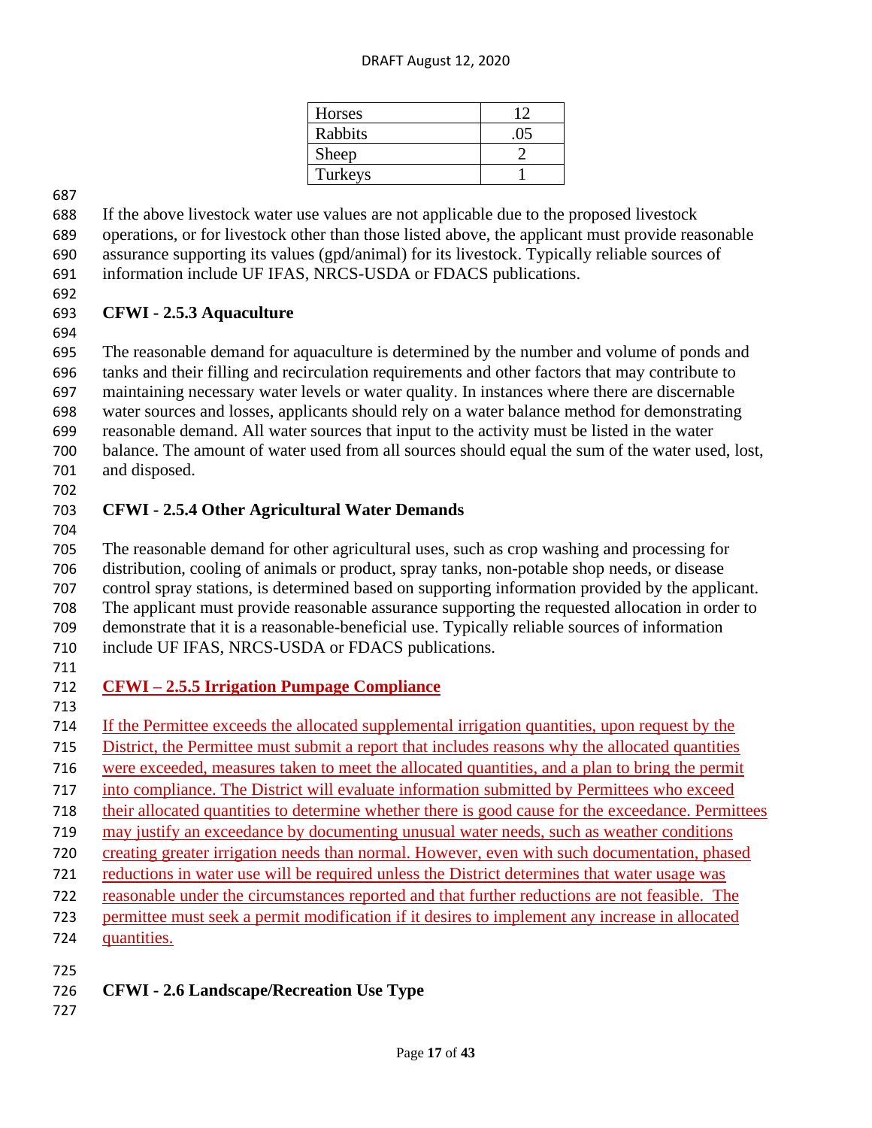#### DRAFT August 12, 2020

| Horses  |     |
|---------|-----|
| Rabbits | .05 |
| Sheep   |     |
| Turkeys |     |

 If the above livestock water use values are not applicable due to the proposed livestock operations, or for livestock other than those listed above, the applicant must provide reasonable assurance supporting its values (gpd/animal) for its livestock. Typically reliable sources of information include UF IFAS, NRCS-USDA or FDACS publications.

#### **CFWI - 2.5.3 Aquaculture**

 The reasonable demand for aquaculture is determined by the number and volume of ponds and tanks and their filling and recirculation requirements and other factors that may contribute to maintaining necessary water levels or water quality. In instances where there are discernable water sources and losses, applicants should rely on a water balance method for demonstrating reasonable demand. All water sources that input to the activity must be listed in the water balance. The amount of water used from all sources should equal the sum of the water used, lost, and disposed.

### **CFWI - 2.5.4 Other Agricultural Water Demands**

 The reasonable demand for other agricultural uses, such as crop washing and processing for distribution, cooling of animals or product, spray tanks, non-potable shop needs, or disease control spray stations, is determined based on supporting information provided by the applicant. The applicant must provide reasonable assurance supporting the requested allocation in order to demonstrate that it is a reasonable-beneficial use. Typically reliable sources of information include UF IFAS, NRCS-USDA or FDACS publications.

# **CFWI – 2.5.5 Irrigation Pumpage Compliance**

If the Permittee exceeds the allocated supplemental irrigation quantities, upon request by the

- District, the Permittee must submit a report that includes reasons why the allocated quantities
- were exceeded, measures taken to meet the allocated quantities, and a plan to bring the permit
- into compliance. The District will evaluate information submitted by Permittees who exceed
- their allocated quantities to determine whether there is good cause for the exceedance. Permittees
- may justify an exceedance by documenting unusual water needs, such as weather conditions
- creating greater irrigation needs than normal. However, even with such documentation, phased
- reductions in water use will be required unless the District determines that water usage was
- reasonable under the circumstances reported and that further reductions are not feasible. The
- permittee must seek a permit modification if it desires to implement any increase in allocated
- quantities.
- 
- **CFWI - 2.6 Landscape/Recreation Use Type**
-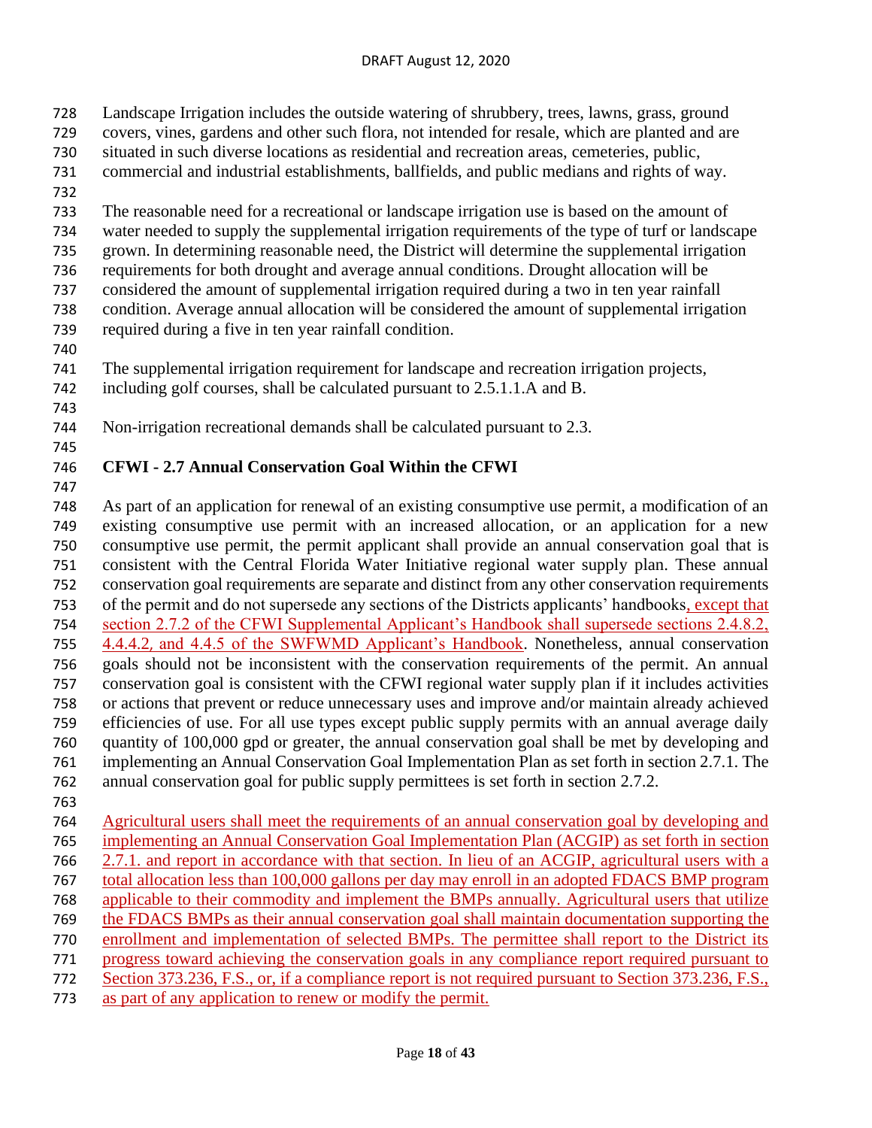- Landscape Irrigation includes the outside watering of shrubbery, trees, lawns, grass, ground
- covers, vines, gardens and other such flora, not intended for resale, which are planted and are
- situated in such diverse locations as residential and recreation areas, cemeteries, public,
- commercial and industrial establishments, ballfields, and public medians and rights of way.
- 
- The reasonable need for a recreational or landscape irrigation use is based on the amount of
- water needed to supply the supplemental irrigation requirements of the type of turf or landscape
- grown. In determining reasonable need, the District will determine the supplemental irrigation
- requirements for both drought and average annual conditions. Drought allocation will be
- considered the amount of supplemental irrigation required during a two in ten year rainfall
- condition. Average annual allocation will be considered the amount of supplemental irrigation required during a five in ten year rainfall condition.
- 
- The supplemental irrigation requirement for landscape and recreation irrigation projects,
- including golf courses, shall be calculated pursuant to 2.5.1.1.A and B.
- 
- Non-irrigation recreational demands shall be calculated pursuant to 2.3.
- 

# **CFWI - 2.7 Annual Conservation Goal Within the CFWI**

 As part of an application for renewal of an existing consumptive use permit, a modification of an existing consumptive use permit with an increased allocation, or an application for a new consumptive use permit, the permit applicant shall provide an annual conservation goal that is consistent with the Central Florida Water Initiative regional water supply plan. These annual conservation goal requirements are separate and distinct from any other conservation requirements of the permit and do not supersede any sections of the Districts applicants' handbooks, except that section 2.7.2 of the CFWI Supplemental Applicant's Handbook shall supersede sections 2.4.8.2, 4.4.4.2, and 4.4.5 of the SWFWMD Applicant's Handbook. Nonetheless, annual conservation goals should not be inconsistent with the conservation requirements of the permit. An annual conservation goal is consistent with the CFWI regional water supply plan if it includes activities or actions that prevent or reduce unnecessary uses and improve and/or maintain already achieved efficiencies of use. For all use types except public supply permits with an annual average daily quantity of 100,000 gpd or greater, the annual conservation goal shall be met by developing and implementing an Annual Conservation Goal Implementation Plan as set forth in section 2.7.1. The annual conservation goal for public supply permittees is set forth in section 2.7.2.

- 
- Agricultural users shall meet the requirements of an annual conservation goal by developing and implementing an Annual Conservation Goal Implementation Plan (ACGIP) as set forth in section 2.7.1. and report in accordance with that section. In lieu of an ACGIP, agricultural users with a total allocation less than 100,000 gallons per day may enroll in an adopted FDACS BMP program applicable to their commodity and implement the BMPs annually. Agricultural users that utilize the FDACS BMPs as their annual conservation goal shall maintain documentation supporting the enrollment and implementation of selected BMPs. The permittee shall report to the District its progress toward achieving the conservation goals in any compliance report required pursuant to 772 Section 373.236, F.S., or, if a compliance report is not required pursuant to Section 373.236, F.S.,
- as part of any application to renew or modify the permit.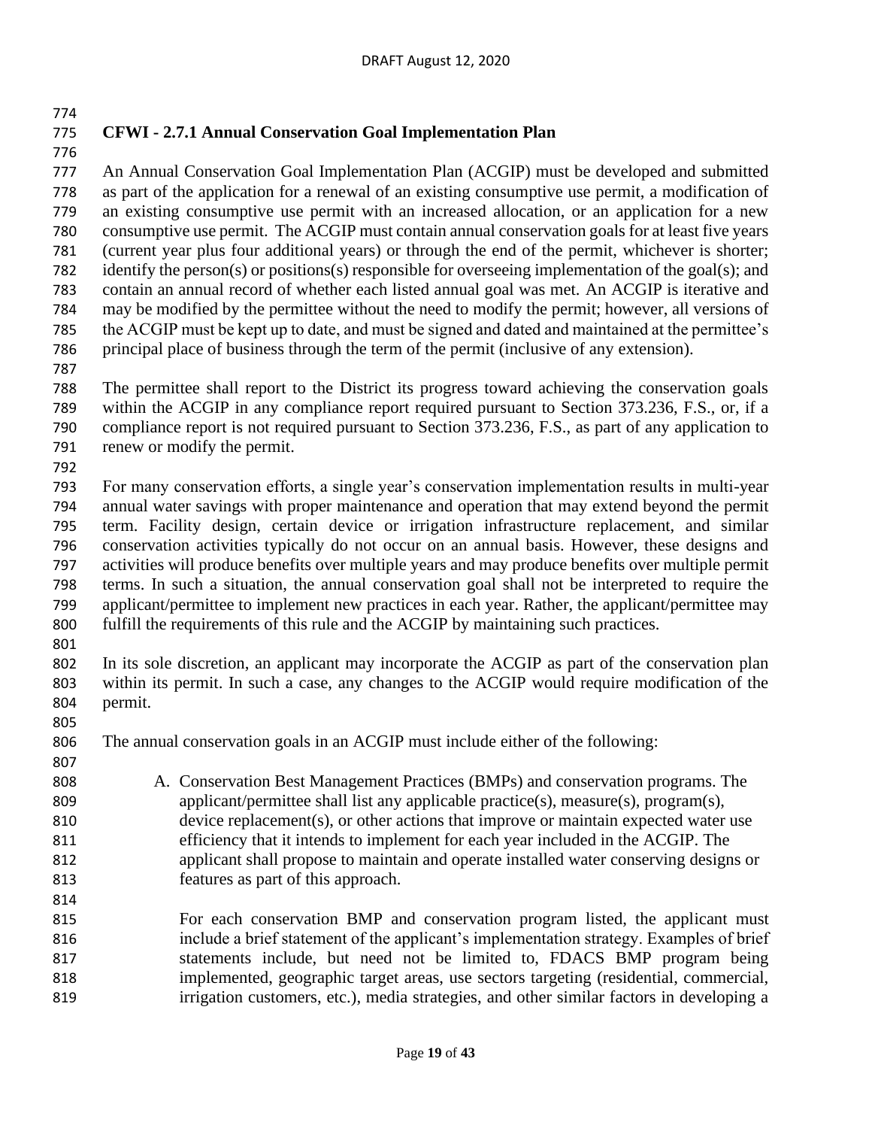# **CFWI - 2.7.1 Annual Conservation Goal Implementation Plan**

 An Annual Conservation Goal Implementation Plan (ACGIP) must be developed and submitted as part of the application for a renewal of an existing consumptive use permit, a modification of an existing consumptive use permit with an increased allocation, or an application for a new consumptive use permit. The ACGIP must contain annual conservation goals for at least five years (current year plus four additional years) or through the end of the permit, whichever is shorter; 782 identify the person(s) or positions(s) responsible for overseeing implementation of the goal(s); and contain an annual record of whether each listed annual goal was met. An ACGIP is iterative and may be modified by the permittee without the need to modify the permit; however, all versions of the ACGIP must be kept up to date, and must be signed and dated and maintained at the permittee's principal place of business through the term of the permit (inclusive of any extension).

 The permittee shall report to the District its progress toward achieving the conservation goals within the ACGIP in any compliance report required pursuant to Section 373.236, F.S., or, if a compliance report is not required pursuant to Section 373.236, F.S., as part of any application to renew or modify the permit.

 For many conservation efforts, a single year's conservation implementation results in multi-year annual water savings with proper maintenance and operation that may extend beyond the permit term. Facility design, certain device or irrigation infrastructure replacement, and similar conservation activities typically do not occur on an annual basis. However, these designs and activities will produce benefits over multiple years and may produce benefits over multiple permit terms. In such a situation, the annual conservation goal shall not be interpreted to require the applicant/permittee to implement new practices in each year. Rather, the applicant/permittee may fulfill the requirements of this rule and the ACGIP by maintaining such practices.

 In its sole discretion, an applicant may incorporate the ACGIP as part of the conservation plan within its permit. In such a case, any changes to the ACGIP would require modification of the permit.

The annual conservation goals in an ACGIP must include either of the following:

 A. Conservation Best Management Practices (BMPs) and conservation programs. The applicant/permittee shall list any applicable practice(s), measure(s), program(s), device replacement(s), or other actions that improve or maintain expected water use efficiency that it intends to implement for each year included in the ACGIP. The applicant shall propose to maintain and operate installed water conserving designs or features as part of this approach.

 For each conservation BMP and conservation program listed, the applicant must include a brief statement of the applicant's implementation strategy. Examples of brief statements include, but need not be limited to, FDACS BMP program being implemented, geographic target areas, use sectors targeting (residential, commercial, irrigation customers, etc.), media strategies, and other similar factors in developing a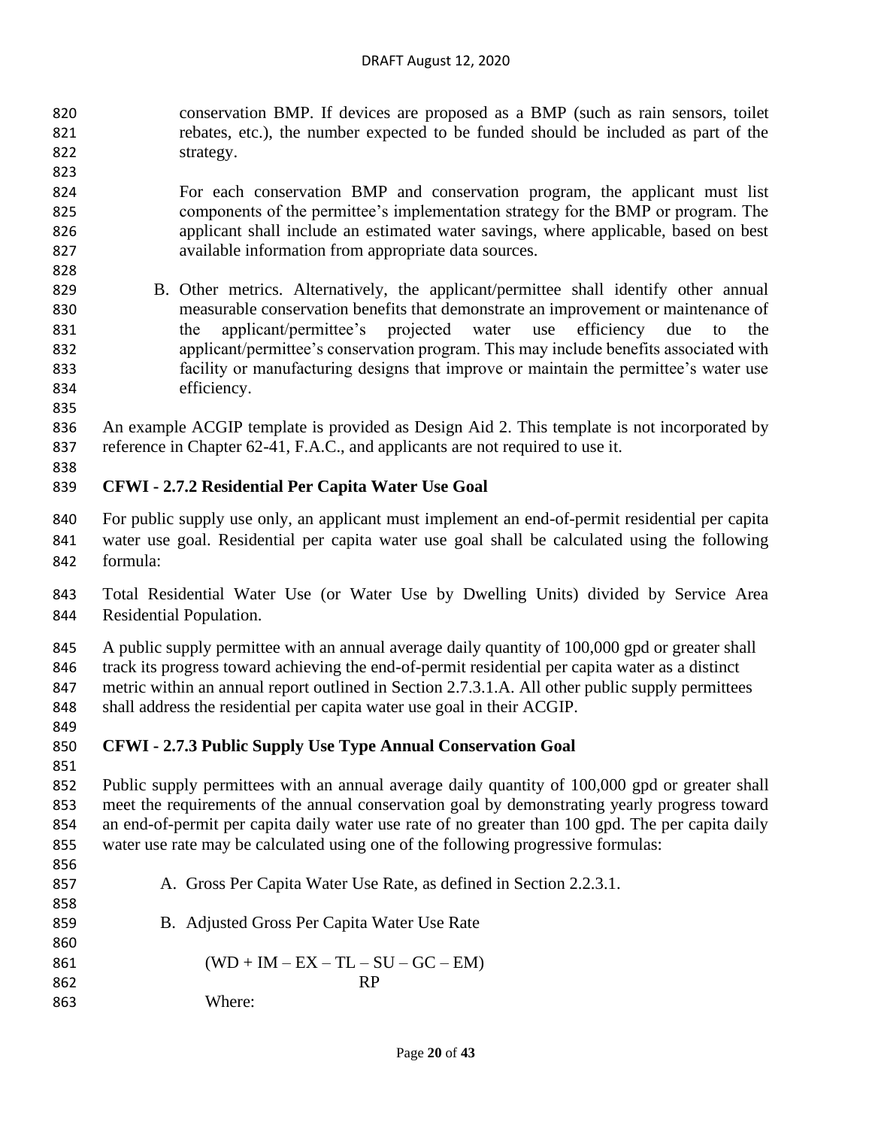- conservation BMP. If devices are proposed as a BMP (such as rain sensors, toilet rebates, etc.), the number expected to be funded should be included as part of the strategy.
- For each conservation BMP and conservation program, the applicant must list components of the permittee's implementation strategy for the BMP or program. The applicant shall include an estimated water savings, where applicable, based on best available information from appropriate data sources.
- B. Other metrics. Alternatively, the applicant/permittee shall identify other annual measurable conservation benefits that demonstrate an improvement or maintenance of the applicant/permittee's projected water use efficiency due to the applicant/permittee's conservation program. This may include benefits associated with facility or manufacturing designs that improve or maintain the permittee's water use efficiency.
- 

 An example ACGIP template is provided as Design Aid 2. This template is not incorporated by reference in Chapter 62-41, F.A.C., and applicants are not required to use it.

### **CFWI - 2.7.2 Residential Per Capita Water Use Goal**

- For public supply use only, an applicant must implement an end-of-permit residential per capita water use goal. Residential per capita water use goal shall be calculated using the following formula:
- Total Residential Water Use (or Water Use by Dwelling Units) divided by Service Area Residential Population.

845 A public supply permittee with an annual average daily quantity of 100,000 gpd or greater shall track its progress toward achieving the end-of-permit residential per capita water as a distinct metric within an annual report outlined in Section 2.7.3.1.A. All other public supply permittees shall address the residential per capita water use goal in their ACGIP.

# **CFWI - 2.7.3 Public Supply Use Type Annual Conservation Goal**

- Public supply permittees with an annual average daily quantity of 100,000 gpd or greater shall meet the requirements of the annual conservation goal by demonstrating yearly progress toward an end-of-permit per capita daily water use rate of no greater than 100 gpd. The per capita daily water use rate may be calculated using one of the following progressive formulas:
- A. Gross Per Capita Water Use Rate, as defined in Section 2.2.3.1. B. Adjusted Gross Per Capita Water Use Rate 861  $(WD + IM - EX - TL - SU - GC - EM)$ 862 RP Where: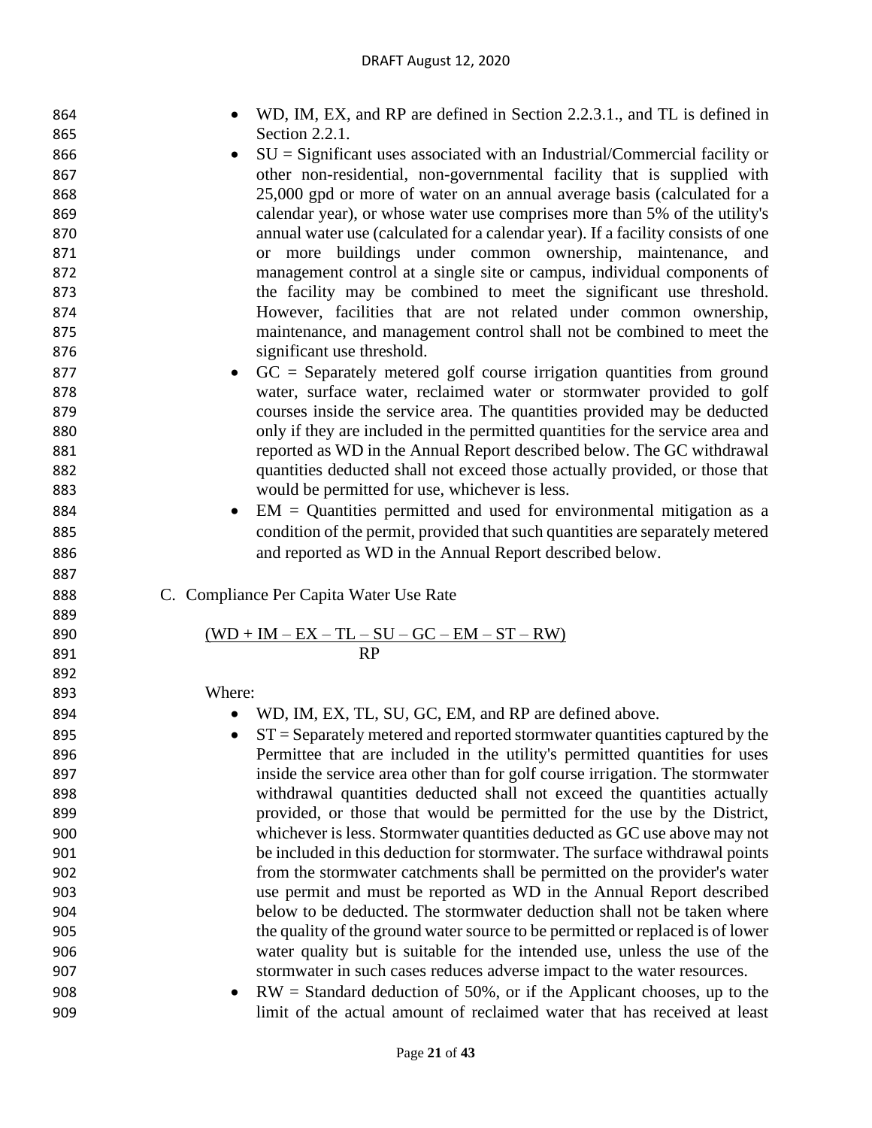| 864 | WD, IM, EX, and RP are defined in Section 2.2.3.1., and TL is defined in            |
|-----|-------------------------------------------------------------------------------------|
| 865 | Section 2.2.1.                                                                      |
| 866 | $SU =$ Significant uses associated with an Industrial/Commercial facility or        |
| 867 | other non-residential, non-governmental facility that is supplied with              |
| 868 | 25,000 gpd or more of water on an annual average basis (calculated for a            |
| 869 | calendar year), or whose water use comprises more than 5% of the utility's          |
| 870 | annual water use (calculated for a calendar year). If a facility consists of one    |
| 871 | or more buildings under common ownership, maintenance, and                          |
| 872 | management control at a single site or campus, individual components of             |
| 873 | the facility may be combined to meet the significant use threshold.                 |
| 874 | However, facilities that are not related under common ownership,                    |
| 875 | maintenance, and management control shall not be combined to meet the               |
| 876 | significant use threshold.                                                          |
| 877 | $GC =$ Separately metered golf course irrigation quantities from ground             |
| 878 | water, surface water, reclaimed water or stormwater provided to golf                |
| 879 | courses inside the service area. The quantities provided may be deducted            |
| 880 | only if they are included in the permitted quantities for the service area and      |
| 881 | reported as WD in the Annual Report described below. The GC withdrawal              |
| 882 | quantities deducted shall not exceed those actually provided, or those that         |
| 883 | would be permitted for use, whichever is less.                                      |
| 884 | $EM =$ Quantities permitted and used for environmental mitigation as a<br>$\bullet$ |
| 885 | condition of the permit, provided that such quantities are separately metered       |
| 886 | and reported as WD in the Annual Report described below.                            |
| 887 |                                                                                     |
| 888 | C. Compliance Per Capita Water Use Rate                                             |
| 889 |                                                                                     |
| 890 | $\underline{(WD+IM-EX-TL-SU-GC-EM-ST-RW)}$                                          |
| 891 | <b>RP</b>                                                                           |
| 892 |                                                                                     |
| 893 | Where:                                                                              |
| 894 | WD, IM, EX, TL, SU, GC, EM, and RP are defined above.                               |
| 895 | $ST =$ Separately metered and reported stormwater quantities captured by the        |
| 896 | Permittee that are included in the utility's permitted quantities for uses          |
| 897 | inside the service area other than for golf course irrigation. The stormwater       |
| 898 | withdrawal quantities deducted shall not exceed the quantities actually             |
| 899 | provided, or those that would be permitted for the use by the District,             |
| 900 | whichever is less. Stormwater quantities deducted as GC use above may not           |
| 901 | be included in this deduction for stormwater. The surface withdrawal points         |
| 902 | from the stormwater catchments shall be permitted on the provider's water           |
| 903 | use permit and must be reported as WD in the Annual Report described                |
| 904 | below to be deducted. The stormwater deduction shall not be taken where             |
| 905 | the quality of the ground water source to be permitted or replaced is of lower      |
| 906 | water quality but is suitable for the intended use, unless the use of the           |
| 907 | stormwater in such cases reduces adverse impact to the water resources.             |
|     |                                                                                     |

 • RW = Standard deduction of 50%, or if the Applicant chooses, up to the limit of the actual amount of reclaimed water that has received at least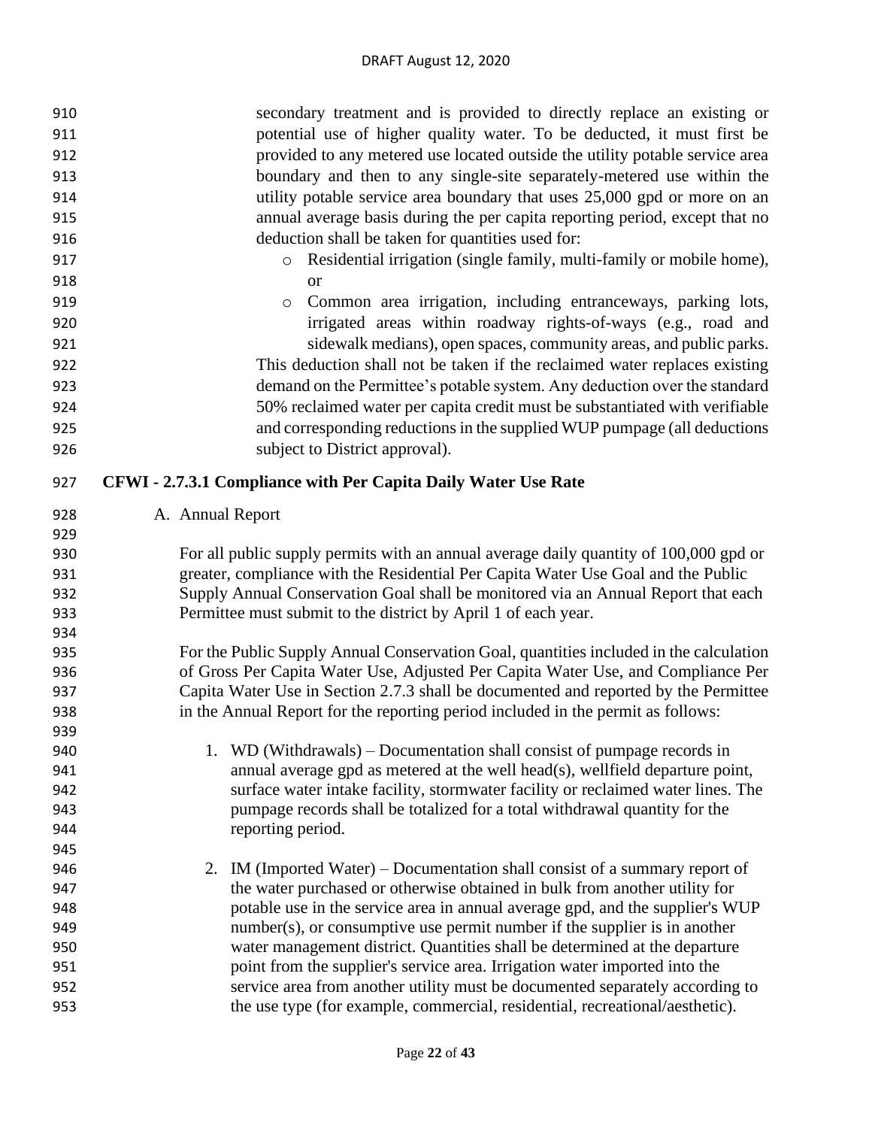| 910        | secondary treatment and is provided to directly replace an existing or                                                                                                  |
|------------|-------------------------------------------------------------------------------------------------------------------------------------------------------------------------|
| 911        | potential use of higher quality water. To be deducted, it must first be                                                                                                 |
| 912        | provided to any metered use located outside the utility potable service area                                                                                            |
| 913        | boundary and then to any single-site separately-metered use within the                                                                                                  |
| 914        | utility potable service area boundary that uses 25,000 gpd or more on an                                                                                                |
| 915        | annual average basis during the per capita reporting period, except that no                                                                                             |
| 916        | deduction shall be taken for quantities used for:                                                                                                                       |
| 917        | Residential irrigation (single family, multi-family or mobile home),<br>$\circ$                                                                                         |
| 918        | <b>or</b>                                                                                                                                                               |
| 919        | Common area irrigation, including entranceways, parking lots,<br>$\circ$                                                                                                |
| 920        | irrigated areas within roadway rights-of-ways (e.g., road and                                                                                                           |
| 921        | sidewalk medians), open spaces, community areas, and public parks.                                                                                                      |
| 922        | This deduction shall not be taken if the reclaimed water replaces existing                                                                                              |
| 923        | demand on the Permittee's potable system. Any deduction over the standard                                                                                               |
| 924        | 50% reclaimed water per capita credit must be substantiated with verifiable                                                                                             |
|            | and corresponding reductions in the supplied WUP pumpage (all deductions                                                                                                |
| 925        |                                                                                                                                                                         |
| 926        | subject to District approval).                                                                                                                                          |
| 927        | CFWI - 2.7.3.1 Compliance with Per Capita Daily Water Use Rate                                                                                                          |
| 928        | A. Annual Report                                                                                                                                                        |
| 929        |                                                                                                                                                                         |
| 930        | For all public supply permits with an annual average daily quantity of 100,000 gpd or                                                                                   |
| 931        | greater, compliance with the Residential Per Capita Water Use Goal and the Public                                                                                       |
| 932        | Supply Annual Conservation Goal shall be monitored via an Annual Report that each                                                                                       |
| 933        | Permittee must submit to the district by April 1 of each year.                                                                                                          |
| 934        |                                                                                                                                                                         |
| 935        | For the Public Supply Annual Conservation Goal, quantities included in the calculation                                                                                  |
| 936        | of Gross Per Capita Water Use, Adjusted Per Capita Water Use, and Compliance Per<br>Capita Water Use in Section 2.7.3 shall be documented and reported by the Permittee |
| 937<br>938 | in the Annual Report for the reporting period included in the permit as follows:                                                                                        |
| 939        |                                                                                                                                                                         |
| 940        | WD (Withdrawals) – Documentation shall consist of pumpage records in                                                                                                    |
| 941        | annual average gpd as metered at the well head(s), wellfield departure point,                                                                                           |
| 942        | surface water intake facility, stormwater facility or reclaimed water lines. The                                                                                        |
| 943        | pumpage records shall be totalized for a total withdrawal quantity for the                                                                                              |
| 944        | reporting period.                                                                                                                                                       |
| 945        |                                                                                                                                                                         |
| 946        | IM (Imported Water) – Documentation shall consist of a summary report of<br>2.                                                                                          |
| 947        | the water purchased or otherwise obtained in bulk from another utility for                                                                                              |
| 948        | potable use in the service area in annual average gpd, and the supplier's WUP                                                                                           |
| 949        | $number(s)$ , or consumptive use permit number if the supplier is in another                                                                                            |
| 950        | water management district. Quantities shall be determined at the departure                                                                                              |
| 951        | point from the supplier's service area. Irrigation water imported into the                                                                                              |
| 952        | service area from another utility must be documented separately according to                                                                                            |
| 953        | the use type (for example, commercial, residential, recreational/aesthetic).                                                                                            |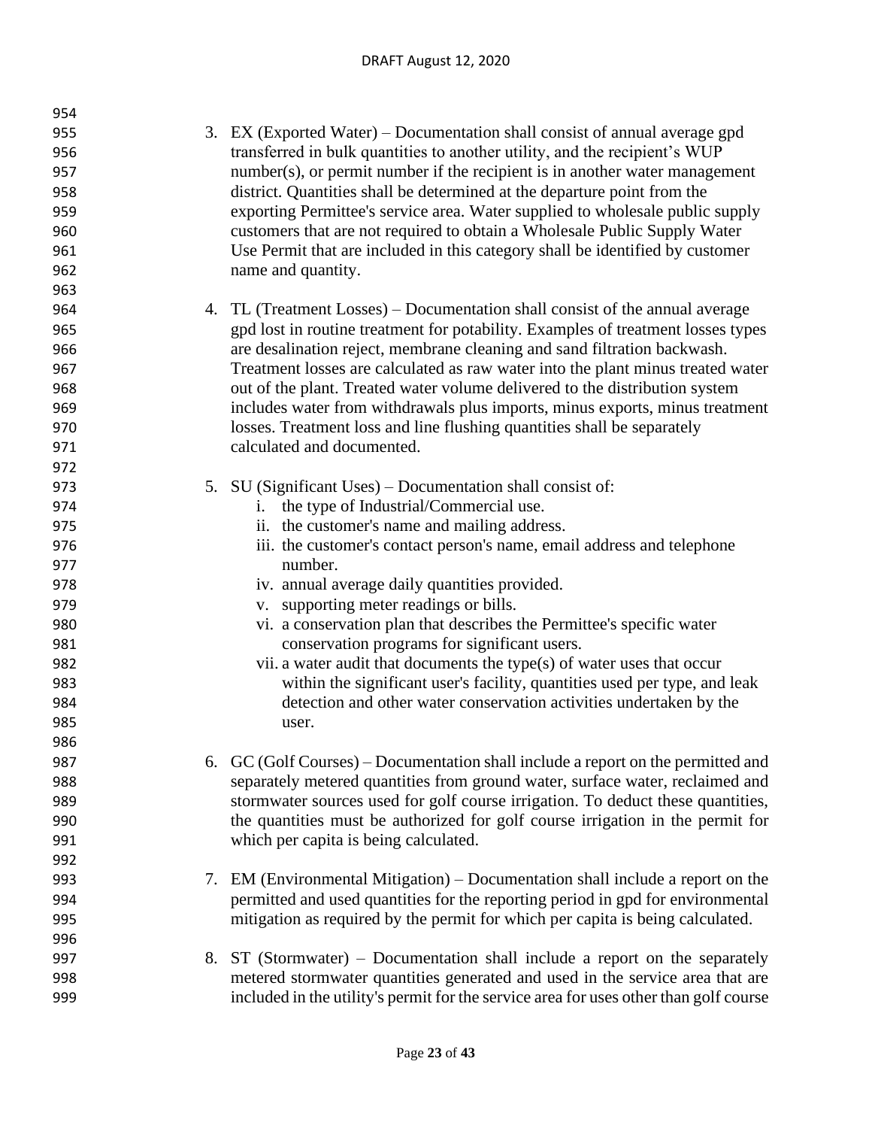#### DRAFT August 12, 2020

| 954 |                                                                                       |
|-----|---------------------------------------------------------------------------------------|
| 955 | 3. EX (Exported Water) – Documentation shall consist of annual average gpd            |
| 956 | transferred in bulk quantities to another utility, and the recipient's WUP            |
| 957 | number(s), or permit number if the recipient is in another water management           |
| 958 | district. Quantities shall be determined at the departure point from the              |
| 959 | exporting Permittee's service area. Water supplied to wholesale public supply         |
| 960 | customers that are not required to obtain a Wholesale Public Supply Water             |
| 961 | Use Permit that are included in this category shall be identified by customer         |
| 962 | name and quantity.                                                                    |
| 963 |                                                                                       |
| 964 | 4. TL (Treatment Losses) – Documentation shall consist of the annual average          |
| 965 | gpd lost in routine treatment for potability. Examples of treatment losses types      |
| 966 | are desalination reject, membrane cleaning and sand filtration backwash.              |
| 967 | Treatment losses are calculated as raw water into the plant minus treated water       |
| 968 | out of the plant. Treated water volume delivered to the distribution system           |
| 969 | includes water from withdrawals plus imports, minus exports, minus treatment          |
| 970 | losses. Treatment loss and line flushing quantities shall be separately               |
| 971 | calculated and documented.                                                            |
| 972 |                                                                                       |
| 973 | 5. SU (Significant Uses) – Documentation shall consist of:                            |
| 974 | the type of Industrial/Commercial use.<br>i.                                          |
| 975 | ii. the customer's name and mailing address.                                          |
| 976 | iii. the customer's contact person's name, email address and telephone                |
| 977 | number.                                                                               |
| 978 | iv. annual average daily quantities provided.                                         |
| 979 | supporting meter readings or bills.<br>V.                                             |
| 980 | vi. a conservation plan that describes the Permittee's specific water                 |
| 981 | conservation programs for significant users.                                          |
| 982 | vii. a water audit that documents the type(s) of water uses that occur                |
| 983 | within the significant user's facility, quantities used per type, and leak            |
| 984 | detection and other water conservation activities undertaken by the                   |
| 985 | user.                                                                                 |
| 986 |                                                                                       |
| 987 | 6. GC (Golf Courses) – Documentation shall include a report on the permitted and      |
| 988 | separately metered quantities from ground water, surface water, reclaimed and         |
| 989 | stormwater sources used for golf course irrigation. To deduct these quantities,       |
| 990 | the quantities must be authorized for golf course irrigation in the permit for        |
| 991 | which per capita is being calculated.                                                 |
| 992 |                                                                                       |
| 993 | 7. EM (Environmental Mitigation) – Documentation shall include a report on the        |
| 994 | permitted and used quantities for the reporting period in gpd for environmental       |
| 995 | mitigation as required by the permit for which per capita is being calculated.        |
| 996 |                                                                                       |
| 997 | ST (Stormwater) – Documentation shall include a report on the separately<br>8.        |
| 998 | metered stormwater quantities generated and used in the service area that are         |
| 999 | included in the utility's permit for the service area for uses other than golf course |
|     |                                                                                       |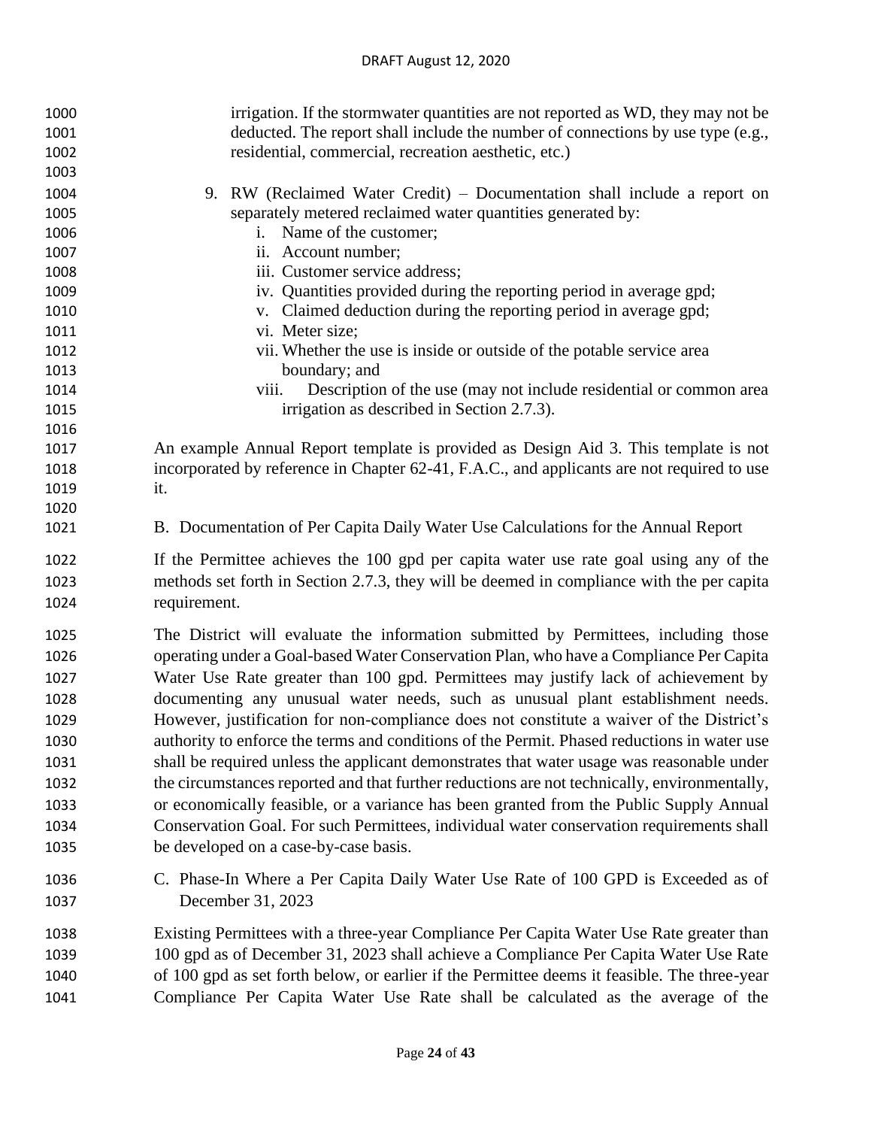| 1000 | irrigation. If the stormwater quantities are not reported as WD, they may not be             |
|------|----------------------------------------------------------------------------------------------|
| 1001 | deducted. The report shall include the number of connections by use type (e.g.,              |
| 1002 | residential, commercial, recreation aesthetic, etc.)                                         |
| 1003 |                                                                                              |
| 1004 | 9. RW (Reclaimed Water Credit) – Documentation shall include a report on                     |
| 1005 | separately metered reclaimed water quantities generated by:                                  |
| 1006 | Name of the customer;                                                                        |
| 1007 | ii. Account number;                                                                          |
| 1008 | iii. Customer service address;                                                               |
| 1009 | iv. Quantities provided during the reporting period in average gpd;                          |
| 1010 | v. Claimed deduction during the reporting period in average gpd;                             |
| 1011 | vi. Meter size;                                                                              |
| 1012 | vii. Whether the use is inside or outside of the potable service area                        |
| 1013 | boundary; and                                                                                |
| 1014 | Description of the use (may not include residential or common area<br>viii.                  |
| 1015 | irrigation as described in Section 2.7.3).                                                   |
| 1016 |                                                                                              |
| 1017 | An example Annual Report template is provided as Design Aid 3. This template is not          |
| 1018 | incorporated by reference in Chapter 62-41, F.A.C., and applicants are not required to use   |
| 1019 | it.                                                                                          |
| 1020 |                                                                                              |
| 1021 | B. Documentation of Per Capita Daily Water Use Calculations for the Annual Report            |
| 1022 | If the Permittee achieves the 100 gpd per capita water use rate goal using any of the        |
| 1023 | methods set forth in Section 2.7.3, they will be deemed in compliance with the per capita    |
| 1024 | requirement.                                                                                 |
| 1025 | The District will evaluate the information submitted by Permittees, including those          |
| 1026 | operating under a Goal-based Water Conservation Plan, who have a Compliance Per Capita       |
| 1027 | Water Use Rate greater than 100 gpd. Permittees may justify lack of achievement by           |
| 1028 | documenting any unusual water needs, such as unusual plant establishment needs.              |
| 1029 | However, justification for non-compliance does not constitute a waiver of the District's     |
| 1030 | authority to enforce the terms and conditions of the Permit. Phased reductions in water use  |
| 1031 | shall be required unless the applicant demonstrates that water usage was reasonable under    |
| 1032 | the circumstances reported and that further reductions are not technically, environmentally, |
| 1033 | or economically feasible, or a variance has been granted from the Public Supply Annual       |
| 1034 | Conservation Goal. For such Permittees, individual water conservation requirements shall     |
| 1035 | be developed on a case-by-case basis.                                                        |
| 1036 | C. Phase-In Where a Per Capita Daily Water Use Rate of 100 GPD is Exceeded as of             |
| 1037 | December 31, 2023                                                                            |
| 1038 | Existing Permittees with a three-year Compliance Per Capita Water Use Rate greater than      |
| 1039 | 100 gpd as of December 31, 2023 shall achieve a Compliance Per Capita Water Use Rate         |
| 1040 | of 100 gpd as set forth below, or earlier if the Permittee deems it feasible. The three-year |
| 1041 | Compliance Per Capita Water Use Rate shall be calculated as the average of the               |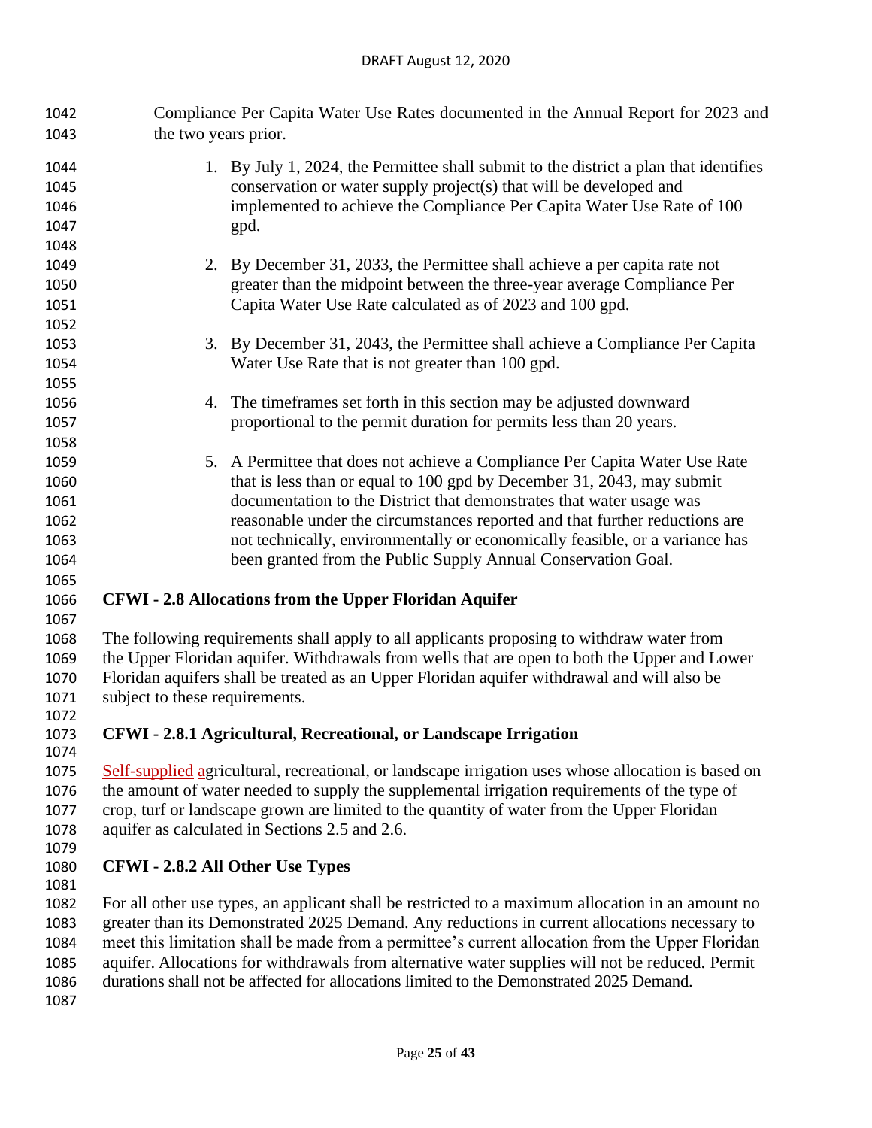Compliance Per Capita Water Use Rates documented in the Annual Report for 2023 and the two years prior.

| 1044 |                                | 1. By July 1, 2024, the Permittee shall submit to the district a plan that identifies               |
|------|--------------------------------|-----------------------------------------------------------------------------------------------------|
| 1045 |                                | conservation or water supply project(s) that will be developed and                                  |
| 1046 |                                | implemented to achieve the Compliance Per Capita Water Use Rate of 100                              |
| 1047 |                                | gpd.                                                                                                |
| 1048 |                                |                                                                                                     |
| 1049 |                                | 2. By December 31, 2033, the Permittee shall achieve a per capita rate not                          |
| 1050 |                                | greater than the midpoint between the three-year average Compliance Per                             |
| 1051 |                                | Capita Water Use Rate calculated as of 2023 and 100 gpd.                                            |
| 1052 |                                |                                                                                                     |
| 1053 |                                | 3. By December 31, 2043, the Permittee shall achieve a Compliance Per Capita                        |
| 1054 |                                | Water Use Rate that is not greater than 100 gpd.                                                    |
| 1055 |                                |                                                                                                     |
| 1056 |                                | 4. The time frames set forth in this section may be adjusted downward                               |
| 1057 |                                | proportional to the permit duration for permits less than 20 years.                                 |
| 1058 |                                |                                                                                                     |
| 1059 |                                | 5. A Permittee that does not achieve a Compliance Per Capita Water Use Rate                         |
| 1060 |                                | that is less than or equal to 100 gpd by December 31, 2043, may submit                              |
| 1061 |                                | documentation to the District that demonstrates that water usage was                                |
| 1062 |                                | reasonable under the circumstances reported and that further reductions are                         |
| 1063 |                                | not technically, environmentally or economically feasible, or a variance has                        |
| 1064 |                                | been granted from the Public Supply Annual Conservation Goal.                                       |
| 1065 |                                |                                                                                                     |
| 1066 |                                | <b>CFWI</b> - 2.8 Allocations from the Upper Floridan Aquifer                                       |
| 1067 |                                |                                                                                                     |
| 1068 |                                | The following requirements shall apply to all applicants proposing to withdraw water from           |
| 1069 |                                | the Upper Floridan aquifer. Withdrawals from wells that are open to both the Upper and Lower        |
| 1070 |                                | Floridan aquifers shall be treated as an Upper Floridan aquifer withdrawal and will also be         |
| 1071 | subject to these requirements. |                                                                                                     |
| 1072 |                                |                                                                                                     |
| 1073 |                                | CFWI - 2.8.1 Agricultural, Recreational, or Landscape Irrigation                                    |
| 1074 |                                |                                                                                                     |
| 1075 |                                | Self-supplied agricultural, recreational, or landscape irrigation uses whose allocation is based on |
| 1076 |                                | the amount of water needed to supply the supplemental irrigation requirements of the type of        |
| 1077 |                                | crop, turf or landscape grown are limited to the quantity of water from the Upper Floridan          |
| 1078 |                                | aquifer as calculated in Sections 2.5 and 2.6.                                                      |

# **CFWI - 2.8.2 All Other Use Types**

- For all other use types, an applicant shall be restricted to a maximum allocation in an amount no greater than its Demonstrated 2025 Demand. Any reductions in current allocations necessary to meet this limitation shall be made from a permittee's current allocation from the Upper Floridan aquifer. Allocations for withdrawals from alternative water supplies will not be reduced. Permit durations shall not be affected for allocations limited to the Demonstrated 2025 Demand.
-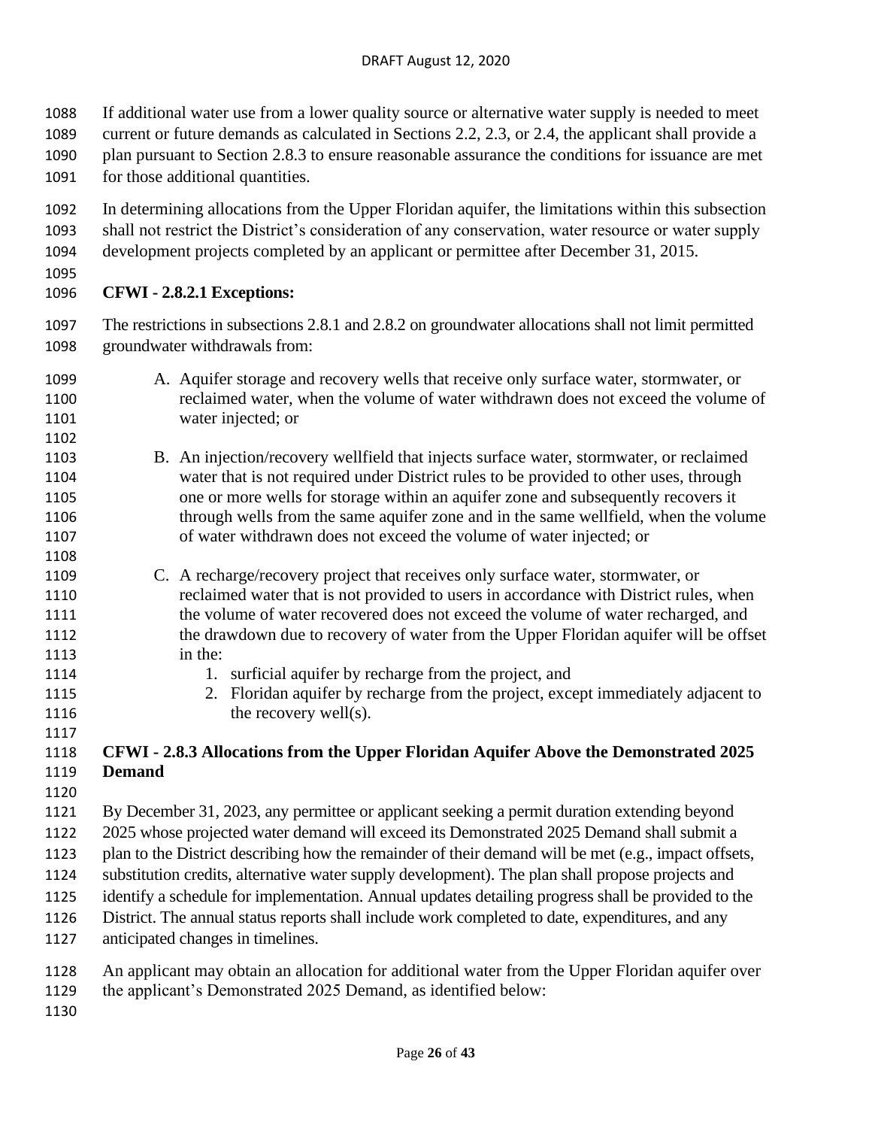If additional water use from a lower quality source or alternative water supply is needed to meet

- current or future demands as calculated in Sections 2.2, 2.3, or 2.4, the applicant shall provide a
- plan pursuant to Section 2.8.3 to ensure reasonable assurance the conditions for issuance are met
- for those additional quantities.
- In determining allocations from the Upper Floridan aquifer, the limitations within this subsection shall not restrict the District's consideration of any conservation, water resource or water supply
- development projects completed by an applicant or permittee after December 31, 2015.
- 

## **CFWI - 2.8.2.1 Exceptions:**

 The restrictions in subsections 2.8.1 and 2.8.2 on groundwater allocations shall not limit permitted groundwater withdrawals from:

- A. Aquifer storage and recovery wells that receive only surface water, stormwater, or reclaimed water, when the volume of water withdrawn does not exceed the volume of water injected; or
- B. An injection/recovery wellfield that injects surface water, stormwater, or reclaimed water that is not required under District rules to be provided to other uses, through one or more wells for storage within an aquifer zone and subsequently recovers it through wells from the same aquifer zone and in the same wellfield, when the volume of water withdrawn does not exceed the volume of water injected; or
- C. A recharge/recovery project that receives only surface water, stormwater, or reclaimed water that is not provided to users in accordance with District rules, when the volume of water recovered does not exceed the volume of water recharged, and the drawdown due to recovery of water from the Upper Floridan aquifer will be offset in the:
- 1114 1114 1. surficial aquifer by recharge from the project, and
- 2. Floridan aquifer by recharge from the project, except immediately adjacent to 1116 the recovery well(s).

# **CFWI - 2.8.3 Allocations from the Upper Floridan Aquifer Above the Demonstrated 2025 Demand**

By December 31, 2023, any permittee or applicant seeking a permit duration extending beyond

2025 whose projected water demand will exceed its Demonstrated 2025 Demand shall submit a

 plan to the District describing how the remainder of their demand will be met (e.g., impact offsets, substitution credits, alternative water supply development). The plan shall propose projects and

- identify a schedule for implementation. Annual updates detailing progress shall be provided to the
- District. The annual status reports shall include work completed to date, expenditures, and any
- anticipated changes in timelines.
- An applicant may obtain an allocation for additional water from the Upper Floridan aquifer over

the applicant's Demonstrated 2025 Demand, as identified below: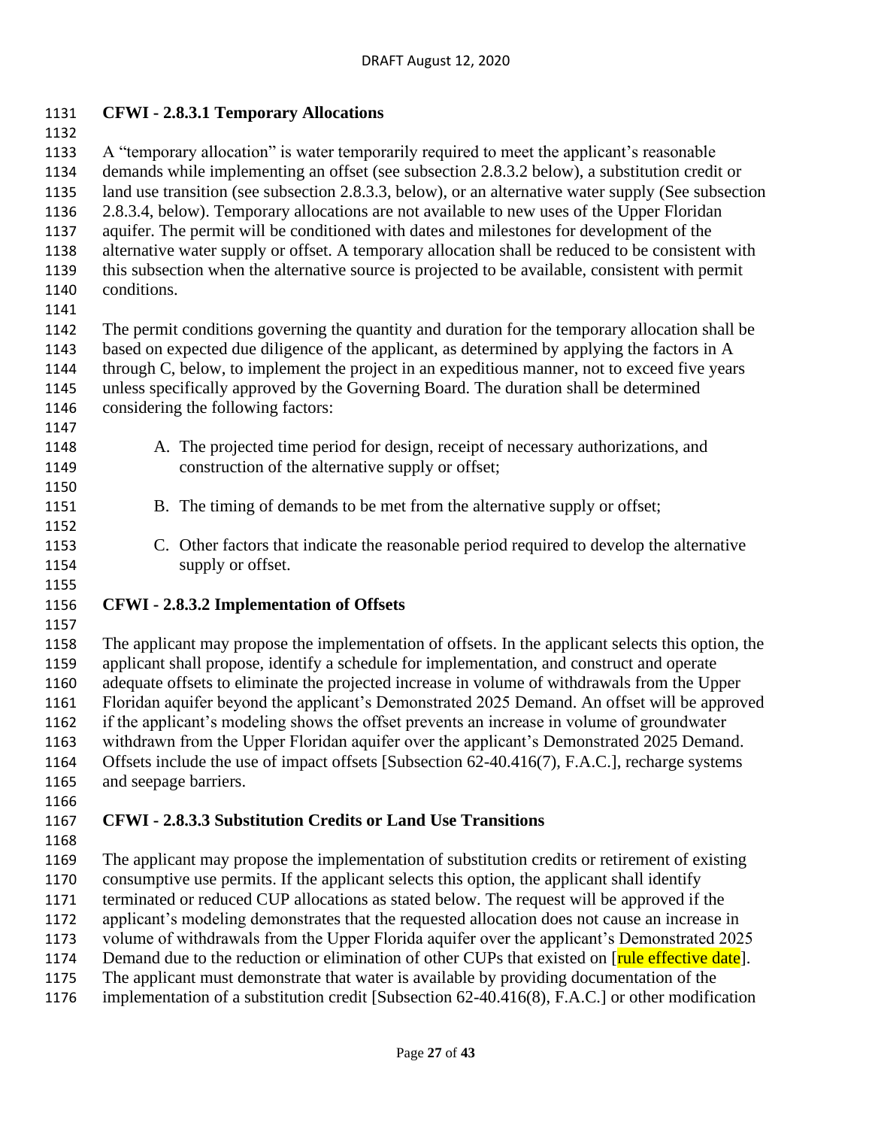#### **CFWI - 2.8.3.1 Temporary Allocations**

 A "temporary allocation" is water temporarily required to meet the applicant's reasonable demands while implementing an offset (see subsection 2.8.3.2 below), a substitution credit or land use transition (see subsection 2.8.3.3, below), or an alternative water supply (See subsection 2.8.3.4, below). Temporary allocations are not available to new uses of the Upper Floridan aquifer. The permit will be conditioned with dates and milestones for development of the alternative water supply or offset. A temporary allocation shall be reduced to be consistent with this subsection when the alternative source is projected to be available, consistent with permit conditions.

 The permit conditions governing the quantity and duration for the temporary allocation shall be based on expected due diligence of the applicant, as determined by applying the factors in A through C, below, to implement the project in an expeditious manner, not to exceed five years unless specifically approved by the Governing Board. The duration shall be determined considering the following factors: 

- A. The projected time period for design, receipt of necessary authorizations, and construction of the alternative supply or offset;
- B. The timing of demands to be met from the alternative supply or offset;
- C. Other factors that indicate the reasonable period required to develop the alternative 1154 supply or offset.

#### **CFWI - 2.8.3.2 Implementation of Offsets**

 The applicant may propose the implementation of offsets. In the applicant selects this option, the applicant shall propose, identify a schedule for implementation, and construct and operate adequate offsets to eliminate the projected increase in volume of withdrawals from the Upper Floridan aquifer beyond the applicant's Demonstrated 2025 Demand. An offset will be approved if the applicant's modeling shows the offset prevents an increase in volume of groundwater withdrawn from the Upper Floridan aquifer over the applicant's Demonstrated 2025 Demand. Offsets include the use of impact offsets [Subsection 62-40.416(7), F.A.C.], recharge systems and seepage barriers.

#### **CFWI - 2.8.3.3 Substitution Credits or Land Use Transitions**

The applicant may propose the implementation of substitution credits or retirement of existing

consumptive use permits. If the applicant selects this option, the applicant shall identify

terminated or reduced CUP allocations as stated below. The request will be approved if the

applicant's modeling demonstrates that the requested allocation does not cause an increase in

 volume of withdrawals from the Upper Florida aquifer over the applicant's Demonstrated 2025 1174 Demand due to the reduction or elimination of other CUPs that existed on [rule effective date].

The applicant must demonstrate that water is available by providing documentation of the

implementation of a substitution credit [Subsection 62-40.416(8), F.A.C.] or other modification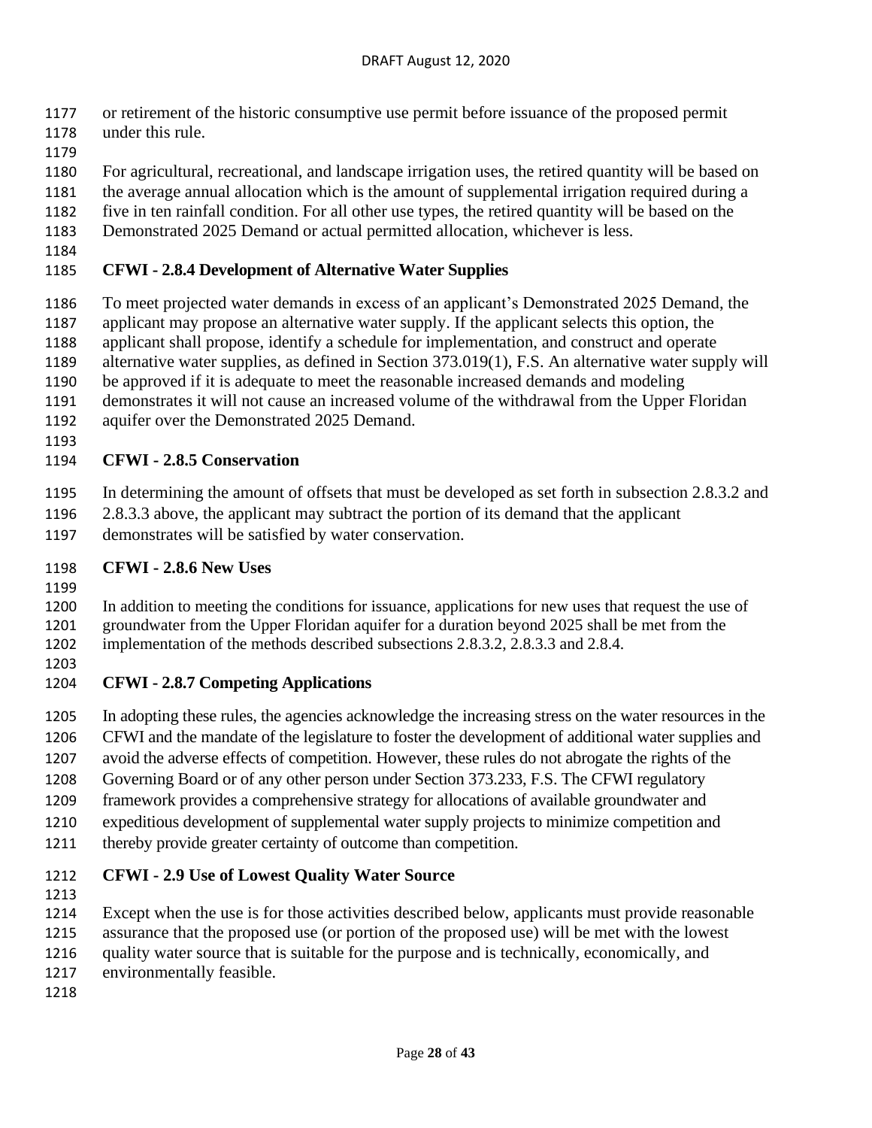- or retirement of the historic consumptive use permit before issuance of the proposed permit
- under this rule.
- 
- For agricultural, recreational, and landscape irrigation uses, the retired quantity will be based on
- the average annual allocation which is the amount of supplemental irrigation required during a
- five in ten rainfall condition. For all other use types, the retired quantity will be based on the
- Demonstrated 2025 Demand or actual permitted allocation, whichever is less.
- 

## **CFWI - 2.8.4 Development of Alternative Water Supplies**

- To meet projected water demands in excess of an applicant's Demonstrated 2025 Demand, the applicant may propose an alternative water supply. If the applicant selects this option, the
- applicant shall propose, identify a schedule for implementation, and construct and operate
- alternative water supplies, as defined in Section 373.019(1), F.S. An alternative water supply will
- be approved if it is adequate to meet the reasonable increased demands and modeling
- demonstrates it will not cause an increased volume of the withdrawal from the Upper Floridan
- aquifer over the Demonstrated 2025 Demand.
- 

# **CFWI - 2.8.5 Conservation**

- In determining the amount of offsets that must be developed as set forth in subsection 2.8.3.2 and
- 2.8.3.3 above, the applicant may subtract the portion of its demand that the applicant
- demonstrates will be satisfied by water conservation.

## **CFWI - 2.8.6 New Uses**

 In addition to meeting the conditions for issuance, applications for new uses that request the use of groundwater from the Upper Floridan aquifer for a duration beyond 2025 shall be met from the implementation of the methods described subsections 2.8.3.2, 2.8.3.3 and 2.8.4.

# **CFWI - 2.8.7 Competing Applications**

- In adopting these rules, the agencies acknowledge the increasing stress on the water resources in the
- CFWI and the mandate of the legislature to foster the development of additional water supplies and
- avoid the adverse effects of competition. However, these rules do not abrogate the rights of the
- Governing Board or of any other person under Section 373.233, F.S. The CFWI regulatory
- framework provides a comprehensive strategy for allocations of available groundwater and
- expeditious development of supplemental water supply projects to minimize competition and
- thereby provide greater certainty of outcome than competition.

# **CFWI - 2.9 Use of Lowest Quality Water Source**

- 
- Except when the use is for those activities described below, applicants must provide reasonable
- assurance that the proposed use (or portion of the proposed use) will be met with the lowest
- quality water source that is suitable for the purpose and is technically, economically, and
- environmentally feasible.
-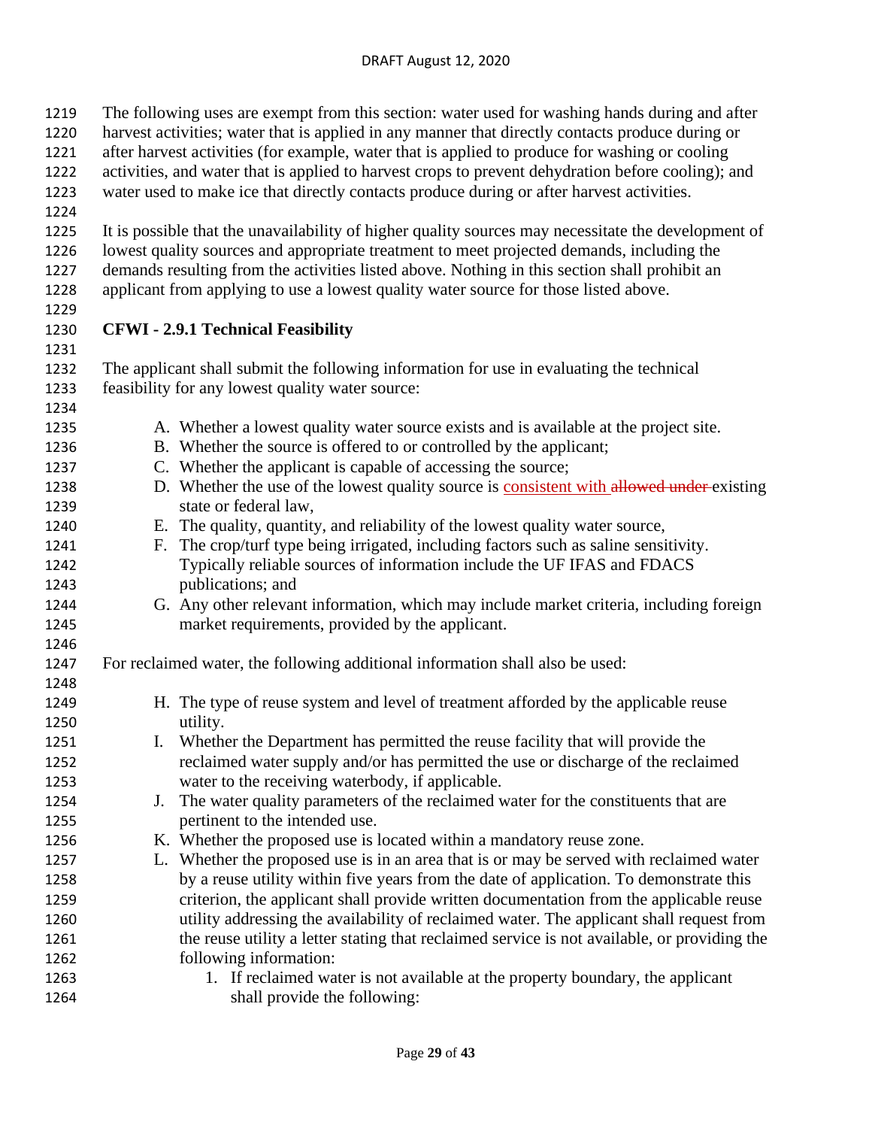| 1219<br>1220 | The following uses are exempt from this section: water used for washing hands during and after<br>harvest activities; water that is applied in any manner that directly contacts produce during or |  |  |
|--------------|----------------------------------------------------------------------------------------------------------------------------------------------------------------------------------------------------|--|--|
| 1221         | after harvest activities (for example, water that is applied to produce for washing or cooling                                                                                                     |  |  |
| 1222         | activities, and water that is applied to harvest crops to prevent dehydration before cooling); and                                                                                                 |  |  |
| 1223         | water used to make ice that directly contacts produce during or after harvest activities.                                                                                                          |  |  |
| 1224         |                                                                                                                                                                                                    |  |  |
| 1225         | It is possible that the unavailability of higher quality sources may necessitate the development of                                                                                                |  |  |
| 1226         | lowest quality sources and appropriate treatment to meet projected demands, including the                                                                                                          |  |  |
| 1227         | demands resulting from the activities listed above. Nothing in this section shall prohibit an                                                                                                      |  |  |
| 1228         | applicant from applying to use a lowest quality water source for those listed above.                                                                                                               |  |  |
| 1229         |                                                                                                                                                                                                    |  |  |
| 1230         | <b>CFWI - 2.9.1 Technical Feasibility</b>                                                                                                                                                          |  |  |
| 1231         |                                                                                                                                                                                                    |  |  |
| 1232         | The applicant shall submit the following information for use in evaluating the technical                                                                                                           |  |  |
| 1233         | feasibility for any lowest quality water source:                                                                                                                                                   |  |  |
| 1234         |                                                                                                                                                                                                    |  |  |
| 1235         | A. Whether a lowest quality water source exists and is available at the project site.                                                                                                              |  |  |
| 1236         | B. Whether the source is offered to or controlled by the applicant;                                                                                                                                |  |  |
| 1237         | C. Whether the applicant is capable of accessing the source;                                                                                                                                       |  |  |
| 1238         | D. Whether the use of the lowest quality source is consistent with allowed under existing                                                                                                          |  |  |
| 1239         | state or federal law,                                                                                                                                                                              |  |  |
| 1240         | E. The quality, quantity, and reliability of the lowest quality water source,                                                                                                                      |  |  |
| 1241         | The crop/turf type being irrigated, including factors such as saline sensitivity.<br>F.                                                                                                            |  |  |
| 1242         | Typically reliable sources of information include the UF IFAS and FDACS                                                                                                                            |  |  |
| 1243         | publications; and                                                                                                                                                                                  |  |  |
| 1244<br>1245 | G. Any other relevant information, which may include market criteria, including foreign<br>market requirements, provided by the applicant.                                                         |  |  |
| 1246         |                                                                                                                                                                                                    |  |  |
| 1247         | For reclaimed water, the following additional information shall also be used:                                                                                                                      |  |  |
| 1248         |                                                                                                                                                                                                    |  |  |
| 1249         | H. The type of reuse system and level of treatment afforded by the applicable reuse                                                                                                                |  |  |
| 1250         | utility.                                                                                                                                                                                           |  |  |
| 1251         | Whether the Department has permitted the reuse facility that will provide the<br>Ι.                                                                                                                |  |  |
| 1252         | reclaimed water supply and/or has permitted the use or discharge of the reclaimed                                                                                                                  |  |  |
| 1253         | water to the receiving waterbody, if applicable.                                                                                                                                                   |  |  |
| 1254         | The water quality parameters of the reclaimed water for the constituents that are<br>J.                                                                                                            |  |  |
| 1255         | pertinent to the intended use.                                                                                                                                                                     |  |  |
| 1256         | K. Whether the proposed use is located within a mandatory reuse zone.                                                                                                                              |  |  |
| 1257         | L. Whether the proposed use is in an area that is or may be served with reclaimed water                                                                                                            |  |  |
| 1258         | by a reuse utility within five years from the date of application. To demonstrate this                                                                                                             |  |  |
| 1259         | criterion, the applicant shall provide written documentation from the applicable reuse                                                                                                             |  |  |
| 1260         | utility addressing the availability of reclaimed water. The applicant shall request from                                                                                                           |  |  |
| 1261         | the reuse utility a letter stating that reclaimed service is not available, or providing the                                                                                                       |  |  |
| 1262         | following information:                                                                                                                                                                             |  |  |
| 1263         | 1. If reclaimed water is not available at the property boundary, the applicant                                                                                                                     |  |  |
| 1264         | shall provide the following:                                                                                                                                                                       |  |  |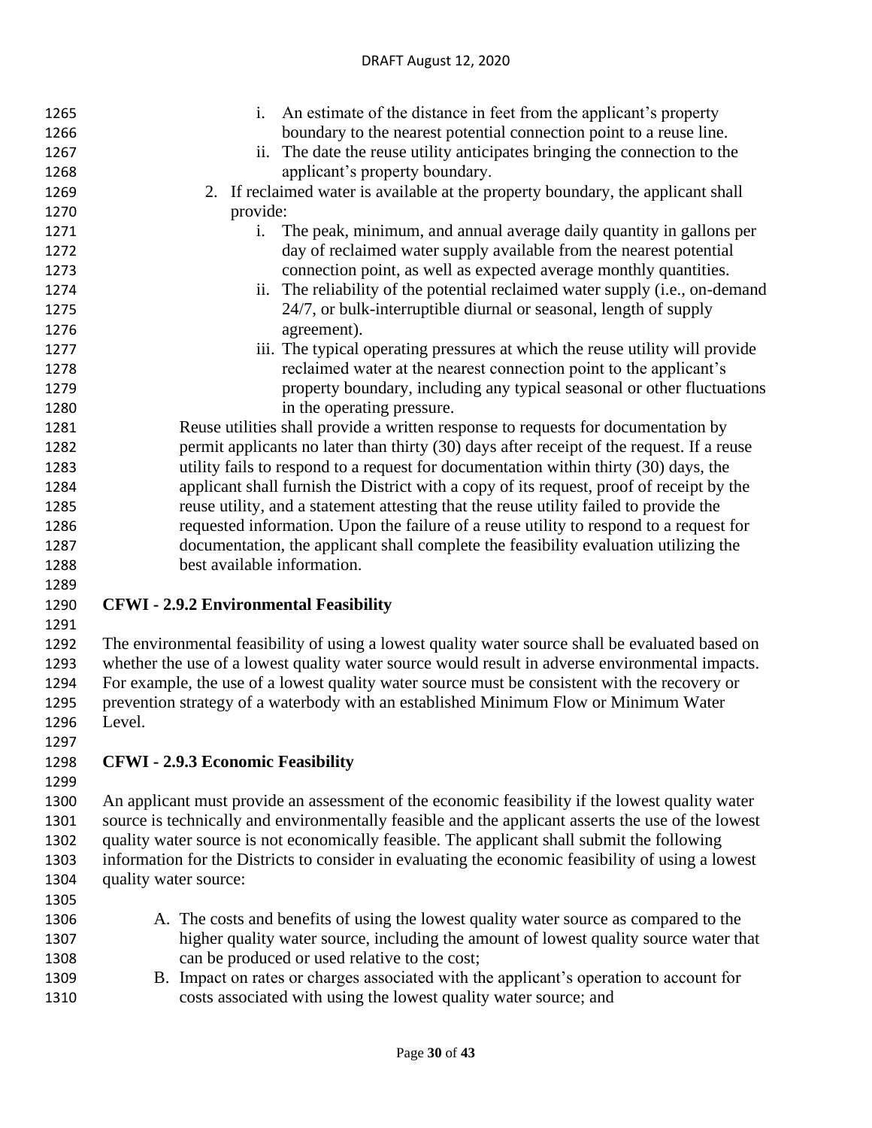| 1265 | An estimate of the distance in feet from the applicant's property<br>i.                          |
|------|--------------------------------------------------------------------------------------------------|
| 1266 | boundary to the nearest potential connection point to a reuse line.                              |
| 1267 | The date the reuse utility anticipates bringing the connection to the<br>ii.                     |
| 1268 | applicant's property boundary.                                                                   |
| 1269 | 2. If reclaimed water is available at the property boundary, the applicant shall                 |
| 1270 | provide:                                                                                         |
| 1271 | The peak, minimum, and annual average daily quantity in gallons per<br>i.                        |
| 1272 | day of reclaimed water supply available from the nearest potential                               |
| 1273 | connection point, as well as expected average monthly quantities.                                |
| 1274 | ii. The reliability of the potential reclaimed water supply (i.e., on-demand                     |
| 1275 | 24/7, or bulk-interruptible diurnal or seasonal, length of supply                                |
| 1276 | agreement).                                                                                      |
| 1277 | iii. The typical operating pressures at which the reuse utility will provide                     |
| 1278 | reclaimed water at the nearest connection point to the applicant's                               |
| 1279 | property boundary, including any typical seasonal or other fluctuations                          |
| 1280 | in the operating pressure.                                                                       |
| 1281 | Reuse utilities shall provide a written response to requests for documentation by                |
| 1282 | permit applicants no later than thirty (30) days after receipt of the request. If a reuse        |
| 1283 | utility fails to respond to a request for documentation within thirty (30) days, the             |
| 1284 | applicant shall furnish the District with a copy of its request, proof of receipt by the         |
| 1285 | reuse utility, and a statement attesting that the reuse utility failed to provide the            |
| 1286 | requested information. Upon the failure of a reuse utility to respond to a request for           |
| 1287 | documentation, the applicant shall complete the feasibility evaluation utilizing the             |
| 1288 | best available information.                                                                      |
| 1289 |                                                                                                  |
| 1290 | <b>CFWI - 2.9.2 Environmental Feasibility</b>                                                    |
| 1291 |                                                                                                  |
| 1292 | The environmental feasibility of using a lowest quality water source shall be evaluated based on |

 whether the use of a lowest quality water source would result in adverse environmental impacts. For example, the use of a lowest quality water source must be consistent with the recovery or prevention strategy of a waterbody with an established Minimum Flow or Minimum Water Level.

# **CFWI - 2.9.3 Economic Feasibility**

 An applicant must provide an assessment of the economic feasibility if the lowest quality water source is technically and environmentally feasible and the applicant asserts the use of the lowest quality water source is not economically feasible. The applicant shall submit the following information for the Districts to consider in evaluating the economic feasibility of using a lowest quality water source: 

- A. The costs and benefits of using the lowest quality water source as compared to the higher quality water source, including the amount of lowest quality source water that can be produced or used relative to the cost;
- B. Impact on rates or charges associated with the applicant's operation to account for costs associated with using the lowest quality water source; and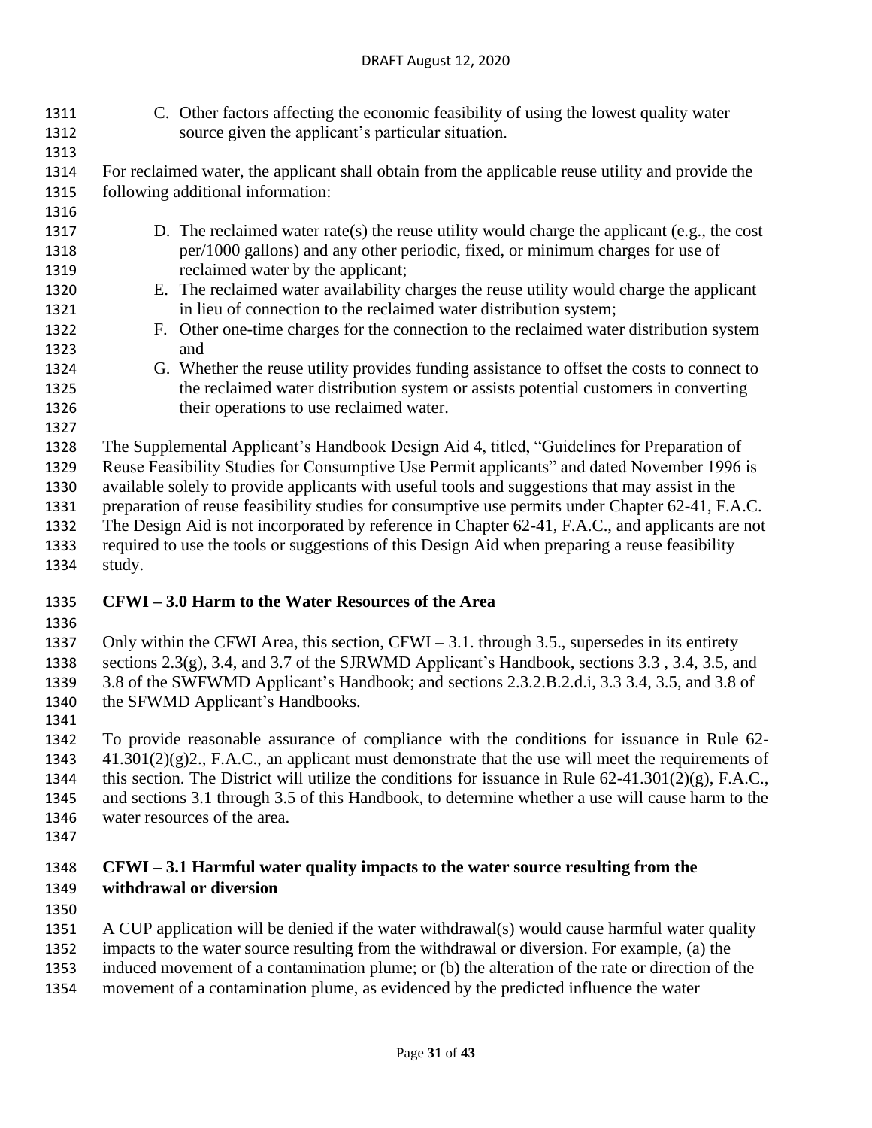C. Other factors affecting the economic feasibility of using the lowest quality water source given the applicant's particular situation.

 For reclaimed water, the applicant shall obtain from the applicable reuse utility and provide the following additional information:

- D. The reclaimed water rate(s) the reuse utility would charge the applicant (e.g., the cost per/1000 gallons) and any other periodic, fixed, or minimum charges for use of 1319 reclaimed water by the applicant;
- E. The reclaimed water availability charges the reuse utility would charge the applicant in lieu of connection to the reclaimed water distribution system;
- F. Other one-time charges for the connection to the reclaimed water distribution system and
- G. Whether the reuse utility provides funding assistance to offset the costs to connect to the reclaimed water distribution system or assists potential customers in converting their operations to use reclaimed water.
- 

 The Supplemental Applicant's Handbook Design Aid 4, titled, "Guidelines for Preparation of Reuse Feasibility Studies for Consumptive Use Permit applicants" and dated November 1996 is available solely to provide applicants with useful tools and suggestions that may assist in the preparation of reuse feasibility studies for consumptive use permits under Chapter 62-41, F.A.C. The Design Aid is not incorporated by reference in Chapter 62-41, F.A.C., and applicants are not required to use the tools or suggestions of this Design Aid when preparing a reuse feasibility

study.

# **CFWI – 3.0 Harm to the Water Resources of the Area**

 Only within the CFWI Area, this section, CFWI – 3.1. through 3.5., supersedes in its entirety sections 2.3(g), 3.4, and 3.7 of the SJRWMD Applicant's Handbook, sections 3.3 , 3.4, 3.5, and 3.8 of the SWFWMD Applicant's Handbook; and sections 2.3.2.B.2.d.i, 3.3 3.4, 3.5, and 3.8 of the SFWMD Applicant's Handbooks.

 To provide reasonable assurance of compliance with the conditions for issuance in Rule 62- 41.301(2)(g)2., F.A.C., an applicant must demonstrate that the use will meet the requirements of 1344 this section. The District will utilize the conditions for issuance in Rule  $62-41.301(2)(g)$ , F.A.C., and sections 3.1 through 3.5 of this Handbook, to determine whether a use will cause harm to the water resources of the area.

# **CFWI – 3.1 Harmful water quality impacts to the water source resulting from the withdrawal or diversion**

- 
- A CUP application will be denied if the water withdrawal(s) would cause harmful water quality
- impacts to the water source resulting from the withdrawal or diversion. For example, (a) the
- induced movement of a contamination plume; or (b) the alteration of the rate or direction of the
- movement of a contamination plume, as evidenced by the predicted influence the water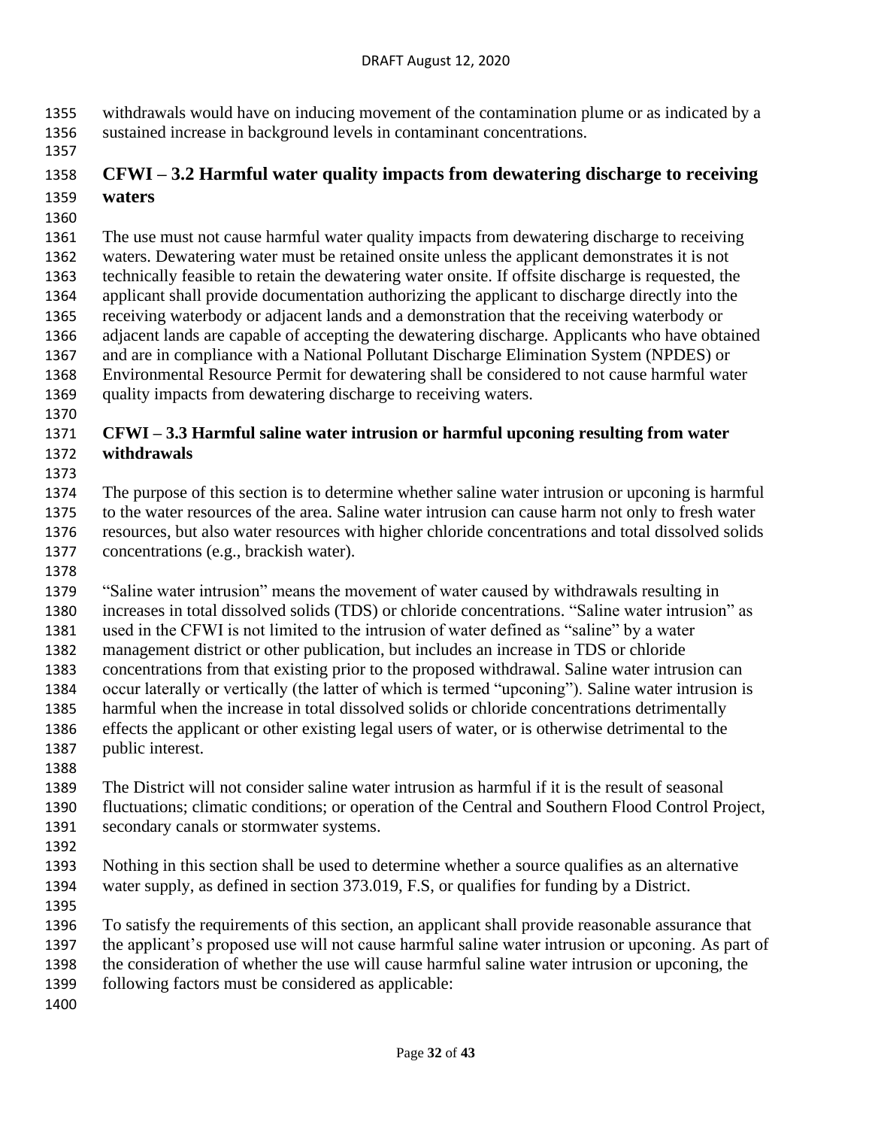withdrawals would have on inducing movement of the contamination plume or as indicated by a sustained increase in background levels in contaminant concentrations.

# **CFWI – 3.2 Harmful water quality impacts from dewatering discharge to receiving waters**

 The use must not cause harmful water quality impacts from dewatering discharge to receiving waters. Dewatering water must be retained onsite unless the applicant demonstrates it is not technically feasible to retain the dewatering water onsite. If offsite discharge is requested, the applicant shall provide documentation authorizing the applicant to discharge directly into the receiving waterbody or adjacent lands and a demonstration that the receiving waterbody or adjacent lands are capable of accepting the dewatering discharge. Applicants who have obtained and are in compliance with a National Pollutant Discharge Elimination System (NPDES) or Environmental Resource Permit for dewatering shall be considered to not cause harmful water quality impacts from dewatering discharge to receiving waters.

### **CFWI – 3.3 Harmful saline water intrusion or harmful upconing resulting from water withdrawals**

 The purpose of this section is to determine whether saline water intrusion or upconing is harmful to the water resources of the area. Saline water intrusion can cause harm not only to fresh water resources, but also water resources with higher chloride concentrations and total dissolved solids concentrations (e.g., brackish water).

 "Saline water intrusion" means the movement of water caused by withdrawals resulting in increases in total dissolved solids (TDS) or chloride concentrations. "Saline water intrusion" as used in the CFWI is not limited to the intrusion of water defined as "saline" by a water management district or other publication, but includes an increase in TDS or chloride concentrations from that existing prior to the proposed withdrawal. Saline water intrusion can occur laterally or vertically (the latter of which is termed "upconing"). Saline water intrusion is harmful when the increase in total dissolved solids or chloride concentrations detrimentally effects the applicant or other existing legal users of water, or is otherwise detrimental to the public interest. 

 The District will not consider saline water intrusion as harmful if it is the result of seasonal fluctuations; climatic conditions; or operation of the Central and Southern Flood Control Project, secondary canals or stormwater systems.

 Nothing in this section shall be used to determine whether a source qualifies as an alternative water supply, as defined in section 373.019, F.S, or qualifies for funding by a District.

 To satisfy the requirements of this section, an applicant shall provide reasonable assurance that the applicant's proposed use will not cause harmful saline water intrusion or upconing. As part of the consideration of whether the use will cause harmful saline water intrusion or upconing, the

following factors must be considered as applicable: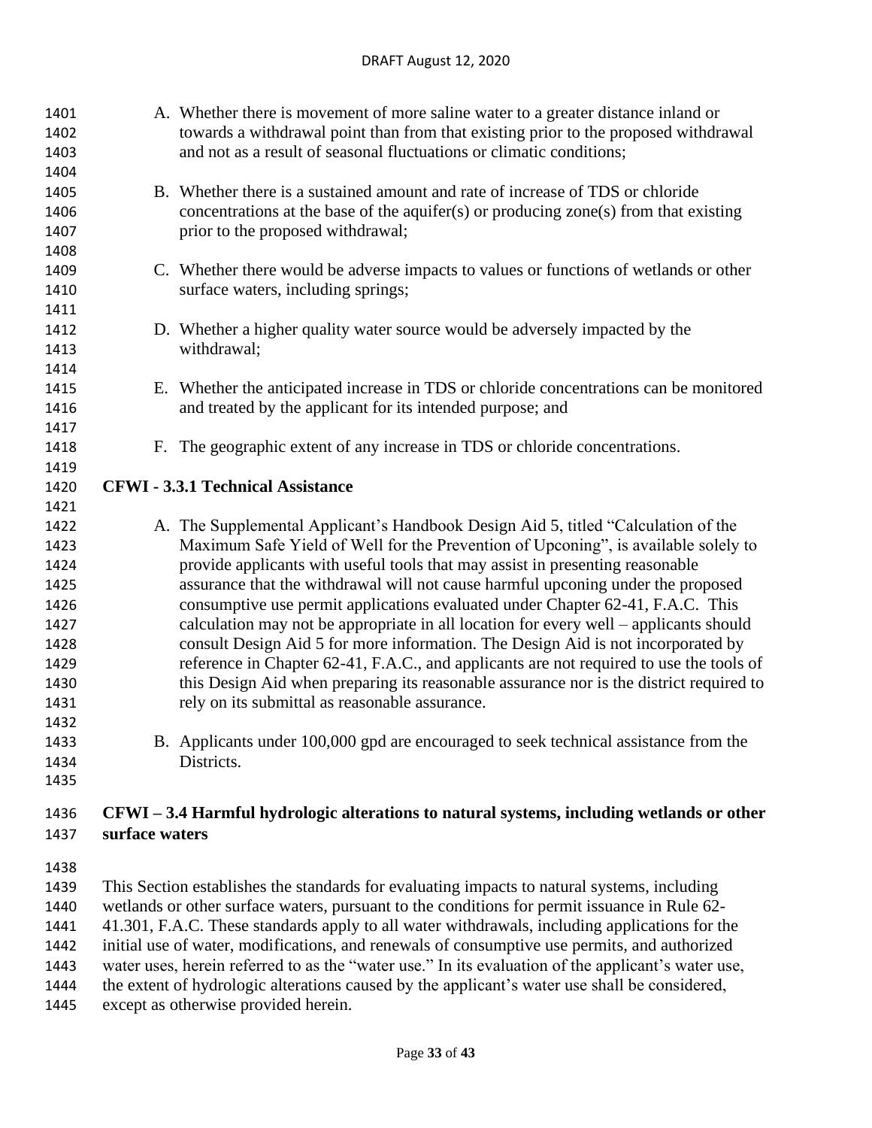| 1401<br>1402<br>1403<br>1404                                                                         | A. Whether there is movement of more saline water to a greater distance inland or<br>towards a withdrawal point than from that existing prior to the proposed withdrawal<br>and not as a result of seasonal fluctuations or climatic conditions;                                                                                                                                                                                                                                                                                                                                                                                                                                                                                                                                                                                                                                                                                                          |
|------------------------------------------------------------------------------------------------------|-----------------------------------------------------------------------------------------------------------------------------------------------------------------------------------------------------------------------------------------------------------------------------------------------------------------------------------------------------------------------------------------------------------------------------------------------------------------------------------------------------------------------------------------------------------------------------------------------------------------------------------------------------------------------------------------------------------------------------------------------------------------------------------------------------------------------------------------------------------------------------------------------------------------------------------------------------------|
| 1405<br>1406<br>1407                                                                                 | B. Whether there is a sustained amount and rate of increase of TDS or chloride<br>concentrations at the base of the aquifer(s) or producing zone(s) from that existing<br>prior to the proposed withdrawal;                                                                                                                                                                                                                                                                                                                                                                                                                                                                                                                                                                                                                                                                                                                                               |
| 1408<br>1409<br>1410<br>1411                                                                         | C. Whether there would be adverse impacts to values or functions of wetlands or other<br>surface waters, including springs;                                                                                                                                                                                                                                                                                                                                                                                                                                                                                                                                                                                                                                                                                                                                                                                                                               |
| 1412<br>1413<br>1414                                                                                 | D. Whether a higher quality water source would be adversely impacted by the<br>withdrawal;                                                                                                                                                                                                                                                                                                                                                                                                                                                                                                                                                                                                                                                                                                                                                                                                                                                                |
| 1415<br>1416<br>1417                                                                                 | E. Whether the anticipated increase in TDS or chloride concentrations can be monitored<br>and treated by the applicant for its intended purpose; and                                                                                                                                                                                                                                                                                                                                                                                                                                                                                                                                                                                                                                                                                                                                                                                                      |
| 1418<br>1419                                                                                         | F. The geographic extent of any increase in TDS or chloride concentrations.                                                                                                                                                                                                                                                                                                                                                                                                                                                                                                                                                                                                                                                                                                                                                                                                                                                                               |
| 1420<br>1421                                                                                         | <b>CFWI - 3.3.1 Technical Assistance</b>                                                                                                                                                                                                                                                                                                                                                                                                                                                                                                                                                                                                                                                                                                                                                                                                                                                                                                                  |
| 1422<br>1423<br>1424<br>1425<br>1426<br>1427<br>1428<br>1429<br>1430<br>1431<br>1432<br>1433<br>1434 | A. The Supplemental Applicant's Handbook Design Aid 5, titled "Calculation of the<br>Maximum Safe Yield of Well for the Prevention of Upconing", is available solely to<br>provide applicants with useful tools that may assist in presenting reasonable<br>assurance that the withdrawal will not cause harmful upconing under the proposed<br>consumptive use permit applications evaluated under Chapter 62-41, F.A.C. This<br>calculation may not be appropriate in all location for every well – applicants should<br>consult Design Aid 5 for more information. The Design Aid is not incorporated by<br>reference in Chapter 62-41, F.A.C., and applicants are not required to use the tools of<br>this Design Aid when preparing its reasonable assurance nor is the district required to<br>rely on its submittal as reasonable assurance.<br>B. Applicants under 100,000 gpd are encouraged to seek technical assistance from the<br>Districts. |
| 1435                                                                                                 |                                                                                                                                                                                                                                                                                                                                                                                                                                                                                                                                                                                                                                                                                                                                                                                                                                                                                                                                                           |
| 1436                                                                                                 | CFWI – 3.4 Harmful hydrologic alterations to natural systems, including wetlands or other                                                                                                                                                                                                                                                                                                                                                                                                                                                                                                                                                                                                                                                                                                                                                                                                                                                                 |

**surface waters**

 This Section establishes the standards for evaluating impacts to natural systems, including wetlands or other surface waters, pursuant to the conditions for permit issuance in Rule 62- 41.301, F.A.C. These standards apply to all water withdrawals, including applications for the initial use of water, modifications, and renewals of consumptive use permits, and authorized water uses, herein referred to as the "water use." In its evaluation of the applicant's water use,

the extent of hydrologic alterations caused by the applicant's water use shall be considered,

except as otherwise provided herein.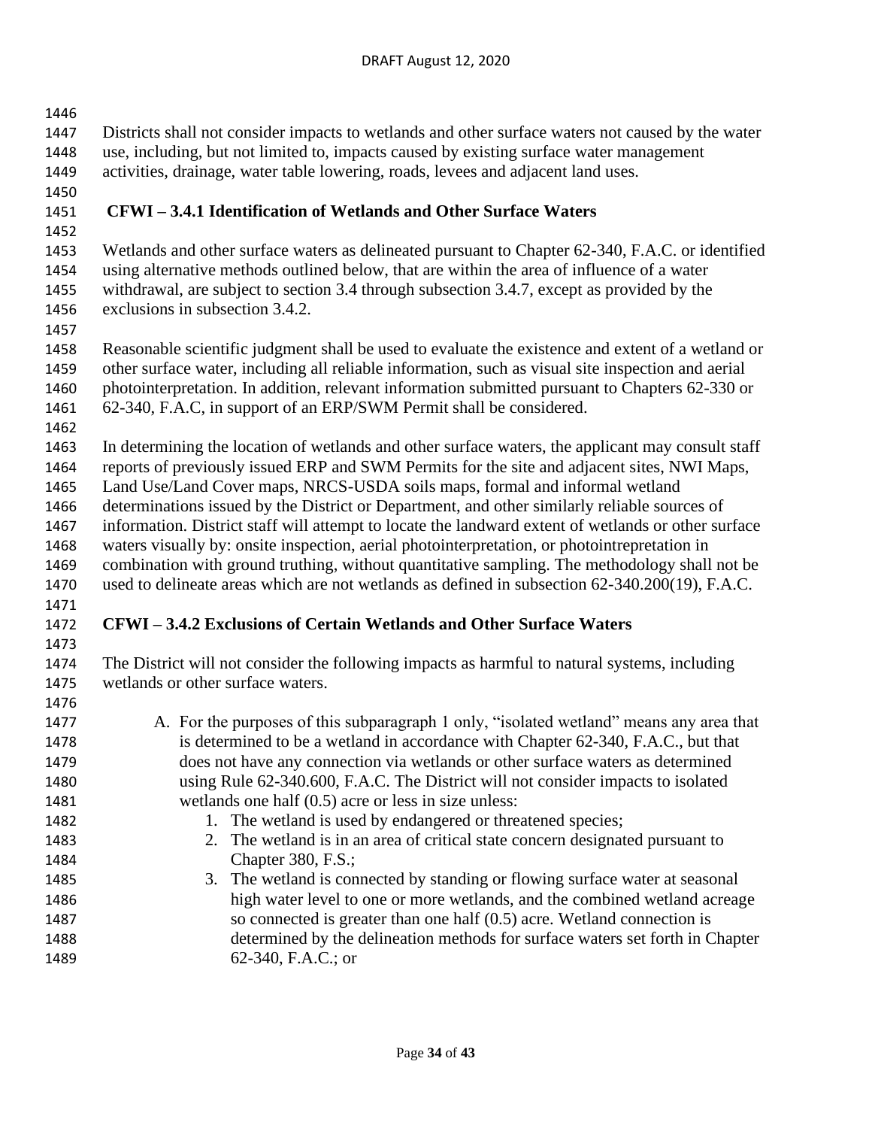Districts shall not consider impacts to wetlands and other surface waters not caused by the water use, including, but not limited to, impacts caused by existing surface water management activities, drainage, water table lowering, roads, levees and adjacent land uses. **CFWI – 3.4.1 Identification of Wetlands and Other Surface Waters** Wetlands and other surface waters as delineated pursuant to Chapter 62-340, F.A.C. or identified using alternative methods outlined below, that are within the area of influence of a water withdrawal, are subject to section 3.4 through subsection 3.4.7, except as provided by the exclusions in subsection 3.4.2. Reasonable scientific judgment shall be used to evaluate the existence and extent of a wetland or other surface water, including all reliable information, such as visual site inspection and aerial photointerpretation. In addition, relevant information submitted pursuant to Chapters 62-330 or 62-340, F.A.C, in support of an ERP/SWM Permit shall be considered. In determining the location of wetlands and other surface waters, the applicant may consult staff reports of previously issued ERP and SWM Permits for the site and adjacent sites, NWI Maps, Land Use/Land Cover maps, NRCS-USDA soils maps, formal and informal wetland determinations issued by the District or Department, and other similarly reliable sources of information. District staff will attempt to locate the landward extent of wetlands or other surface waters visually by: onsite inspection, aerial photointerpretation, or photointrepretation in combination with ground truthing, without quantitative sampling. The methodology shall not be used to delineate areas which are not wetlands as defined in subsection 62-340.200(19), F.A.C. **CFWI – 3.4.2 Exclusions of Certain Wetlands and Other Surface Waters** The District will not consider the following impacts as harmful to natural systems, including wetlands or other surface waters. 1477 A. For the purposes of this subparagraph 1 only, "isolated wetland" means any area that is determined to be a wetland in accordance with Chapter 62-340, F.A.C., but that does not have any connection via wetlands or other surface waters as determined using Rule 62-340.600, F.A.C. The District will not consider impacts to isolated wetlands one half (0.5) acre or less in size unless: 1482 1. The wetland is used by endangered or threatened species; 2. The wetland is in an area of critical state concern designated pursuant to 1484 Chapter 380, F.S.; 3. The wetland is connected by standing or flowing surface water at seasonal high water level to one or more wetlands, and the combined wetland acreage so connected is greater than one half (0.5) acre. Wetland connection is determined by the delineation methods for surface waters set forth in Chapter 62-340, F.A.C.; or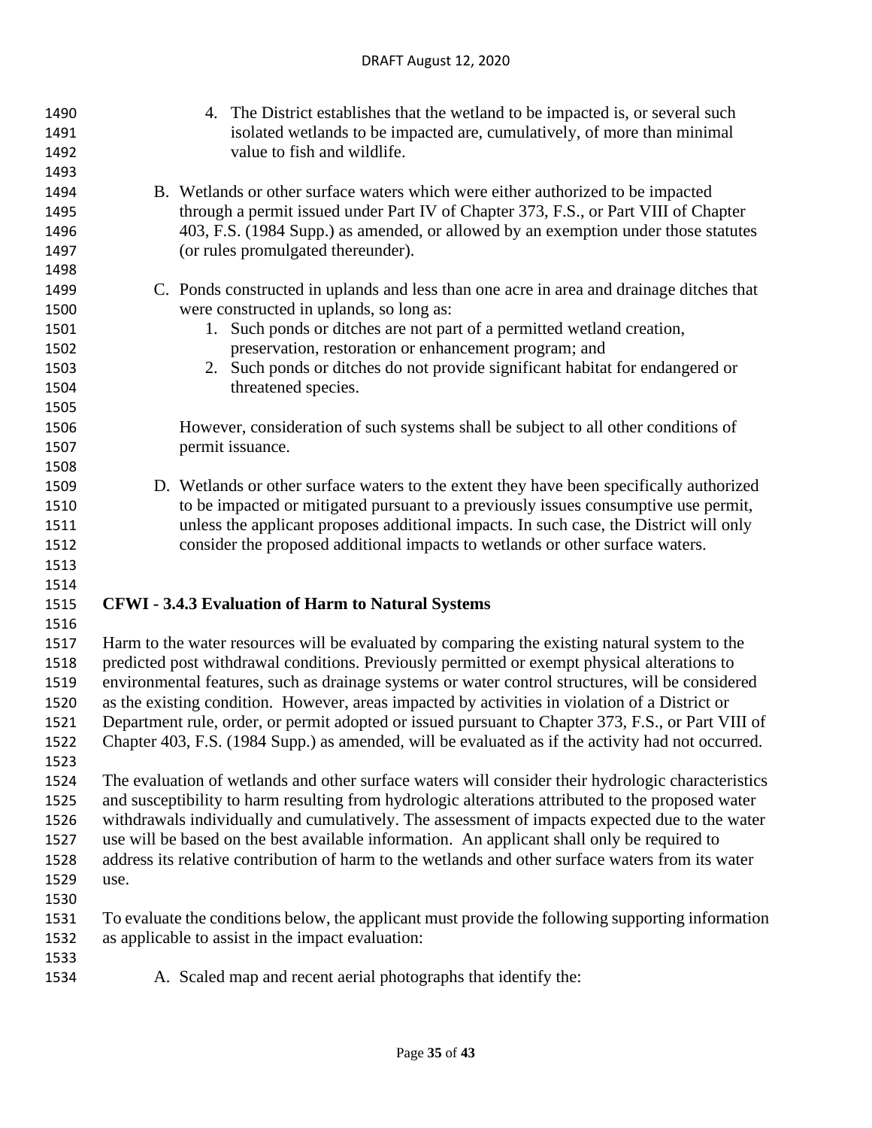| 1490         | 4. The District establishes that the wetland to be impacted is, or several such                    |
|--------------|----------------------------------------------------------------------------------------------------|
| 1491         | isolated wetlands to be impacted are, cumulatively, of more than minimal                           |
| 1492         | value to fish and wildlife.                                                                        |
| 1493         |                                                                                                    |
| 1494         | B. Wetlands or other surface waters which were either authorized to be impacted                    |
| 1495         | through a permit issued under Part IV of Chapter 373, F.S., or Part VIII of Chapter                |
| 1496         | 403, F.S. (1984 Supp.) as amended, or allowed by an exemption under those statutes                 |
| 1497         | (or rules promulgated thereunder).                                                                 |
| 1498         |                                                                                                    |
| 1499         | C. Ponds constructed in uplands and less than one acre in area and drainage ditches that           |
| 1500         | were constructed in uplands, so long as:                                                           |
| 1501         | 1. Such ponds or ditches are not part of a permitted wetland creation,                             |
| 1502         | preservation, restoration or enhancement program; and                                              |
| 1503         | 2. Such ponds or ditches do not provide significant habitat for endangered or                      |
| 1504         | threatened species.                                                                                |
| 1505         |                                                                                                    |
| 1506         | However, consideration of such systems shall be subject to all other conditions of                 |
| 1507         | permit issuance.                                                                                   |
| 1508         |                                                                                                    |
| 1509         | D. Wetlands or other surface waters to the extent they have been specifically authorized           |
| 1510         | to be impacted or mitigated pursuant to a previously issues consumptive use permit,                |
| 1511         | unless the applicant proposes additional impacts. In such case, the District will only             |
| 1512         | consider the proposed additional impacts to wetlands or other surface waters.                      |
| 1513         |                                                                                                    |
| 1514         |                                                                                                    |
| 1515         | <b>CFWI - 3.4.3 Evaluation of Harm to Natural Systems</b>                                          |
| 1516         |                                                                                                    |
| 1517         | Harm to the water resources will be evaluated by comparing the existing natural system to the      |
| 1518         | predicted post withdrawal conditions. Previously permitted or exempt physical alterations to       |
| 1519         | environmental features, such as drainage systems or water control structures, will be considered   |
| 1520         | as the existing condition. However, areas impacted by activities in violation of a District or     |
| 1521         | Department rule, order, or permit adopted or issued pursuant to Chapter 373, F.S., or Part VIII of |
| 1522<br>1523 | Chapter 403, F.S. (1984 Supp.) as amended, will be evaluated as if the activity had not occurred.  |
| 1524         | The evaluation of wetlands and other surface waters will consider their hydrologic characteristics |
| 1525         | and susceptibility to harm resulting from hydrologic alterations attributed to the proposed water  |
| 1526         | withdrawals individually and cumulatively. The assessment of impacts expected due to the water     |
| 1527         | use will be based on the best available information. An applicant shall only be required to        |
| 1528         | address its relative contribution of harm to the wetlands and other surface waters from its water  |
| 1529         | use.                                                                                               |
| 1530         |                                                                                                    |
| 1531         | To evaluate the conditions below, the applicant must provide the following supporting information  |
| 1532         | as applicable to assist in the impact evaluation:                                                  |
| 1533         |                                                                                                    |
| 1534         | A. Scaled map and recent aerial photographs that identify the:                                     |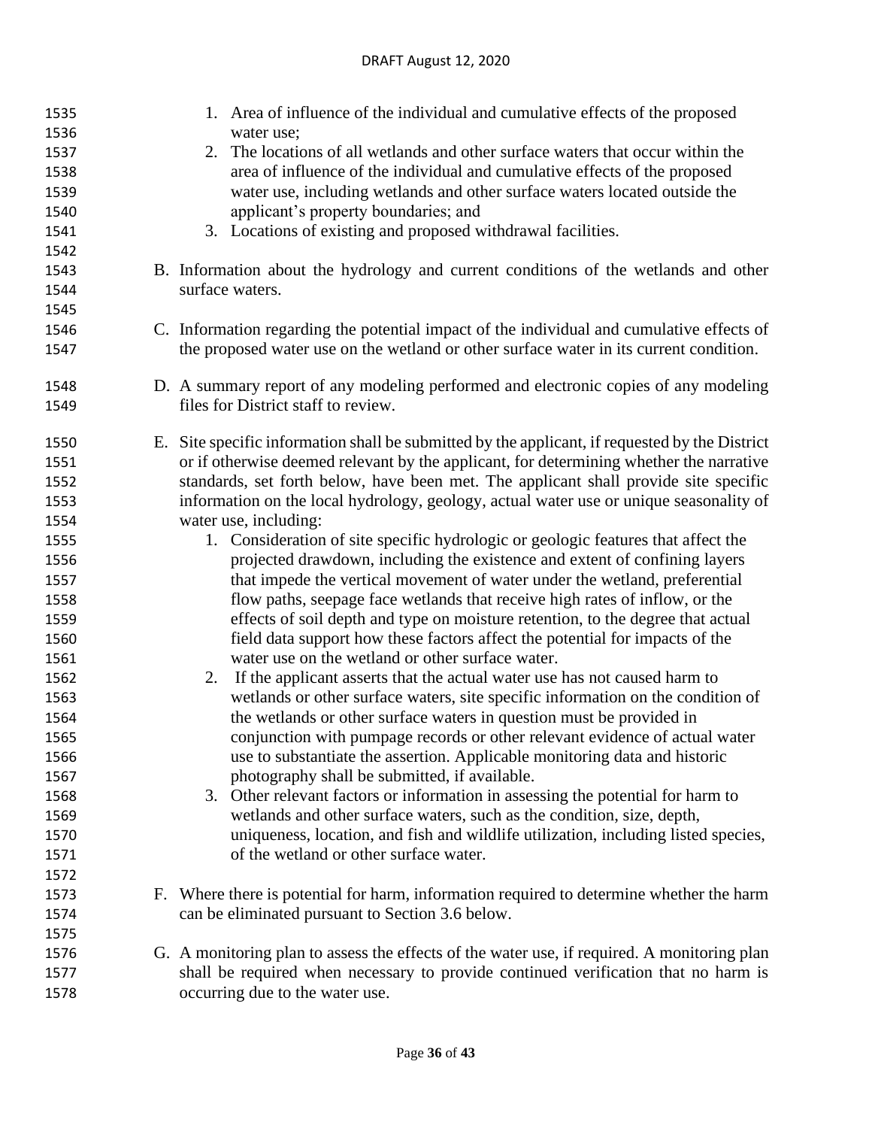| 1535 | 1. Area of influence of the individual and cumulative effects of the proposed                  |
|------|------------------------------------------------------------------------------------------------|
| 1536 | water use;                                                                                     |
| 1537 | 2. The locations of all wetlands and other surface waters that occur within the                |
| 1538 | area of influence of the individual and cumulative effects of the proposed                     |
| 1539 | water use, including wetlands and other surface waters located outside the                     |
| 1540 | applicant's property boundaries; and                                                           |
| 1541 | 3. Locations of existing and proposed withdrawal facilities.                                   |
| 1542 |                                                                                                |
| 1543 | B. Information about the hydrology and current conditions of the wetlands and other            |
| 1544 | surface waters.                                                                                |
| 1545 |                                                                                                |
| 1546 | C. Information regarding the potential impact of the individual and cumulative effects of      |
| 1547 | the proposed water use on the wetland or other surface water in its current condition.         |
| 1548 | D. A summary report of any modeling performed and electronic copies of any modeling            |
| 1549 | files for District staff to review.                                                            |
| 1550 | E. Site specific information shall be submitted by the applicant, if requested by the District |
| 1551 | or if otherwise deemed relevant by the applicant, for determining whether the narrative        |
| 1552 | standards, set forth below, have been met. The applicant shall provide site specific           |
| 1553 | information on the local hydrology, geology, actual water use or unique seasonality of         |
| 1554 | water use, including:                                                                          |
| 1555 | 1. Consideration of site specific hydrologic or geologic features that affect the              |
| 1556 | projected drawdown, including the existence and extent of confining layers                     |
| 1557 | that impede the vertical movement of water under the wetland, preferential                     |
| 1558 | flow paths, seepage face wetlands that receive high rates of inflow, or the                    |
| 1559 | effects of soil depth and type on moisture retention, to the degree that actual                |
| 1560 | field data support how these factors affect the potential for impacts of the                   |
| 1561 | water use on the wetland or other surface water.                                               |
| 1562 | 2. If the applicant asserts that the actual water use has not caused harm to                   |
| 1563 | wetlands or other surface waters, site specific information on the condition of                |
| 1564 | the wetlands or other surface waters in question must be provided in                           |
| 1565 | conjunction with pumpage records or other relevant evidence of actual water                    |
| 1566 | use to substantiate the assertion. Applicable monitoring data and historic                     |
| 1567 | photography shall be submitted, if available.                                                  |
| 1568 | 3. Other relevant factors or information in assessing the potential for harm to                |
| 1569 | wetlands and other surface waters, such as the condition, size, depth,                         |
| 1570 | uniqueness, location, and fish and wildlife utilization, including listed species,             |
| 1571 | of the wetland or other surface water.                                                         |
| 1572 |                                                                                                |
| 1573 | F. Where there is potential for harm, information required to determine whether the harm       |
| 1574 | can be eliminated pursuant to Section 3.6 below.                                               |
| 1575 |                                                                                                |
| 1576 | G. A monitoring plan to assess the effects of the water use, if required. A monitoring plan    |
| 1577 | shall be required when necessary to provide continued verification that no harm is             |
| 1578 |                                                                                                |
|      | occurring due to the water use.                                                                |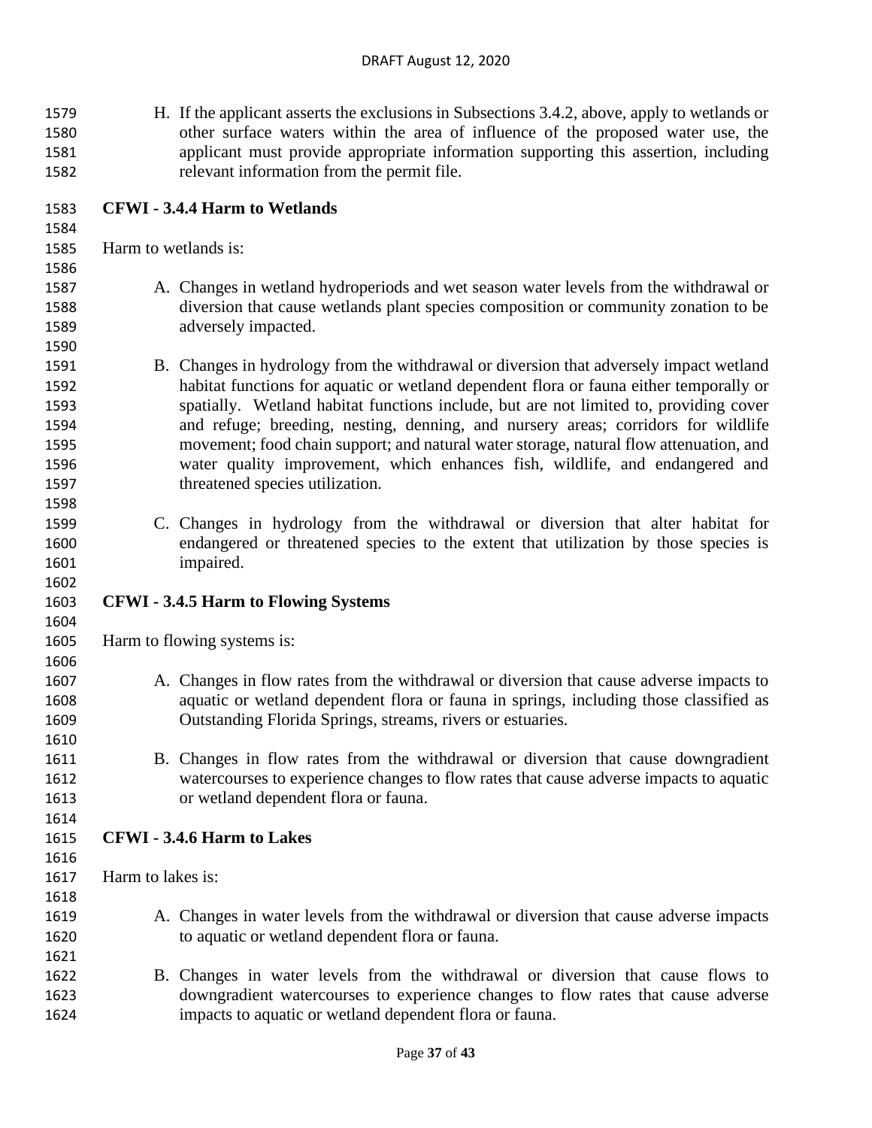- H. If the applicant asserts the exclusions in Subsections 3.4.2, above, apply to wetlands or other surface waters within the area of influence of the proposed water use, the applicant must provide appropriate information supporting this assertion, including relevant information from the permit file.
- **CFWI - 3.4.4 Harm to Wetlands**

Harm to wetlands is:

- A. Changes in wetland hydroperiods and wet season water levels from the withdrawal or diversion that cause wetlands plant species composition or community zonation to be adversely impacted.
- B. Changes in hydrology from the withdrawal or diversion that adversely impact wetland habitat functions for aquatic or wetland dependent flora or fauna either temporally or spatially. Wetland habitat functions include, but are not limited to, providing cover and refuge; breeding, nesting, denning, and nursery areas; corridors for wildlife movement; food chain support; and natural water storage, natural flow attenuation, and water quality improvement, which enhances fish, wildlife, and endangered and threatened species utilization.
- C. Changes in hydrology from the withdrawal or diversion that alter habitat for endangered or threatened species to the extent that utilization by those species is impaired.
- **CFWI - 3.4.5 Harm to Flowing Systems**

Harm to flowing systems is:

- A. Changes in flow rates from the withdrawal or diversion that cause adverse impacts to aquatic or wetland dependent flora or fauna in springs, including those classified as Outstanding Florida Springs, streams, rivers or estuaries.
- B. Changes in flow rates from the withdrawal or diversion that cause downgradient watercourses to experience changes to flow rates that cause adverse impacts to aquatic or wetland dependent flora or fauna.
- **CFWI - 3.4.6 Harm to Lakes**
- 

- Harm to lakes is:
- A. Changes in water levels from the withdrawal or diversion that cause adverse impacts to aquatic or wetland dependent flora or fauna.
- B. Changes in water levels from the withdrawal or diversion that cause flows to downgradient watercourses to experience changes to flow rates that cause adverse impacts to aquatic or wetland dependent flora or fauna.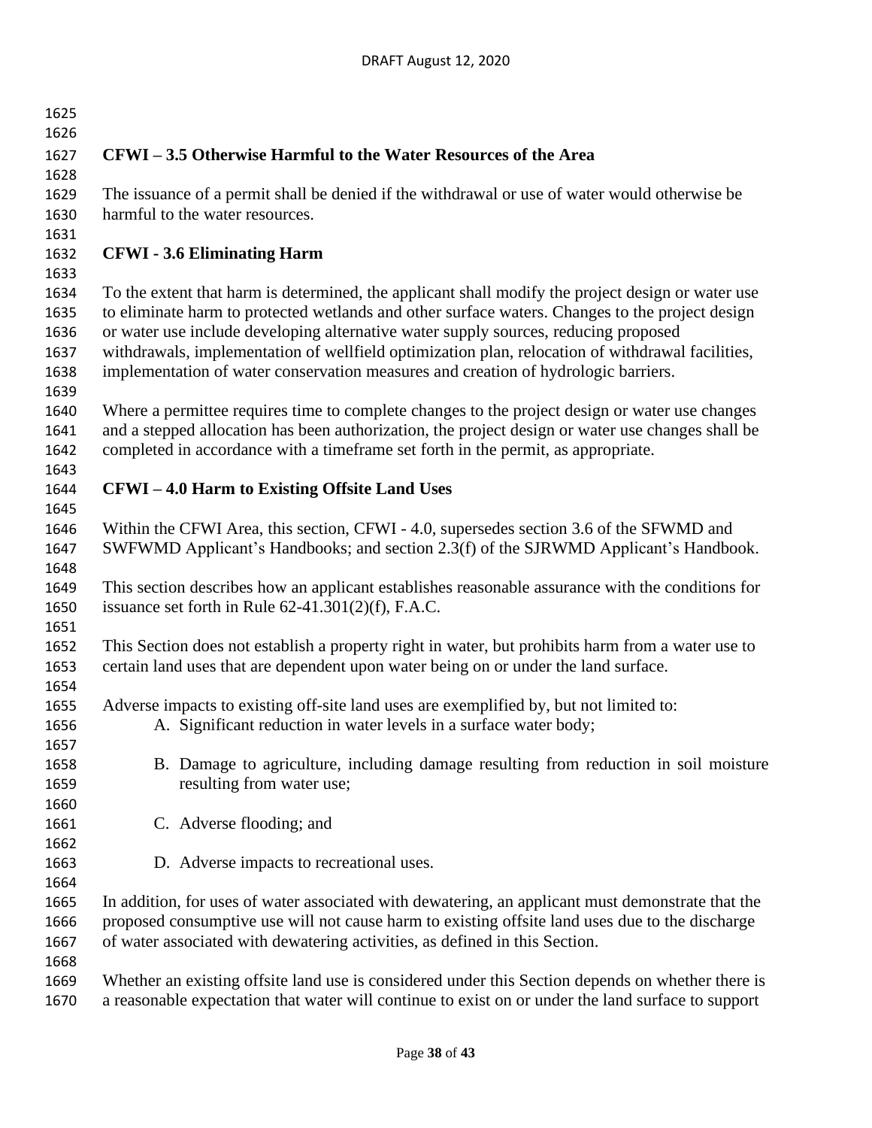| 1626<br>CFWI – 3.5 Otherwise Harmful to the Water Resources of the Area<br>1627<br>1628<br>The issuance of a permit shall be denied if the withdrawal or use of water would otherwise be<br>1629 |  |
|--------------------------------------------------------------------------------------------------------------------------------------------------------------------------------------------------|--|
|                                                                                                                                                                                                  |  |
|                                                                                                                                                                                                  |  |
|                                                                                                                                                                                                  |  |
|                                                                                                                                                                                                  |  |
| harmful to the water resources.<br>1630                                                                                                                                                          |  |
| 1631                                                                                                                                                                                             |  |
| 1632<br><b>CFWI</b> - 3.6 Eliminating Harm                                                                                                                                                       |  |
| 1633                                                                                                                                                                                             |  |
| To the extent that harm is determined, the applicant shall modify the project design or water use<br>1634                                                                                        |  |
| to eliminate harm to protected wetlands and other surface waters. Changes to the project design<br>1635                                                                                          |  |
| or water use include developing alternative water supply sources, reducing proposed<br>1636                                                                                                      |  |
| withdrawals, implementation of wellfield optimization plan, relocation of withdrawal facilities,<br>1637                                                                                         |  |
| implementation of water conservation measures and creation of hydrologic barriers.<br>1638                                                                                                       |  |
| 1639                                                                                                                                                                                             |  |
| Where a permittee requires time to complete changes to the project design or water use changes<br>1640                                                                                           |  |
| and a stepped allocation has been authorization, the project design or water use changes shall be<br>1641                                                                                        |  |
| completed in accordance with a timeframe set forth in the permit, as appropriate.<br>1642                                                                                                        |  |
| 1643                                                                                                                                                                                             |  |
| <b>CFWI-4.0 Harm to Existing Offsite Land Uses</b><br>1644                                                                                                                                       |  |
| 1645                                                                                                                                                                                             |  |
| Within the CFWI Area, this section, CFWI - 4.0, supersedes section 3.6 of the SFWMD and<br>1646                                                                                                  |  |
| SWFWMD Applicant's Handbooks; and section 2.3(f) of the SJRWMD Applicant's Handbook.<br>1647                                                                                                     |  |
| 1648                                                                                                                                                                                             |  |
| This section describes how an applicant establishes reasonable assurance with the conditions for<br>1649                                                                                         |  |
| issuance set forth in Rule $62-41.301(2)(f)$ , F.A.C.<br>1650                                                                                                                                    |  |
| 1651                                                                                                                                                                                             |  |
| This Section does not establish a property right in water, but prohibits harm from a water use to<br>1652                                                                                        |  |
| certain land uses that are dependent upon water being on or under the land surface.<br>1653                                                                                                      |  |
| 1654                                                                                                                                                                                             |  |
| Adverse impacts to existing off-site land uses are exemplified by, but not limited to:<br>1655                                                                                                   |  |
| A. Significant reduction in water levels in a surface water body;<br>1656                                                                                                                        |  |
| 1657                                                                                                                                                                                             |  |
| B. Damage to agriculture, including damage resulting from reduction in soil moisture<br>1658                                                                                                     |  |
| resulting from water use;<br>1659                                                                                                                                                                |  |
| 1660                                                                                                                                                                                             |  |
| C. Adverse flooding; and<br>1661                                                                                                                                                                 |  |
| 1662                                                                                                                                                                                             |  |
| D. Adverse impacts to recreational uses.<br>1663                                                                                                                                                 |  |
| 1664                                                                                                                                                                                             |  |
| In addition, for uses of water associated with dewatering, an applicant must demonstrate that the<br>1665                                                                                        |  |
| proposed consumptive use will not cause harm to existing offsite land uses due to the discharge<br>1666                                                                                          |  |
| of water associated with dewatering activities, as defined in this Section.<br>1667                                                                                                              |  |
| 1668                                                                                                                                                                                             |  |
| Whether an existing offsite land use is considered under this Section depends on whether there is<br>1669                                                                                        |  |
| a reasonable expectation that water will continue to exist on or under the land surface to support<br>1670                                                                                       |  |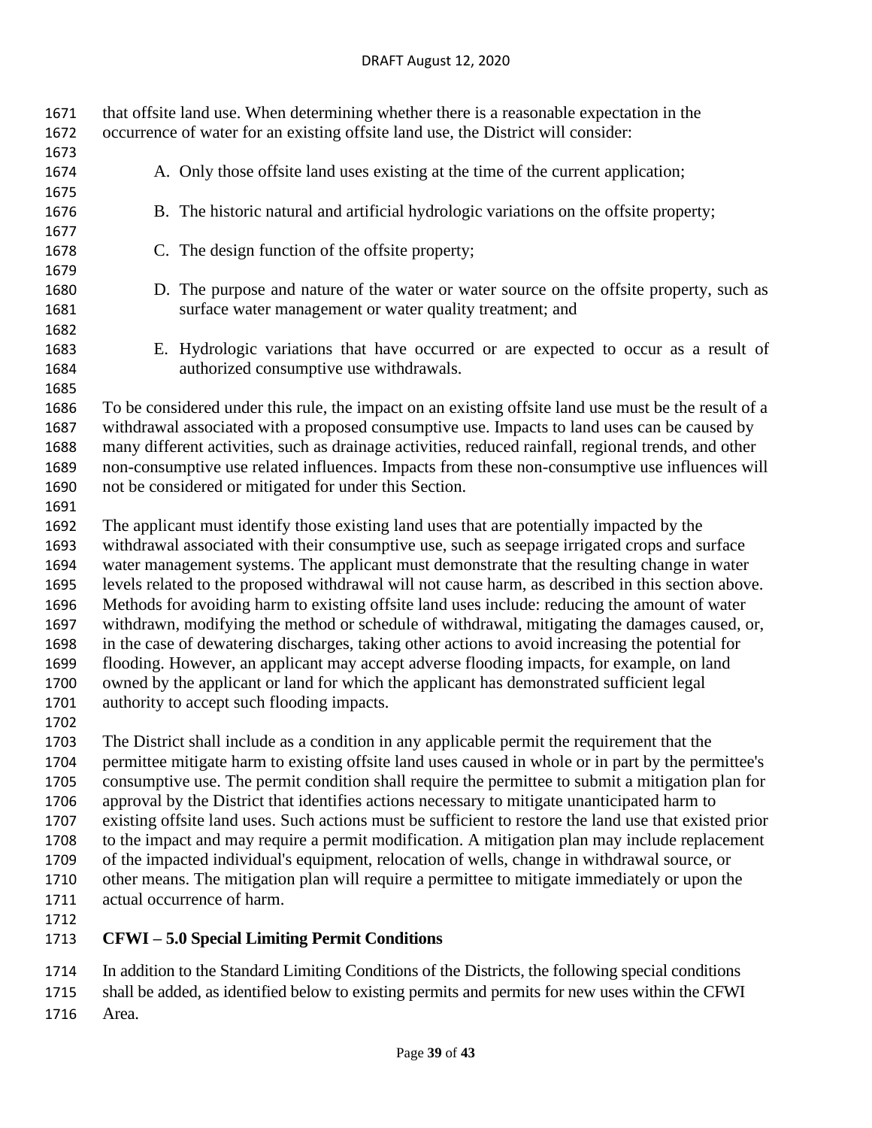| 1671<br>1672 | that offsite land use. When determining whether there is a reasonable expectation in the<br>occurrence of water for an existing offsite land use, the District will consider: |  |  |  |  |
|--------------|-------------------------------------------------------------------------------------------------------------------------------------------------------------------------------|--|--|--|--|
| 1673<br>1674 | A. Only those offsite land uses existing at the time of the current application;                                                                                              |  |  |  |  |
| 1675         |                                                                                                                                                                               |  |  |  |  |
| 1676         | B. The historic natural and artificial hydrologic variations on the offsite property;                                                                                         |  |  |  |  |
| 1677<br>1678 | C. The design function of the offsite property;                                                                                                                               |  |  |  |  |
| 1679         |                                                                                                                                                                               |  |  |  |  |
| 1680         | D. The purpose and nature of the water or water source on the offsite property, such as                                                                                       |  |  |  |  |
| 1681         | surface water management or water quality treatment; and                                                                                                                      |  |  |  |  |
| 1682         |                                                                                                                                                                               |  |  |  |  |
| 1683         | E. Hydrologic variations that have occurred or are expected to occur as a result of                                                                                           |  |  |  |  |
| 1684         | authorized consumptive use withdrawals.                                                                                                                                       |  |  |  |  |
| 1685         |                                                                                                                                                                               |  |  |  |  |
| 1686         | To be considered under this rule, the impact on an existing offsite land use must be the result of a                                                                          |  |  |  |  |
| 1687         | withdrawal associated with a proposed consumptive use. Impacts to land uses can be caused by                                                                                  |  |  |  |  |
| 1688<br>1689 | many different activities, such as drainage activities, reduced rainfall, regional trends, and other                                                                          |  |  |  |  |
| 1690         | non-consumptive use related influences. Impacts from these non-consumptive use influences will<br>not be considered or mitigated for under this Section.                      |  |  |  |  |
| 1691         |                                                                                                                                                                               |  |  |  |  |
| 1692         | The applicant must identify those existing land uses that are potentially impacted by the                                                                                     |  |  |  |  |
| 1693         | withdrawal associated with their consumptive use, such as seepage irrigated crops and surface                                                                                 |  |  |  |  |
| 1694         | water management systems. The applicant must demonstrate that the resulting change in water                                                                                   |  |  |  |  |
| 1695         | levels related to the proposed withdrawal will not cause harm, as described in this section above.                                                                            |  |  |  |  |
| 1696         | Methods for avoiding harm to existing offsite land uses include: reducing the amount of water                                                                                 |  |  |  |  |
| 1697         | withdrawn, modifying the method or schedule of withdrawal, mitigating the damages caused, or,                                                                                 |  |  |  |  |
| 1698         | in the case of dewatering discharges, taking other actions to avoid increasing the potential for                                                                              |  |  |  |  |
| 1699         | flooding. However, an applicant may accept adverse flooding impacts, for example, on land                                                                                     |  |  |  |  |
| 1700         | owned by the applicant or land for which the applicant has demonstrated sufficient legal                                                                                      |  |  |  |  |
| 1701<br>1702 | authority to accept such flooding impacts.                                                                                                                                    |  |  |  |  |
| 1703         | The District shall include as a condition in any applicable permit the requirement that the                                                                                   |  |  |  |  |
| 1704         | permittee mitigate harm to existing offsite land uses caused in whole or in part by the permittee's                                                                           |  |  |  |  |
| 1705         | consumptive use. The permit condition shall require the permittee to submit a mitigation plan for                                                                             |  |  |  |  |
| 1706         | approval by the District that identifies actions necessary to mitigate unanticipated harm to                                                                                  |  |  |  |  |
| 1707         | existing offsite land uses. Such actions must be sufficient to restore the land use that existed prior                                                                        |  |  |  |  |
| 1708         | to the impact and may require a permit modification. A mitigation plan may include replacement                                                                                |  |  |  |  |
| 1709         | of the impacted individual's equipment, relocation of wells, change in withdrawal source, or                                                                                  |  |  |  |  |
| 1710         | other means. The mitigation plan will require a permittee to mitigate immediately or upon the                                                                                 |  |  |  |  |
| 1711         | actual occurrence of harm.                                                                                                                                                    |  |  |  |  |
| 1712         |                                                                                                                                                                               |  |  |  |  |

**CFWI – 5.0 Special Limiting Permit Conditions**

In addition to the Standard Limiting Conditions of the Districts, the following special conditions

shall be added, as identified below to existing permits and permits for new uses within the CFWI

Area.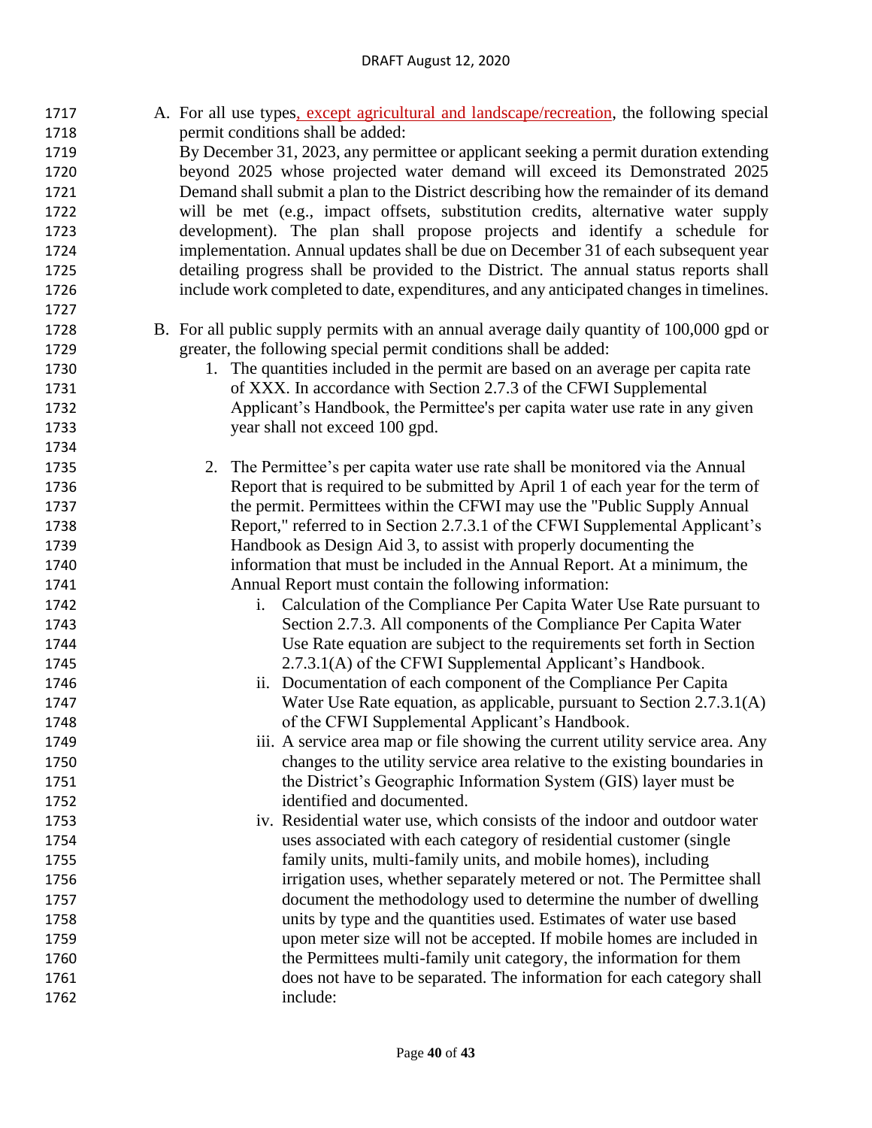#### DRAFT August 12, 2020

| 1717 | A. For all use types, except agricultural and landscape/recreation, the following special |
|------|-------------------------------------------------------------------------------------------|
| 1718 | permit conditions shall be added:                                                         |
| 1719 | By December 31, 2023, any permittee or applicant seeking a permit duration extending      |
| 1720 | beyond 2025 whose projected water demand will exceed its Demonstrated 2025                |
| 1721 | Demand shall submit a plan to the District describing how the remainder of its demand     |
| 1722 | will be met (e.g., impact offsets, substitution credits, alternative water supply         |
| 1723 | development). The plan shall propose projects and identify a schedule for                 |
| 1724 | implementation. Annual updates shall be due on December 31 of each subsequent year        |
| 1725 | detailing progress shall be provided to the District. The annual status reports shall     |
| 1726 | include work completed to date, expenditures, and any anticipated changes in timelines.   |
| 1727 |                                                                                           |
| 1728 | B. For all public supply permits with an annual average daily quantity of 100,000 gpd or  |
| 1729 | greater, the following special permit conditions shall be added:                          |
| 1730 | 1. The quantities included in the permit are based on an average per capita rate          |
| 1731 | of XXX. In accordance with Section 2.7.3 of the CFWI Supplemental                         |
| 1732 | Applicant's Handbook, the Permittee's per capita water use rate in any given              |
| 1733 | year shall not exceed 100 gpd.                                                            |
| 1734 |                                                                                           |
| 1735 | 2. The Permittee's per capita water use rate shall be monitored via the Annual            |
| 1736 | Report that is required to be submitted by April 1 of each year for the term of           |
| 1737 | the permit. Permittees within the CFWI may use the "Public Supply Annual"                 |
| 1738 | Report," referred to in Section 2.7.3.1 of the CFWI Supplemental Applicant's              |
| 1739 | Handbook as Design Aid 3, to assist with properly documenting the                         |
| 1740 | information that must be included in the Annual Report. At a minimum, the                 |
| 1741 | Annual Report must contain the following information:                                     |
| 1742 | i. Calculation of the Compliance Per Capita Water Use Rate pursuant to                    |
| 1743 | Section 2.7.3. All components of the Compliance Per Capita Water                          |
| 1744 | Use Rate equation are subject to the requirements set forth in Section                    |
| 1745 | 2.7.3.1(A) of the CFWI Supplemental Applicant's Handbook.                                 |
| 1746 | ii. Documentation of each component of the Compliance Per Capita                          |
| 1747 | Water Use Rate equation, as applicable, pursuant to Section 2.7.3.1(A)                    |
| 1748 | of the CFWI Supplemental Applicant's Handbook.                                            |
| 1749 | iii. A service area map or file showing the current utility service area. Any             |
| 1750 | changes to the utility service area relative to the existing boundaries in                |
| 1751 | the District's Geographic Information System (GIS) layer must be                          |
| 1752 | identified and documented.                                                                |
| 1753 | iv. Residential water use, which consists of the indoor and outdoor water                 |
| 1754 | uses associated with each category of residential customer (single                        |
| 1755 | family units, multi-family units, and mobile homes), including                            |
| 1756 | irrigation uses, whether separately metered or not. The Permittee shall                   |
| 1757 | document the methodology used to determine the number of dwelling                         |
| 1758 | units by type and the quantities used. Estimates of water use based                       |
| 1759 | upon meter size will not be accepted. If mobile homes are included in                     |
| 1760 | the Permittees multi-family unit category, the information for them                       |
| 1761 | does not have to be separated. The information for each category shall                    |
| 1762 | include:                                                                                  |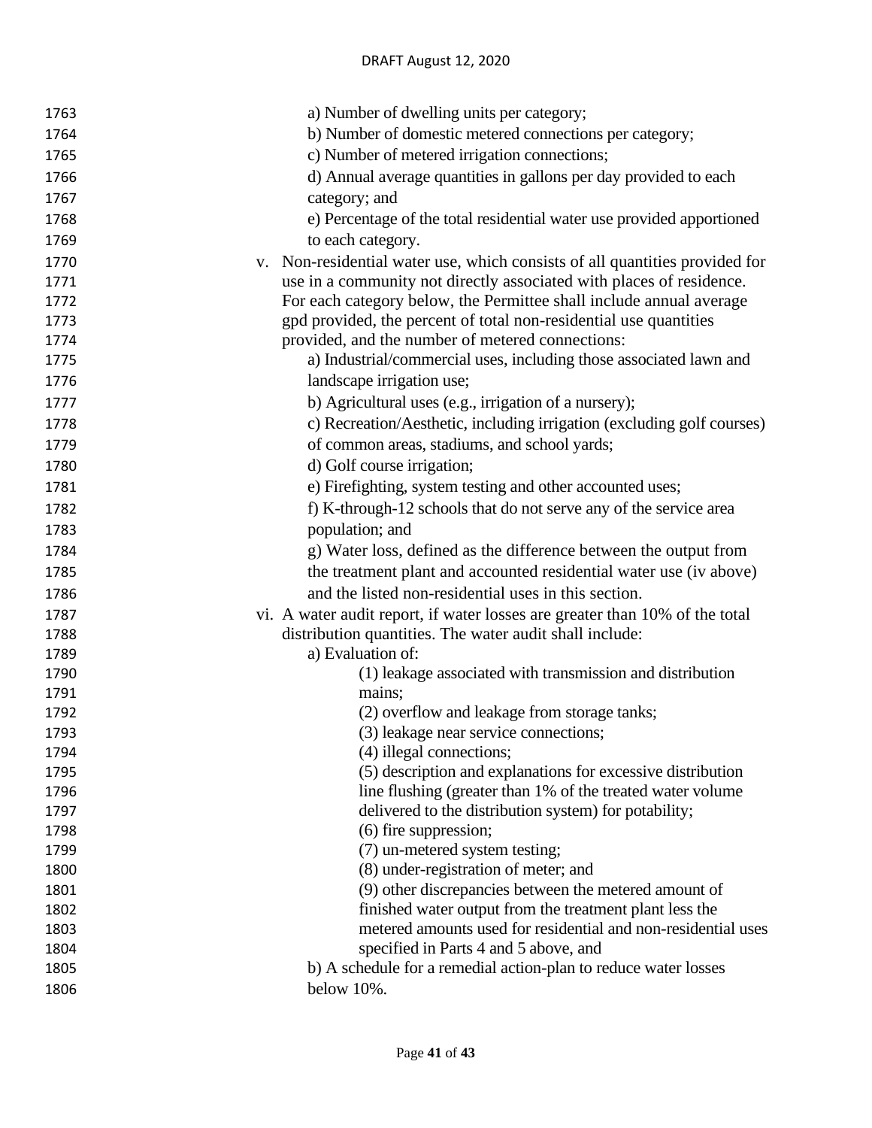| 1763         | a) Number of dwelling units per category;                                                                                |
|--------------|--------------------------------------------------------------------------------------------------------------------------|
| 1764         | b) Number of domestic metered connections per category;                                                                  |
| 1765         | c) Number of metered irrigation connections;                                                                             |
| 1766         | d) Annual average quantities in gallons per day provided to each                                                         |
| 1767         | category; and                                                                                                            |
| 1768         | e) Percentage of the total residential water use provided apportioned                                                    |
| 1769         | to each category.                                                                                                        |
| 1770         | v. Non-residential water use, which consists of all quantities provided for                                              |
| 1771         | use in a community not directly associated with places of residence.                                                     |
| 1772         | For each category below, the Permittee shall include annual average                                                      |
| 1773         | gpd provided, the percent of total non-residential use quantities                                                        |
| 1774         | provided, and the number of metered connections:                                                                         |
| 1775         | a) Industrial/commercial uses, including those associated lawn and                                                       |
| 1776         | landscape irrigation use;                                                                                                |
| 1777         | b) Agricultural uses (e.g., irrigation of a nursery);                                                                    |
| 1778         | c) Recreation/Aesthetic, including irrigation (excluding golf courses)                                                   |
| 1779         | of common areas, stadiums, and school yards;                                                                             |
| 1780         | d) Golf course irrigation;                                                                                               |
| 1781         | e) Firefighting, system testing and other accounted uses;                                                                |
| 1782         | f) K-through-12 schools that do not serve any of the service area                                                        |
| 1783         | population; and                                                                                                          |
| 1784         | g) Water loss, defined as the difference between the output from                                                         |
| 1785         | the treatment plant and accounted residential water use (iv above)                                                       |
| 1786         | and the listed non-residential uses in this section.                                                                     |
| 1787         | vi. A water audit report, if water losses are greater than 10% of the total                                              |
| 1788         | distribution quantities. The water audit shall include:                                                                  |
| 1789         | a) Evaluation of:                                                                                                        |
| 1790         | (1) leakage associated with transmission and distribution                                                                |
| 1791         | mains;                                                                                                                   |
| 1792         | (2) overflow and leakage from storage tanks;                                                                             |
| 1793         | (3) leakage near service connections;                                                                                    |
| 1794         | (4) illegal connections;                                                                                                 |
| 1795         | (5) description and explanations for excessive distribution                                                              |
| 1796         | line flushing (greater than 1% of the treated water volume                                                               |
| 1797         | delivered to the distribution system) for potability;                                                                    |
| 1798         | $(6)$ fire suppression;                                                                                                  |
| 1799         | (7) un-metered system testing;                                                                                           |
| 1800         | (8) under-registration of meter; and                                                                                     |
| 1801         | (9) other discrepancies between the metered amount of                                                                    |
| 1802<br>1803 | finished water output from the treatment plant less the<br>metered amounts used for residential and non-residential uses |
| 1804         | specified in Parts 4 and 5 above, and                                                                                    |
| 1805         | b) A schedule for a remedial action-plan to reduce water losses                                                          |
| 1806         | below 10%.                                                                                                               |
|              |                                                                                                                          |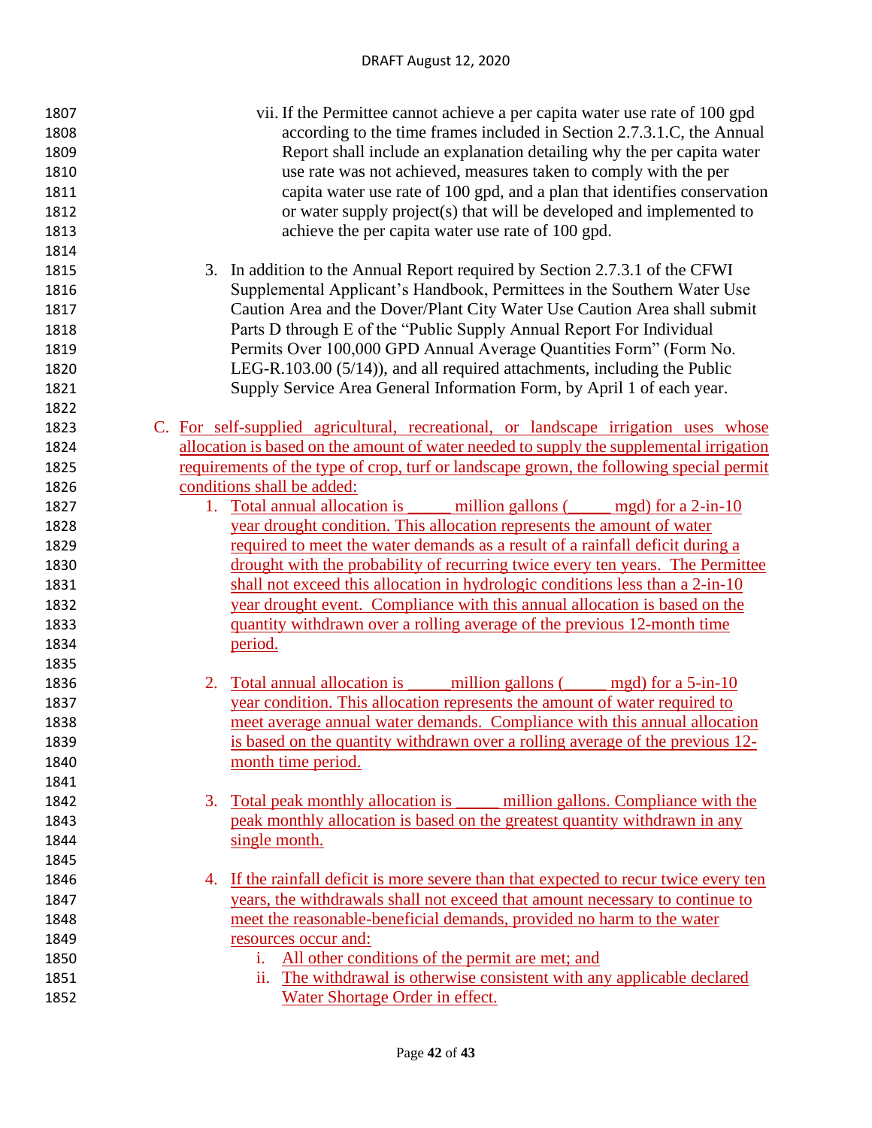| 1807 | vii. If the Permittee cannot achieve a per capita water use rate of 100 gpd             |
|------|-----------------------------------------------------------------------------------------|
| 1808 | according to the time frames included in Section 2.7.3.1.C, the Annual                  |
| 1809 | Report shall include an explanation detailing why the per capita water                  |
| 1810 | use rate was not achieved, measures taken to comply with the per                        |
| 1811 | capita water use rate of 100 gpd, and a plan that identifies conservation               |
| 1812 | or water supply project(s) that will be developed and implemented to                    |
| 1813 | achieve the per capita water use rate of 100 gpd.                                       |
| 1814 |                                                                                         |
| 1815 | 3. In addition to the Annual Report required by Section 2.7.3.1 of the CFWI             |
| 1816 | Supplemental Applicant's Handbook, Permittees in the Southern Water Use                 |
| 1817 | Caution Area and the Dover/Plant City Water Use Caution Area shall submit               |
| 1818 | Parts D through E of the "Public Supply Annual Report For Individual                    |
| 1819 | Permits Over 100,000 GPD Annual Average Quantities Form" (Form No.                      |
| 1820 | LEG-R.103.00 $(5/14)$ , and all required attachments, including the Public              |
| 1821 | Supply Service Area General Information Form, by April 1 of each year.                  |
| 1822 |                                                                                         |
| 1823 | C. For self-supplied agricultural, recreational, or landscape irrigation uses whose     |
| 1824 | allocation is based on the amount of water needed to supply the supplemental irrigation |
| 1825 | requirements of the type of crop, turf or landscape grown, the following special permit |
| 1826 | conditions shall be added:                                                              |
| 1827 | 1. Total annual allocation is million gallons (mgd) for a 2-in-10                       |
| 1828 | year drought condition. This allocation represents the amount of water                  |
| 1829 | required to meet the water demands as a result of a rainfall deficit during a           |
| 1830 | drought with the probability of recurring twice every ten years. The Permittee          |
| 1831 | shall not exceed this allocation in hydrologic conditions less than a 2-in-10           |
| 1832 | year drought event. Compliance with this annual allocation is based on the              |
| 1833 | quantity withdrawn over a rolling average of the previous 12-month time                 |
| 1834 | period.                                                                                 |
| 1835 |                                                                                         |
| 1836 | 2. <u>Total annual allocation is million gallons (million</u> mgd) for a 5-in-10        |
| 1837 | year condition. This allocation represents the amount of water required to              |
| 1838 | meet average annual water demands. Compliance with this annual allocation               |
| 1839 | is based on the quantity withdrawn over a rolling average of the previous 12-           |
| 1840 | month time period.                                                                      |
| 1841 |                                                                                         |
| 1842 | <u>Total peak monthly allocation is million gallons. Compliance with the</u><br>3.      |
| 1843 | peak monthly allocation is based on the greatest quantity withdrawn in any              |
| 1844 | single month.                                                                           |
| 1845 |                                                                                         |
| 1846 | 4. If the rainfall deficit is more severe than that expected to recur twice every ten   |
| 1847 | years, the withdrawals shall not exceed that amount necessary to continue to            |
| 1848 | meet the reasonable-beneficial demands, provided no harm to the water                   |
| 1849 | resources occur and:                                                                    |
| 1850 | All other conditions of the permit are met; and<br>i.                                   |
| 1851 | The withdrawal is otherwise consistent with any applicable declared<br>ii.              |
| 1852 | Water Shortage Order in effect.                                                         |